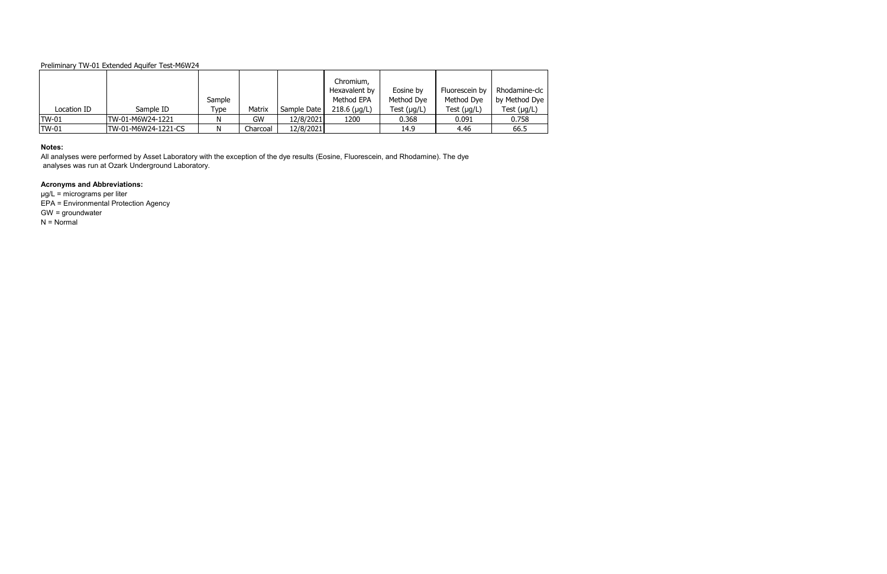| Location ID  | Sample ID           | Sample<br>Type | Matrix   | Sample Date | Chromium,<br>Hexavalent by<br>Method EPA<br>$218.6$ ( $\mu$ g/L) | Eosine by<br>Method Dye<br>Test $(\mu g/L)$ | Fluorescein by<br>Method Dye<br>Test $(\mu g/L)$ | Rhodamine-clc  <br>by Method Dye  <br>Test $(\mu g/L)$ |
|--------------|---------------------|----------------|----------|-------------|------------------------------------------------------------------|---------------------------------------------|--------------------------------------------------|--------------------------------------------------------|
| <b>TW-01</b> | TW-01-M6W24-1221    | N              | GW       | 12/8/2021   | 1200                                                             | 0.368                                       | 0.091                                            | 0.758                                                  |
| <b>TW-01</b> | TW-01-M6W24-1221-CS | N              | Charcoal | 12/8/2021   |                                                                  | 14.9                                        | 4.46                                             | 66.5                                                   |

µg/L = micrograms per liter EPA = Environmental Protection Agency GW = groundwater  $N = Normal$ 

#### **Notes:**

All analyses were performed by Asset Laboratory with the exception of the dye results (Eosine, Fluorescein, and Rhodamine). The dye analyses was run at Ozark Underground Laboratory.

# **Acronyms and Abbreviations:**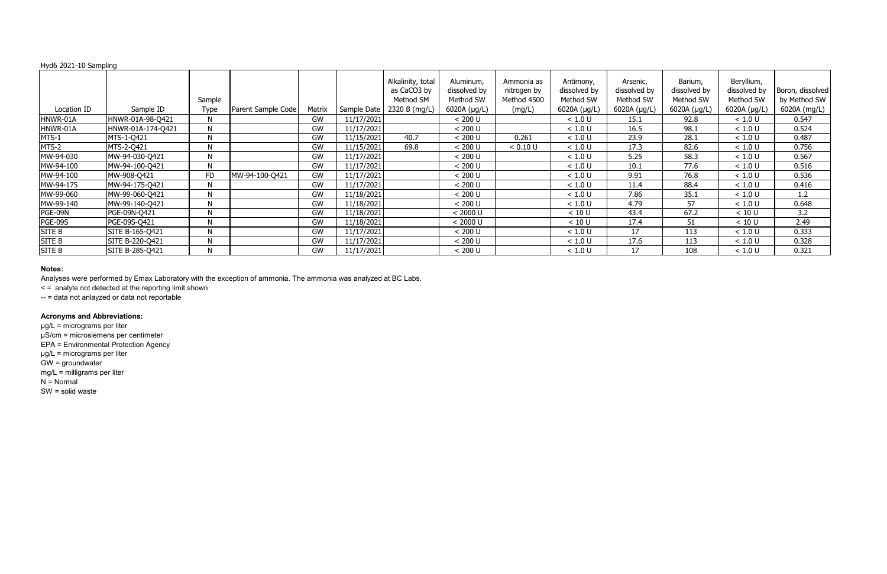|               |                   | Sample      |                    |        |             | Alkalinity, total<br>as CaCO3 by<br>Method SM | Aluminum,<br>dissolved by<br>Method SW | Ammonia as<br>nitrogen by<br>Method 4500 | Antimony,<br>dissolved by<br>Method SW | Arsenic,<br>dissolved by<br>Method SW | Barium,<br>dissolved by<br>Method SW | Beryllium,<br>dissolved by<br>Method SW | Boron, dissolved<br>by Method SW |
|---------------|-------------------|-------------|--------------------|--------|-------------|-----------------------------------------------|----------------------------------------|------------------------------------------|----------------------------------------|---------------------------------------|--------------------------------------|-----------------------------------------|----------------------------------|
| Location ID   | Sample ID         | <b>Type</b> | Parent Sample Code | Matrix | Sample Date | 2320 B (mg/L)                                 | 6020A (µg/L)                           | (mg/L)                                   | 6020A $(\mu g/L)$                      | 6020A (µg/L)                          | 6020A (µg/L)                         | 6020A (µg/L)                            | 6020A (mg/L)                     |
| HNWR-01A      | HNWR-01A-98-Q421  | N           |                    | GW     | 11/17/2021  |                                               | < 200 U                                |                                          | < 1.0 U                                | 15.1                                  | 92.8                                 | < 1.0 U                                 | 0.547                            |
| HNWR-01A      | HNWR-01A-174-Q421 | N           |                    | GW     | 11/17/2021  |                                               | < 200 U                                |                                          | < 1.0 U                                | 16.5                                  | 98.1                                 | < 1.0 U                                 | 0.524                            |
| MTS-1         | MTS-1-Q421        | N           |                    | GW     | 11/15/2021  | 40.7                                          | < 200 U                                | 0.261                                    | < 1.0 U                                | 23.9                                  | 28.1                                 | < 1.0 U                                 | 0.487                            |
| MTS-2         | MTS-2-Q421        | N           |                    | GW     | 11/15/2021  | 69.8                                          | < 200 U                                | < 0.10 U                                 | < 1.0 U                                | 17.3                                  | 82.6                                 | < 1.0 U                                 | 0.756                            |
| MW-94-030     | MW-94-030-Q421    | N           |                    | GW     | 11/17/2021  |                                               | < 200 U                                |                                          | < 1.0 U                                | 5.25                                  | 58.3                                 | < 1.0 U                                 | 0.567                            |
| MW-94-100     | MW-94-100-Q421    | N           |                    | GW     | 11/17/2021  |                                               | < 200 U                                |                                          | < 1.0 U                                | 10.1                                  | 77.6                                 | < 1.0 U                                 | 0.516                            |
| MW-94-100     | MW-908-Q421       | <b>FD</b>   | MW-94-100-Q421     | GW     | 11/17/2021  |                                               | < 200 U                                |                                          | < 1.0 U                                | 9.91                                  | 76.8                                 | < 1.0 U                                 | 0.536                            |
| MW-94-175     | MW-94-175-Q421    | N           |                    | GW     | 11/17/2021  |                                               | < 200 U                                |                                          | < 1.0 U                                | 11.4                                  | 88.4                                 | < 1.0 U                                 | 0.416                            |
| MW-99-060     | MW-99-060-Q421    | N           |                    | GW     | 11/18/2021  |                                               | < 200 U                                |                                          | < 1.0 U                                | 7.86                                  | 35.1                                 | < 1.0 U                                 | 1.2                              |
| MW-99-140     | MW-99-140-Q421    | N           |                    | GW     | 11/18/2021  |                                               | < 200 U                                |                                          | < 1.0 U                                | 4.79                                  | 57                                   | < 1.0 U                                 | 0.648                            |
| PGE-09N       | PGE-09N-Q421      | N           |                    | GW     | 11/18/2021  |                                               | < 2000 U                               |                                          | < 10 U                                 | 43.4                                  | 67.2                                 | < 10 U                                  | 3.2                              |
| PGE-09S       | PGE-09S-Q421      | N           |                    | GW     | 11/18/2021  |                                               | < 2000 U                               |                                          | < 10 U                                 | 17.4                                  | 51                                   | < 10 U                                  | 2.49                             |
| <b>SITE B</b> | SITE B-165-Q421   | N           |                    | GW     | 11/17/2021  |                                               | $< 200$ U                              |                                          | < 1.0 U                                | 17                                    | 113                                  | < 1.0 U                                 | 0.333                            |
| SITE B        | SITE B-220-Q421   | N           |                    | GW     | 11/17/2021  |                                               | < 200 U                                |                                          | < 1.0 U                                | 17.6                                  | 113                                  | < 1.0 U                                 | 0.328                            |
| <b>SITE B</b> | SITE B-285-Q421   | N           |                    | GW     | 11/17/2021  |                                               | < 200 U                                |                                          | < 1.0 U                                | 17                                    | 108                                  | < 1.0 U                                 | 0.321                            |

#### **Notes:**

Analyses were performed by Emax Laboratory with the exception of ammonia. The ammonia was analyzed at BC Labs.

< = analyte not detected at the reporting limit shown

-- = data not anlayzed or data not reportable

# **Acronyms and Abbreviations:**

µg/L = micrograms per liter µS/cm = microsiemens per centimeter

EPA = Environmental Protection Agency

µg/L = micrograms per liter

GW = groundwater

mg/L = milligrams per liter

 $N =$  Normal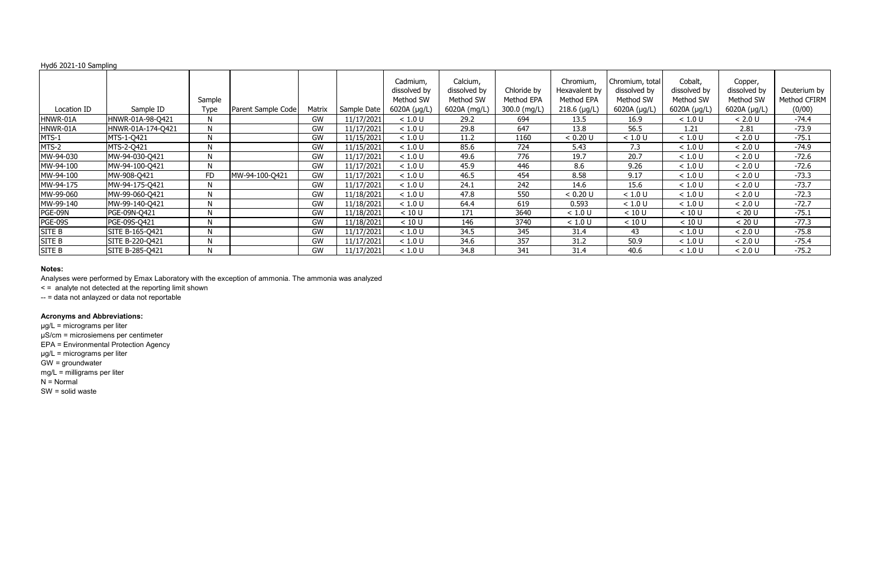|                   |             |                    |        |             | Cadmium,<br>dissolved by<br>Method SW | Calcium,<br>dissolved by<br>Method SW | Chloride by<br>Method EPA | Chromium,<br>Hexavalent by<br>Method EPA | Chromium, total<br>dissolved by<br>Method SW | Cobalt,<br>dissolved by<br>Method SW | Copper,<br>dissolved by<br>Method SW | Deuterium by<br>Method CFIRM |
|-------------------|-------------|--------------------|--------|-------------|---------------------------------------|---------------------------------------|---------------------------|------------------------------------------|----------------------------------------------|--------------------------------------|--------------------------------------|------------------------------|
| Sample ID         | <b>Type</b> | Parent Sample Code | Matrix | Sample Date | 6020A (µg/L)                          | 6020A (mg/L)                          | 300.0 (mg/L)              | $218.6$ (µg/L)                           | 6020A (µg/L)                                 | 6020A (µg/L)                         | 6020A (µg/L)                         | (0/00)                       |
| HNWR-01A-98-Q421  | N           |                    | GW     | 11/17/2021  | < 1.0 U                               | 29.2                                  | 694                       | 13.5                                     | 16.9                                         | < 1.0 U                              | < 2.0 U                              | $-74.4$                      |
| HNWR-01A-174-Q421 | N           |                    | GW     | 11/17/2021  | < 1.0 U                               | 29.8                                  | 647                       | 13.8                                     | 56.5                                         | 1.21                                 | 2.81                                 | $-73.9$                      |
| MTS-1-Q421        | N           |                    | GW     | 11/15/2021  | < 1.0 U                               | 11.2                                  | 1160                      | < 0.20 U                                 | < 1.0 U                                      | < 1.0 U                              | < 2.0 U                              | $-75.1$                      |
| MTS-2-Q421        | N           |                    | GW     | 11/15/2021  | < 1.0 U                               | 85.6                                  | 724                       | 5.43                                     | 7.3                                          | < 1.0 U                              | < 2.0 U                              | $-74.9$                      |
| MW-94-030-Q421    | N           |                    | GW     | 11/17/2021  | < 1.0 U                               | 49.6                                  | 776                       | 19.7                                     | 20.7                                         | < 1.0 U                              | < 2.0 U                              | $-72.6$                      |
| MW-94-100-Q421    | N           |                    | GW     | 11/17/2021  | < 1.0 U                               | 45.9                                  | 446                       | 8.6                                      | 9.26                                         | < 1.0 U                              | < 2.0 U                              | $-72.6$                      |
| MW-908-Q421       | <b>FD</b>   | MW-94-100-Q421     | GW     | 11/17/2021  | < 1.0 U                               | 46.5                                  | 454                       | 8.58                                     | 9.17                                         | < 1.0 U                              | < 2.0 U                              | $-73.3$                      |
| MW-94-175-Q421    | N           |                    | GW     | 11/17/2021  | < 1.0 U                               | 24.1                                  | 242                       | 14.6                                     | 15.6                                         | < 1.0 U                              | < 2.0 U                              | $-73.7$                      |
| MW-99-060-Q421    | N           |                    | GW     | 11/18/2021  | < 1.0 U                               | 47.8                                  | 550                       | < 0.20 U                                 | < 1.0 U                                      | < 1.0 U                              | < 2.0 U                              | $-72.3$                      |
| MW-99-140-Q421    | N           |                    | GW     | 11/18/2021  | < 1.0 U                               | 64.4                                  | 619                       | 0.593                                    | < 1.0 U                                      | < 1.0 U                              | < 2.0 U                              | $-72.7$                      |
| PGE-09N-Q421      | N           |                    | GW     | 11/18/2021  | < 10 U                                | 171                                   | 3640                      | < 1.0 U                                  | < 10 U                                       | < 10 U                               | < 20 U                               | $-75.1$                      |
| PGE-09S-Q421      | N           |                    | GW     | 11/18/2021  | < 10 U                                | 146                                   | 3740                      | < 1.0 U                                  | < 10 U                                       | < 10 U                               | < 20 U                               | $-77.3$                      |
| SITE B-165-Q421   | N           |                    | GW     | 11/17/2021  | < 1.0 U                               | 34.5                                  | 345                       | 31.4                                     | 43                                           | < 1.0 U                              | < 2.0 U                              | $-75.8$                      |
| SITE B-220-Q421   | N           |                    | GW     | 11/17/2021  | < 1.0 U                               | 34.6                                  | 357                       | 31.2                                     | 50.9                                         | < 1.0 U                              | < 2.0 U                              | -75.4                        |
| SITE B-285-Q421   | N           |                    | GW     | 11/17/2021  | < 1.0 U                               | 34.8                                  | 341                       | 31.4                                     | 40.6                                         | < 1.0 U                              | < 2.0 U                              | $-75.2$                      |
|                   |             | Sample             |        |             |                                       |                                       |                           |                                          |                                              |                                      |                                      |                              |

#### **Notes:**

Analyses were performed by Emax Laboratory with the exception of ammonia. The ammonia was analyzed

< = analyte not detected at the reporting limit shown

-- = data not anlayzed or data not reportable

# **Acronyms and Abbreviations:**

µg/L = micrograms per liter µS/cm = microsiemens per centimeter

EPA = Environmental Protection Agency

µg/L = micrograms per liter

GW = groundwater

mg/L = milligrams per liter

 $N =$  Normal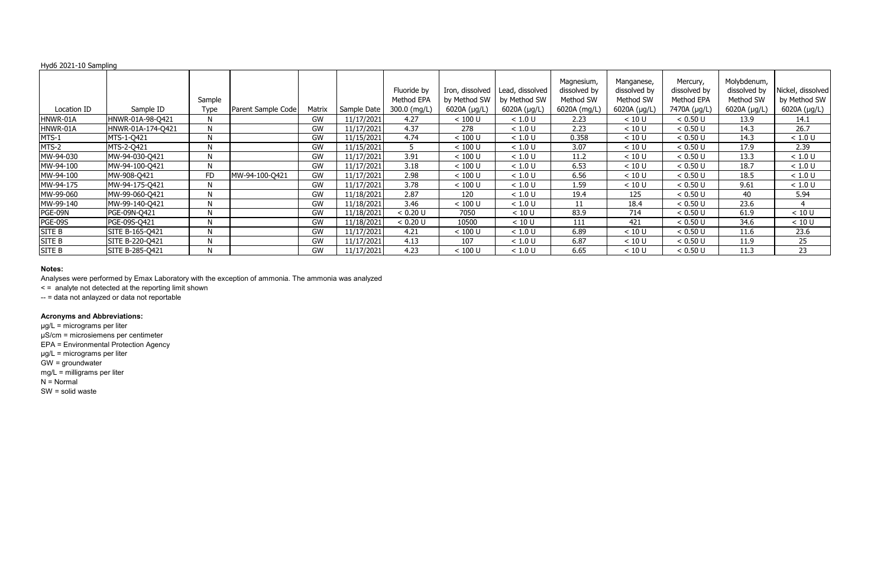|                |                   | Sample       |                    |        |             | Fluoride by<br>Method EPA | Iron, dissolved<br>by Method SW | Lead, dissolved<br>by Method SW | Magnesium,<br>dissolved by<br>Method SW | Manganese,<br>dissolved by<br>Method SW | Mercury,<br>dissolved by<br>Method EPA | Molybdenum,<br>dissolved by<br>Method SW | Nickel, dissolved<br>by Method SW |
|----------------|-------------------|--------------|--------------------|--------|-------------|---------------------------|---------------------------------|---------------------------------|-----------------------------------------|-----------------------------------------|----------------------------------------|------------------------------------------|-----------------------------------|
| Location ID    | Sample ID         | Type         | Parent Sample Code | Matrix | Sample Date | 300.0 (mg/L)              | 6020A (µg/L)                    | 6020A (µg/L)                    | 6020A (mg/L)                            | 6020A (µg/L)                            | 7470A (µg/L)                           | 6020A (µg/L)                             | 6020A (µg/L)                      |
| HNWR-01A       | HNWR-01A-98-Q421  | N            |                    | GW     | 11/17/2021  | 4.27                      | $< 100$ U                       | < 1.0 U                         | 2.23                                    | < 10 U                                  | < 0.50 U                               | 13.9                                     | 14.1                              |
| HNWR-01A       | HNWR-01A-174-Q421 | N            |                    | GW     | 11/17/2021  | 4.37                      | 278                             | < 1.0 U                         | 2.23                                    | < 10 U                                  | < 0.50 U                               | 14.3                                     | 26.7                              |
| MTS-1          | MTS-1-Q421        | N            |                    | GW     | 11/15/2021  | 4.74                      | $< 100$ U                       | < 1.0 U                         | 0.358                                   | < 10 U                                  | < 0.50 U                               | 14.3                                     | < 1.0 U                           |
| MTS-2          | MTS-2-Q421        | N            |                    | GW     | 11/15/2021  |                           | < 100 U                         | < 1.0 U                         | 3.07                                    | < 10 U                                  | < 0.50 U                               | 17.9                                     | 2.39                              |
| MW-94-030      | MW-94-030-Q421    | N            |                    | GW     | 11/17/2021  | 3.91                      | $< 100$ U                       | < 1.0 U                         | 11.2                                    | < 10 U                                  | < 0.50 U                               | 13.3                                     | < 1.0 U                           |
| MW-94-100      | MW-94-100-Q421    | N            |                    | GW     | 11/17/2021  | 3.18                      | < 100 U                         | < 1.0 U                         | 6.53                                    | < 10 U                                  | < 0.50 U                               | 18.7                                     | < 1.0 U                           |
| MW-94-100      | MW-908-Q421       | <b>FD</b>    | MW-94-100-Q421     | GW     | 11/17/2021  | 2.98                      | < 100 U                         | < 1.0 U                         | 6.56                                    | < 10 U                                  | < 0.50 U                               | 18.5                                     | < 1.0 U                           |
| MW-94-175      | MW-94-175-Q421    | N            |                    | GW     | 11/17/2021  | 3.78                      | $< 100$ U                       | < 1.0 U                         | 1.59                                    | < 10 U                                  | < 0.50 U                               | 9.61                                     | < 1.0 U                           |
| MW-99-060      | MW-99-060-Q421    | N            |                    | GW     | 11/18/2021  | 2.87                      | 120                             | < 1.0 U                         | 19.4                                    | 125                                     | < 0.50 U                               | 40                                       | 5.94                              |
| MW-99-140      | MW-99-140-Q421    | N            |                    | GW     | 11/18/2021  | 3.46                      | < 100 U                         | < 1.0 U                         | 11                                      | 18.4                                    | < 0.50 U                               | 23.6                                     |                                   |
| PGE-09N        | PGE-09N-Q421      | $\mathsf{N}$ |                    | GW     | 11/18/2021  | < 0.20 U                  | 7050                            | < 10 U                          | 83.9                                    | 714                                     | < 0.50 U                               | 61.9                                     | < 10 U                            |
| <b>PGE-09S</b> | PGE-09S-Q421      | N            |                    | GW     | 11/18/2021  | < 0.20 U                  | 10500                           | < 10 U                          | 111                                     | 421                                     | < 0.50 U                               | 34.6                                     | < 10 U                            |
| SITE B         | SITE B-165-Q421   | N            |                    | GW     | 11/17/2021  | 4.21                      | $< 100$ U                       | < 1.0 U                         | 6.89                                    | < 10 U                                  | < 0.50 U                               | 11.6                                     | 23.6                              |
| SITE B         | SITE B-220-Q421   | N            |                    | GW     | 11/17/2021  | 4.13                      | 107                             | < 1.0 U                         | 6.87                                    | < 10 U                                  | < 0.50 U                               | 11.9                                     | 25                                |
| <b>SITE B</b>  | SITE B-285-Q421   | N            |                    | GW     | 11/17/2021  | 4.23                      | $< 100$ U                       | < 1.0 U                         | 6.65                                    | < 10 U                                  | < 0.50 U                               | 11.3                                     | 23                                |

#### **Notes:**

Analyses were performed by Emax Laboratory with the exception of ammonia. The ammonia was analyzed

< = analyte not detected at the reporting limit shown

-- = data not anlayzed or data not reportable

# **Acronyms and Abbreviations:**

µg/L = micrograms per liter µS/cm = microsiemens per centimeter

EPA = Environmental Protection Agency

µg/L = micrograms per liter

GW = groundwater

mg/L = milligrams per liter

 $N =$  Normal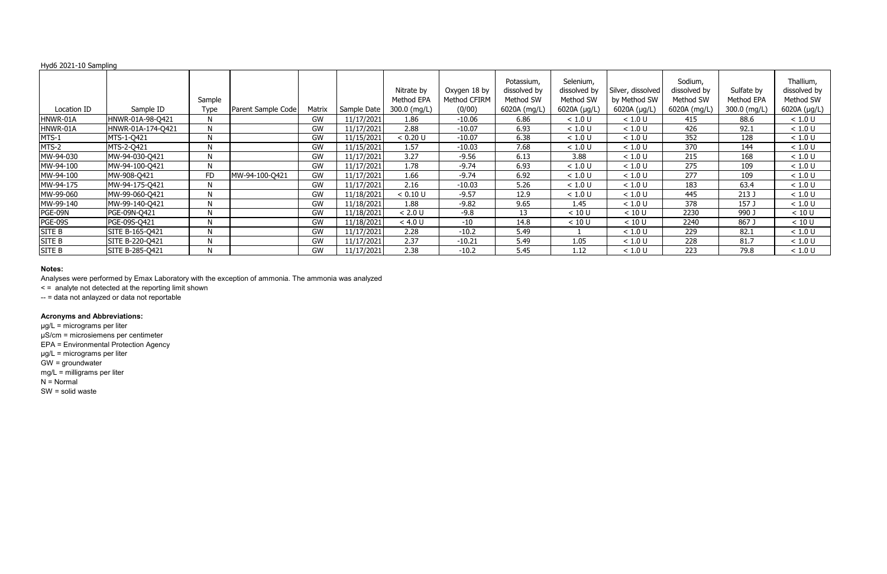|               |                   | Sample       |                    |           |             | Nitrate by<br>Method EPA | Oxygen 18 by<br>Method CFIRM | Potassium,<br>dissolved by<br>Method SW | Selenium,<br>dissolved by<br>Method SW | Silver, dissolved<br>by Method SW | Sodium,<br>dissolved by<br>Method SW | Sulfate by<br>Method EPA | Thallium,<br>dissolved by<br>Method SW |
|---------------|-------------------|--------------|--------------------|-----------|-------------|--------------------------|------------------------------|-----------------------------------------|----------------------------------------|-----------------------------------|--------------------------------------|--------------------------|----------------------------------------|
| Location ID   | Sample ID         | <b>Type</b>  | Parent Sample Code | Matrix    | Sample Date | 300.0 (mg/L)             | (0/00)                       | 6020A (mg/L)                            | 6020A ( $\mu$ g/L)                     | 6020A (µg/L)                      | 6020A (mg/L)                         | 300.0 (mg/L)             | 6020A $(\mu g/L)$                      |
| HNWR-01A      | HNWR-01A-98-Q421  | $\mathsf{N}$ |                    | GW        | 11/17/2021  | 1.86                     | $-10.06$                     | 6.86                                    | < 1.0 U                                | < 1.0 U                           | 415                                  | 88.6                     | < 1.0 U                                |
| HNWR-01A      | HNWR-01A-174-Q421 | N            |                    | GW        | 11/17/2021  | 2.88                     | $-10.07$                     | 6.93                                    | < 1.0 U                                | < 1.0 U                           | 426                                  | 92.1                     | < 1.0 U                                |
| MTS-1         | MTS-1-Q421        | N            |                    | GW        | 11/15/2021  | < 0.20 U                 | $-10.07$                     | 6.38                                    | < 1.0 U                                | < 1.0 U                           | 352                                  | 128                      | < 1.0 U                                |
| MTS-2         | MTS-2-Q421        | N            |                    | GW        | 11/15/2021  | 1.57                     | $-10.03$                     | 7.68                                    | < 1.0 U                                | < 1.0 U                           | 370                                  | 144                      | < 1.0 U                                |
| MW-94-030     | MW-94-030-Q421    | N            |                    | GW        | 11/17/2021  | 3.27                     | $-9.56$                      | 6.13                                    | 3.88                                   | < 1.0 U                           | 215                                  | 168                      | < 1.0 U                                |
| MW-94-100     | MW-94-100-Q421    | N            |                    | GW        | 11/17/2021  | 1.78                     | $-9.74$                      | 6.93                                    | < 1.0 U                                | < 1.0 U                           | 275                                  | 109                      | < 1.0 U                                |
| MW-94-100     | MW-908-Q421       | <b>FD</b>    | MW-94-100-Q421     | GW        | 11/17/2021  | 1.66                     | $-9.74$                      | 6.92                                    | < 1.0 U                                | < 1.0 U                           | 277                                  | 109                      | < 1.0 U                                |
| MW-94-175     | MW-94-175-Q421    | N            |                    | GW        | 11/17/2021  | 2.16                     | $-10.03$                     | 5.26                                    | < 1.0 U                                | < 1.0 U                           | 183                                  | 63.4                     | < 1.0 U                                |
| MW-99-060     | MW-99-060-Q421    | N            |                    | GW        | 11/18/2021  | < 0.10 U                 | $-9.57$                      | 12.9                                    | < 1.0 U                                | < 1.0 U                           | 445                                  | 213J                     | < 1.0 U                                |
| MW-99-140     | MW-99-140-Q421    | N            |                    | GW        | 11/18/2021  | 1.88                     | $-9.82$                      | 9.65                                    | 1.45                                   | < 1.0 U                           | 378                                  | 157 J                    | < 1.0 U                                |
| PGE-09N       | PGE-09N-Q421      | N            |                    | GW        | 11/18/2021  | < 2.0 U                  | $-9.8$                       | 13                                      | < 10 U                                 | < 10 U                            | 2230                                 | 990 J                    | < 10 U                                 |
| PGE-09S       | PGE-09S-Q421      | N            |                    | <b>GW</b> | 11/18/2021  | < 4.0 U                  | $-10$                        | 14.8                                    | < 10 U                                 | < 10 U                            | 2240                                 | 867J                     | < 10 U                                 |
| SITE B        | SITE B-165-Q421   | N            |                    | GW        | 11/17/2021  | 2.28                     | $-10.2$                      | 5.49                                    |                                        | < 1.0 U                           | 229                                  | 82.1                     | < 1.0 U                                |
| SITE B        | SITE B-220-Q421   | N            |                    | GW        | 11/17/2021  | 2.37                     | $-10.21$                     | 5.49                                    | 1.05                                   | < 1.0 U                           | 228                                  | 81.7                     | < 1.0 U                                |
| <b>SITE B</b> | SITE B-285-Q421   | N            |                    | GW        | 11/17/2021  | 2.38                     | $-10.2$                      | 5.45                                    | 1.12                                   | < 1.0 U                           | 223                                  | 79.8                     | < 1.0 U                                |

#### **Notes:**

Analyses were performed by Emax Laboratory with the exception of ammonia. The ammonia was analyzed

< = analyte not detected at the reporting limit shown

-- = data not anlayzed or data not reportable

# **Acronyms and Abbreviations:**

µg/L = micrograms per liter µS/cm = microsiemens per centimeter

EPA = Environmental Protection Agency

µg/L = micrograms per liter

GW = groundwater

mg/L = milligrams per liter

 $N =$  Normal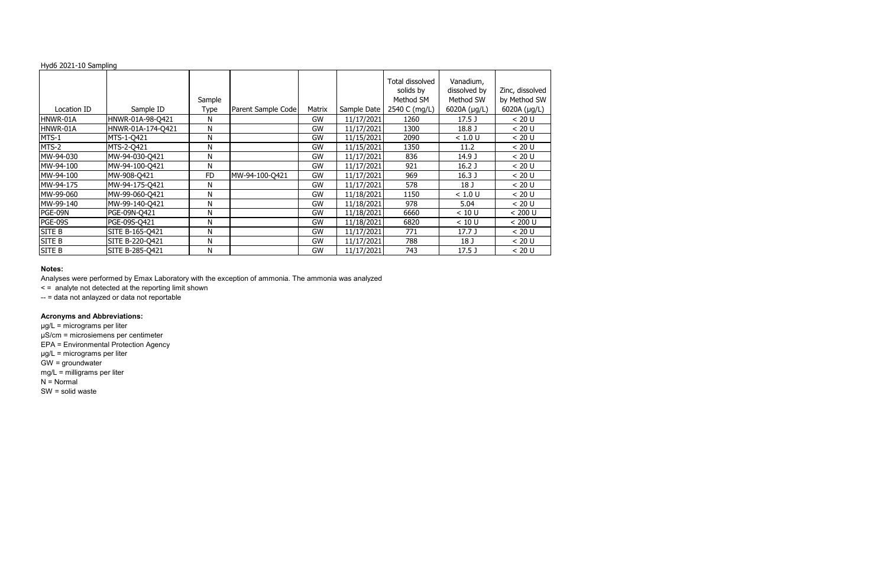|             |                   | Sample      |                    |           |             | Total dissolved<br>solids by<br>Method SM | Vanadium,<br>dissolved by<br>Method SW | Zinc, dissolved<br>by Method SW |
|-------------|-------------------|-------------|--------------------|-----------|-------------|-------------------------------------------|----------------------------------------|---------------------------------|
| Location ID | Sample ID         | <b>Type</b> | Parent Sample Code | Matrix    | Sample Date | 2540 C (mg/L)                             | 6020A (µg/L)                           | 6020A (µg/L)                    |
| HNWR-01A    | HNWR-01A-98-Q421  | Ν           |                    | GW        | 11/17/2021  | 1260                                      | 17.5 <sub>J</sub>                      | < 20 U                          |
| HNWR-01A    | HNWR-01A-174-Q421 | N           |                    | GW        | 11/17/2021  | 1300                                      | 18.8 J                                 | < 20 U                          |
| MTS-1       | MTS-1-0421        | N           |                    | GW        | 11/15/2021  | 2090                                      | < 1.0 U                                | < 20 U                          |
| MTS-2       | MTS-2-0421        | N           |                    | GW        | 11/15/2021  | 1350                                      | 11.2                                   | < 20 U                          |
| MW-94-030   | MW-94-030-Q421    | Ν           |                    | <b>GW</b> | 11/17/2021  | 836                                       | 14.9 J                                 | < 20 U                          |
| MW-94-100   | MW-94-100-Q421    | Ν           |                    | GW        | 11/17/2021  | 921                                       | 16.2 <sub>J</sub>                      | < 20 U                          |
| MW-94-100   | MW-908-Q421       | <b>FD</b>   | MW-94-100-Q421     | GW        | 11/17/2021  | 969                                       | 16.3 <sub>J</sub>                      | < 20 U                          |
| MW-94-175   | MW-94-175-Q421    | N           |                    | GW        | 11/17/2021  | 578                                       | 18 J                                   | < 20 U                          |
| MW-99-060   | MW-99-060-Q421    | N           |                    | GW        | 11/18/2021  | 1150                                      | < 1.0 U                                | < 20 U                          |
| MW-99-140   | MW-99-140-Q421    | N           |                    | GW        | 11/18/2021  | 978                                       | 5.04                                   | < 20 U                          |
| PGE-09N     | PGE-09N-Q421      | N           |                    | GW        | 11/18/2021  | 6660                                      | < 10 U                                 | < 200 U                         |
| PGE-09S     | PGE-09S-Q421      | N           |                    | GW        | 11/18/2021  | 6820                                      | < 10 U                                 | < 200 U                         |
| SITE B      | SITE B-165-Q421   | Ν           |                    | <b>GW</b> | 11/17/2021  | 771                                       | 17.7 J                                 | < 20 U                          |
| SITE B      | SITE B-220-Q421   | N           |                    | GW        | 11/17/2021  | 788                                       | 18 J                                   | < 20 U                          |
| SITE B      | SITE B-285-Q421   | N           |                    | GW        | 11/17/2021  | 743                                       | 17.5 <sub>J</sub>                      | < 20 U                          |

#### **Notes:**

Analyses were performed by Emax Laboratory with the exception of ammonia. The ammonia was analyzed

< = analyte not detected at the reporting limit shown

-- = data not anlayzed or data not reportable

# **Acronyms and Abbreviations:**

µg/L = micrograms per liter µS/cm = microsiemens per centimeter

EPA = Environmental Protection Agency

µg/L = micrograms per liter

GW = groundwater

mg/L = milligrams per liter

 $N =$  Normal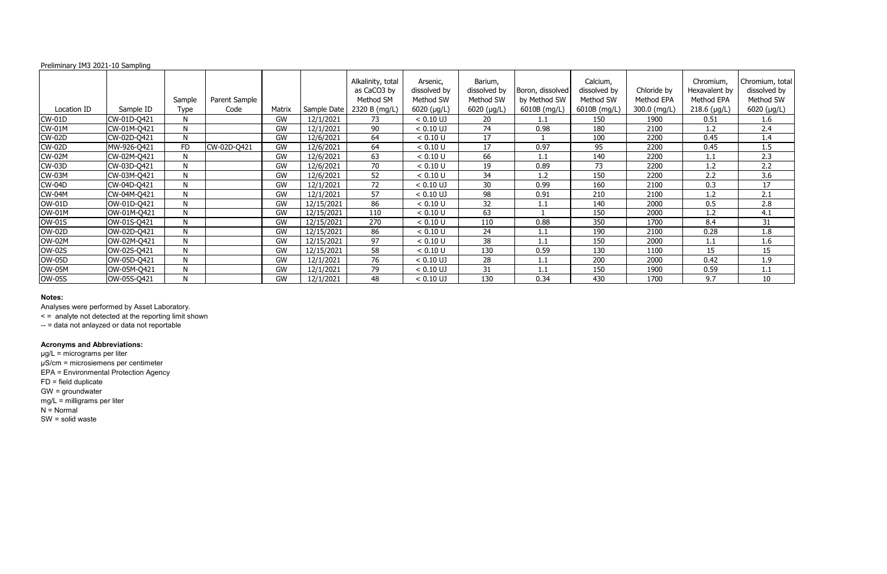#### Preliminary IM3 2021-10 Sampling

|               |             | Sample       | Parent Sample |           |             | Alkalinity, total<br>as CaCO3 by<br>Method SM | Arsenic,<br>dissolved by<br>Method SW | Barium,<br>dissolved by<br>Method SW | Boron, dissolved<br>by Method SW | Calcium,<br>dissolved by<br>Method SW | Chloride by<br>Method EPA | Chromium,<br>Hexavalent by<br>Method EPA | Chromium, total<br>dissolved by<br>Method SW |
|---------------|-------------|--------------|---------------|-----------|-------------|-----------------------------------------------|---------------------------------------|--------------------------------------|----------------------------------|---------------------------------------|---------------------------|------------------------------------------|----------------------------------------------|
| Location ID   | Sample ID   | Type         | Code          | Matrix    | Sample Date | 2320 B (mg/L)                                 | 6020 (µg/L)                           | 6020 (µg/L)                          | 6010B (mg/L)                     | 6010B (mg/L)                          | 300.0 (mg/L)              | $218.6$ (µg/L)                           | 6020 (µg/L)                                  |
| <b>CW-01D</b> | CW-01D-Q421 | N            |               | <b>GW</b> | 12/1/2021   | 73                                            | $< 0.10$ UJ                           | 20                                   | 1.1                              | 150                                   | 1900                      | 0.51                                     | 1.6                                          |
| <b>CW-01M</b> | CW-01M-Q421 | N            |               | GW        | 12/1/2021   | 90                                            | $< 0.10$ UJ                           | 74                                   | 0.98                             | 180                                   | 2100                      | 1.2                                      | 2.4                                          |
| <b>CW-02D</b> | CW-02D-Q421 | $\mathsf{N}$ |               | GW        | 12/6/2021   | 64                                            | < 0.10 U                              | 17                                   |                                  | 100                                   | 2200                      | 0.45                                     | 1.4                                          |
| <b>CW-02D</b> | MW-926-Q421 | <b>FD</b>    | CW-02D-Q421   | <b>GW</b> | 12/6/2021   | 64                                            | < 0.10 U                              | 17                                   | 0.97                             | 95                                    | 2200                      | 0.45                                     | 1.5                                          |
| <b>CW-02M</b> | CW-02M-Q421 | N            |               | <b>GW</b> | 12/6/2021   | 63                                            | < 0.10 U                              | 66                                   | 1.1                              | 140                                   | 2200                      | 1.1                                      | 2.3                                          |
| <b>CW-03D</b> | CW-03D-Q421 | N            |               | <b>GW</b> | 12/6/2021   | 70                                            | < 0.10 U                              | 19                                   | 0.89                             | 73                                    | 2200                      | 1.2                                      | 2.2                                          |
| <b>CW-03M</b> | CW-03M-Q421 | N            |               | GW        | 12/6/2021   | 52                                            | < 0.10 U                              | 34                                   | 1.2                              | 150                                   | 2200                      | 2.2                                      | 3.6                                          |
| <b>CW-04D</b> | CW-04D-Q421 | N            |               | GW        | 12/1/2021   | 72                                            | $< 0.10$ UJ                           | 30                                   | 0.99                             | 160                                   | 2100                      | 0.3                                      | 17                                           |
| <b>CW-04M</b> | CW-04M-Q421 | N            |               | <b>GW</b> | 12/1/2021   | 57                                            | $< 0.10$ UJ                           | 98                                   | 0.91                             | 210                                   | 2100                      | 1.2                                      | 2.1                                          |
| <b>OW-01D</b> | OW-01D-Q421 | N            |               | <b>GW</b> | 12/15/2021  | 86                                            | < 0.10 U                              | 32                                   | 1.1                              | 140                                   | 2000                      | 0.5                                      | 2.8                                          |
| <b>OW-01M</b> | OW-01M-Q421 | N            |               | <b>GW</b> | 12/15/2021  | 110                                           | < 0.10 U                              | 63                                   |                                  | 150                                   | 2000                      | 1.2                                      | 4.1                                          |
| <b>OW-01S</b> | OW-01S-Q421 | N            |               | GW        | 12/15/2021  | 270                                           | < 0.10 U                              | 110                                  | 0.88                             | 350                                   | 1700                      | 8.4                                      | 31                                           |
| <b>OW-02D</b> | OW-02D-Q421 | $\mathsf{N}$ |               | <b>GW</b> | 12/15/2021  | 86                                            | < 0.10 U                              | 24                                   | 1.1                              | 190                                   | 2100                      | 0.28                                     | 1.8                                          |
| <b>OW-02M</b> | OW-02M-Q421 | N            |               | GW        | 12/15/2021  | 97                                            | < 0.10 U                              | 38                                   | 1.1                              | 150                                   | 2000                      | 1.1                                      | 1.6                                          |
| <b>OW-02S</b> | OW-02S-Q421 | $\mathsf{N}$ |               | GW        | 12/15/2021  | 58                                            | < 0.10 U                              | 130                                  | 0.59                             | 130                                   | 1100                      | 15                                       | 15                                           |
| <b>OW-05D</b> | OW-05D-Q421 | N            |               | <b>GW</b> | 12/1/2021   | 76                                            | $< 0.10$ UJ                           | 28                                   | 1.1                              | 200                                   | 2000                      | 0.42                                     | 1.9                                          |
| <b>OW-05M</b> | OW-05M-Q421 | N            |               | GW        | 12/1/2021   | 79                                            | $< 0.10$ UJ                           | 31                                   | 1.1                              | 150                                   | 1900                      | 0.59                                     | 1.1                                          |
| <b>OW-05S</b> | OW-05S-Q421 | N            |               | GW        | 12/1/2021   | 48                                            | $< 0.10$ UJ                           | 130                                  | 0.34                             | 430                                   | 1700                      | 9.7                                      | 10                                           |

## **Notes:**

Analyses were performed by Asset Laboratory.

< = analyte not detected at the reporting limit shown

-- = data not anlayzed or data not reportable

# **Acronyms and Abbreviations:**

µg/L = micrograms per liter µS/cm = microsiemens per centimeter EPA = Environmental Protection Agency FD = field duplicate GW = groundwater mg/L = milligrams per liter N = Normal SW = solid waste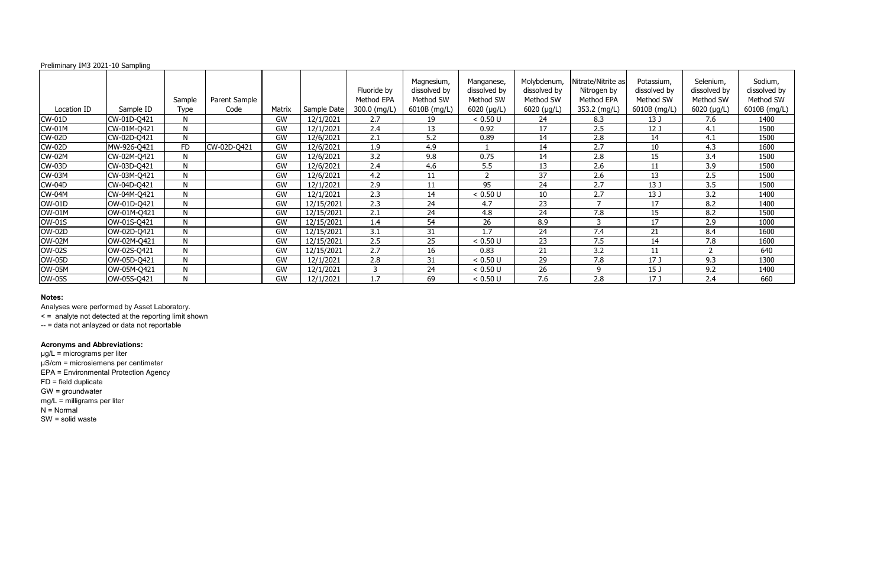## Preliminary IM3 2021-10 Sampling

|               |             | Sample       | Parent Sample |           |             | Fluoride by<br>Method EPA | Magnesium,<br>dissolved by<br>Method SW | Manganese,<br>dissolved by<br>Method SW | Molybdenum,<br>dissolved by<br>Method SW | Nitrate/Nitrite as<br>Nitrogen by<br>Method EPA | Potassium,<br>dissolved by<br>Method SW | Selenium,<br>dissolved by<br>Method SW | Sodium,<br>dissolved by<br>Method SW |
|---------------|-------------|--------------|---------------|-----------|-------------|---------------------------|-----------------------------------------|-----------------------------------------|------------------------------------------|-------------------------------------------------|-----------------------------------------|----------------------------------------|--------------------------------------|
| Location ID   | Sample ID   | Type         | Code          | Matrix    | Sample Date | $300.0$ (mg/L)            | 6010B (mg/L)                            | $6020$ (µg/L)                           | $6020$ ( $\mu$ g/L)                      | 353.2 (mg/L)                                    | 6010B (mg/L)                            | $6020$ (µg/L)                          | 6010B (mg/L)                         |
| $CW-01D$      | CW-01D-Q421 | N            |               | <b>GW</b> | 12/1/2021   | 2.7                       | 19                                      | < 0.50 U                                | 24                                       | 8.3                                             | 13 J                                    | 7.6                                    | 1400                                 |
| <b>CW-01M</b> | CW-01M-Q421 | N            |               | <b>GW</b> | 12/1/2021   | 2.4                       | 13                                      | 0.92                                    | 17                                       | 2.5                                             | 12 J                                    | 4.1                                    | 1500                                 |
| <b>CW-02D</b> | CW-02D-Q421 | $\mathsf{N}$ |               | GW        | 12/6/2021   | 2.1                       | 5.2                                     | 0.89                                    | 14                                       | 2.8                                             | 14                                      | 4.1                                    | 1500                                 |
| <b>CW-02D</b> | MW-926-Q421 | <b>FD</b>    | CW-02D-Q421   | <b>GW</b> | 12/6/2021   | 1.9                       | 4.9                                     |                                         | 14                                       | 2.7                                             | 10                                      | 4.3                                    | 1600                                 |
| <b>CW-02M</b> | CW-02M-Q421 | N            |               | <b>GW</b> | 12/6/2021   | 3.2                       | 9.8                                     | 0.75                                    | 14                                       | 2.8                                             | 15                                      | 3.4                                    | 1500                                 |
| <b>CW-03D</b> | CW-03D-Q421 | N            |               | <b>GW</b> | 12/6/2021   | 2.4                       | 4.6                                     | 5.5                                     | 13                                       | 2.6                                             | 11                                      | 3.9                                    | 1500                                 |
| <b>CW-03M</b> | CW-03M-Q421 | $\mathsf{N}$ |               | GW        | 12/6/2021   | 4.2                       | 11                                      | $\overline{2}$                          | 37                                       | 2.6                                             | 13                                      | 2.5                                    | 1500                                 |
| <b>CW-04D</b> | CW-04D-Q421 | N            |               | <b>GW</b> | 12/1/2021   | 2.9                       | 11                                      | 95                                      | 24                                       | 2.7                                             | 13 J                                    | 3.5                                    | 1500                                 |
| <b>CW-04M</b> | CW-04M-Q421 | N            |               | <b>GW</b> | 12/1/2021   | 2.3                       | 14                                      | < 0.50 U                                | 10                                       | 2.7                                             | 13J                                     | 3.2                                    | 1400                                 |
| OW-01D        | OW-01D-Q421 | N            |               | <b>GW</b> | 12/15/2021  | 2.3                       | 24                                      | 4.7                                     | 23                                       | $\overline{\phantom{a}}$                        | 17                                      | 8.2                                    | 1400                                 |
| <b>OW-01M</b> | OW-01M-Q421 | $\mathsf{N}$ |               | GW        | 12/15/2021  | 2.1                       | 24                                      | 4.8                                     | 24                                       | 7.8                                             | 15                                      | 8.2                                    | 1500                                 |
| <b>OW-01S</b> | OW-01S-Q421 | N            |               | <b>GW</b> | 12/15/2021  | 1.4                       | 54                                      | 26                                      | 8.9                                      | ર                                               | 17                                      | 2.9                                    | 1000                                 |
| <b>OW-02D</b> | OW-02D-Q421 | N            |               | GW        | 12/15/2021  | 3.1                       | 31                                      | 1.7                                     | 24                                       | 7.4                                             | 21                                      | 8.4                                    | 1600                                 |
| <b>OW-02M</b> | OW-02M-Q421 | N            |               | GW        | 12/15/2021  | 2.5                       | 25                                      | < 0.50 U                                | 23                                       | 7.5                                             | 14                                      | 7.8                                    | 1600                                 |
| <b>OW-02S</b> | OW-02S-Q421 | N            |               | GW        | 12/15/2021  | 2.7                       | 16                                      | 0.83                                    | 21                                       | 3.2                                             | 11                                      | ຳ                                      | 640                                  |
| <b>OW-05D</b> | OW-05D-Q421 | N            |               | <b>GW</b> | 12/1/2021   | 2.8                       | 31                                      | < 0.50 U                                | 29                                       | 7.8                                             | 17 <sub>J</sub>                         | 9.3                                    | 1300                                 |
| <b>OW-05M</b> | OW-05M-Q421 | N            |               | <b>GW</b> | 12/1/2021   | 3                         | 24                                      | < 0.50 U                                | 26                                       | Q                                               | 15 J                                    | 9.2                                    | 1400                                 |
| <b>OW-05S</b> | OW-05S-Q421 | N            |               | <b>GW</b> | 12/1/2021   | 1.7                       | 69                                      | < 0.50 U                                | 7.6                                      | 2.8                                             | 17 <sub>J</sub>                         | 2.4                                    | 660                                  |

## **Notes:**

Analyses were performed by Asset Laboratory.

< = analyte not detected at the reporting limit shown

-- = data not anlayzed or data not reportable

# **Acronyms and Abbreviations:**

µg/L = micrograms per liter µS/cm = microsiemens per centimeter EPA = Environmental Protection Agency FD = field duplicate GW = groundwater mg/L = milligrams per liter N = Normal SW = solid waste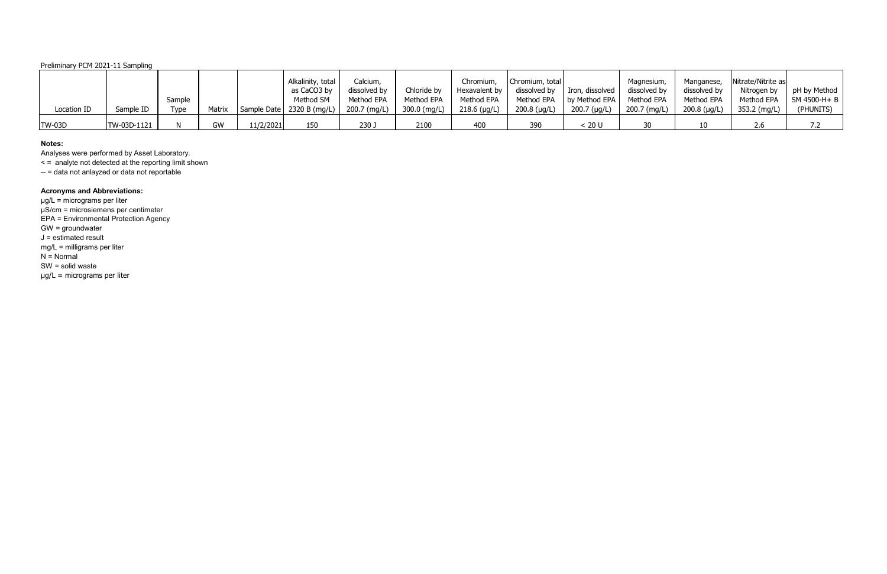# Preliminary PCM 2021-11 Sampling

|               |             |        |           |           | Alkalinity, total                          | Calcium,     |              | Chromium,      | Chromium, total |                 | Magnesium,   | Manganese,           | Nitrate/Nitrite as |                         |
|---------------|-------------|--------|-----------|-----------|--------------------------------------------|--------------|--------------|----------------|-----------------|-----------------|--------------|----------------------|--------------------|-------------------------|
|               |             |        |           |           | as CaCO3 by                                | dissolved by | Chloride by  | Hexavalent by  | dissolved by    | Iron, dissolved | dissolved by | dissolved by         | Nitrogen by        | pH by Method            |
|               |             | Sample |           |           | Method SM                                  | Method EPA   | Method EPA   | Method EPA     | Method EPA      | by Method EPA   | Method EPA   | Method EPA           | Method EPA         | $\mathsf{SM}$ 4500-H+ B |
| Location ID   | Sample ID   | Type   | Matrix    |           | Sample Date   2320 B (mg/L)   200.7 (mg/L) |              | 300.0 (mg/L) | $218.6$ (µg/L) | $200.8$ (µg/L)  | 200.7 (µg/L)    | 200.7 (mg/L) | $200.8$ ( $\mu$ g/L) | 353.2 (mg/L)       | (PHUNITS)               |
|               |             |        |           |           |                                            |              |              |                |                 |                 |              |                      |                    |                         |
| <b>TW-03D</b> | TW-03D-1121 |        | <b>GW</b> | 11/2/2021 | 150                                        | 230 J        | 2100         |                | 390             | : 20 U          |              | 10                   |                    |                         |

#### **Notes:**

Analyses were performed by Asset Laboratory.

< = analyte not detected at the reporting limit shown

-- = data not anlayzed or data not reportable

# **Acronyms and Abbreviations:**

µg/L = micrograms per liter µS/cm = microsiemens per centimeter EPA = Environmental Protection Agency GW = groundwater J = estimated result mg/L = milligrams per liter  $N =$  Normal SW = solid waste µg/L = micrograms per liter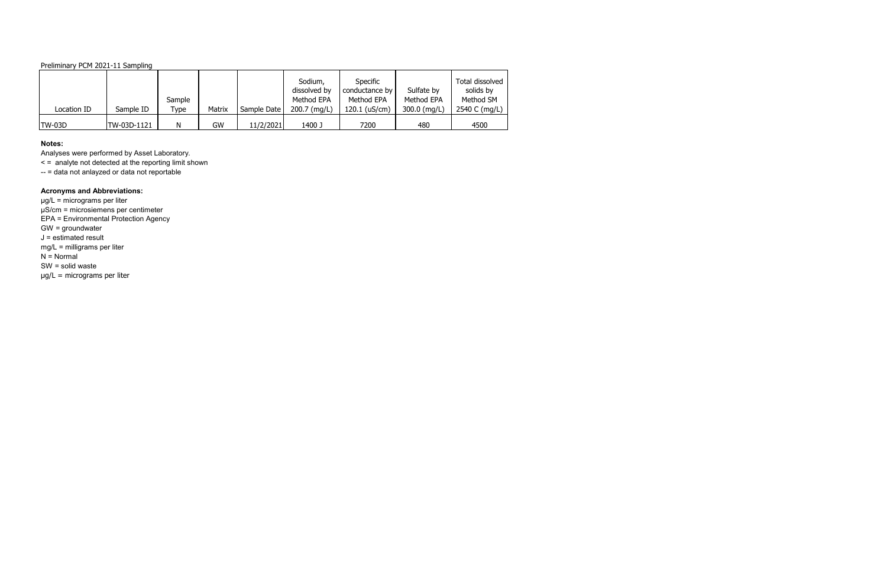# Preliminary PCM 2021-11 Sampling

#### **Notes:**

Analyses were performed by Asset Laboratory.

< = analyte not detected at the reporting limit shown

-- = data not anlayzed or data not reportable

# **Acronyms and Abbreviations:**

| Location ID   | Sample ID   | Sample<br>Type | Matrix | Sample Date | Sodium,<br>dissolved by<br>Method EPA<br>200.7 (mg/L) | <b>Specific</b><br>conductance by<br>Method EPA<br>$120.1$ (uS/cm) | Sulfate by<br>Method EPA<br>300.0 (mg/L) | Total dissolved<br>solids by<br>Method SM<br>2540 C (mg/L) |
|---------------|-------------|----------------|--------|-------------|-------------------------------------------------------|--------------------------------------------------------------------|------------------------------------------|------------------------------------------------------------|
|               |             |                |        |             |                                                       |                                                                    |                                          |                                                            |
| <b>TW-03D</b> | TW-03D-1121 | Ν              | GW     | 11/2/2021   | 1400 J                                                | 7200                                                               | 480                                      | 4500                                                       |

µg/L = micrograms per liter µS/cm = microsiemens per centimeter EPA = Environmental Protection Agency GW = groundwater J = estimated result mg/L = milligrams per liter  $N =$  Normal SW = solid waste µg/L = micrograms per liter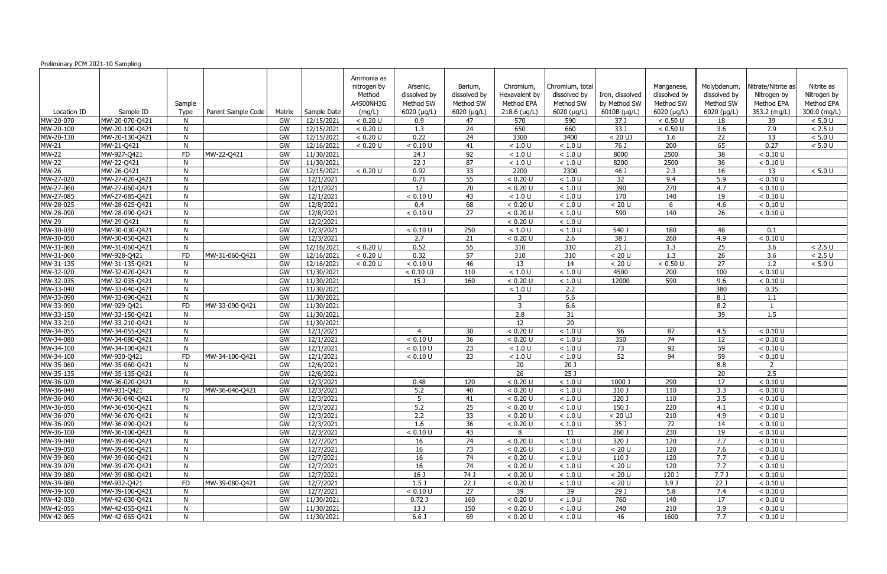| Ammonia as<br>Nitrate/Nitrite as<br>Nitrite as<br>nitrogen by<br>Barium,<br>Chromium,<br>Chromium, total<br>Molybdenum,<br>Arsenic,<br>Manganese,<br>Method<br>dissolved by<br>dissolved by<br>Hexavalent by<br>dissolved by<br>dissolved by<br>dissolved by<br>Iron, dissolved<br>Nitrogen by<br>Nitrogen by<br>by Method SW<br>Method SW<br>Method SW<br>Method SW<br>Method EPA<br>A4500NH3G<br>Method EPA<br>Method SW<br>Method SW<br>Method EPA<br>Sample<br>6010B (µg/L)<br>353.2 (mg/L)<br>300.0 (mg/L)<br>$6020$ ( $\mu$ g/L)<br>6020 (µg/L)<br>$218.6$ (µg/L)<br>$6020$ ( $\mu$ g/L)<br>6020 (µg/L)<br>6020 (µg/L)<br>Sample ID<br>Type<br>Parent Sample Code<br>Sample Date<br>(mg/L)<br>Location ID<br>Matrix<br>MW-20-070-Q421<br>12/15/2021<br>590<br>37 J<br>MW-20-070<br>GW<br>< 0.20 U<br>0.9<br>570<br>< 0.50 U<br>18<br>39<br>$< 5.0 U$<br>47<br>33 J<br>3.6<br>MW-20-100-Q421<br>GW<br>12/15/2021<br>1.3<br>24<br>650<br>660<br>< 0.50 U<br>7.9<br>$< 2.5 U$<br>MW-20-100<br>N<br>< 0.20 U<br>0.22<br>24<br>3300<br>22<br>MW-20-130<br>MW-20-130-Q421<br>GW<br>12/15/2021<br>< 0.20 U<br>3400<br>$< 20$ UJ<br>13<br>$< 5.0 U$<br>N<br>1.6<br>200<br><b>MW-21</b><br>< 0.10 U<br>76J<br>65<br>0.27<br>MW-21-Q421<br>GW<br>12/16/2021<br>< 0.20 U<br>41<br>$<1.0$ U<br>< 1.0 U<br>$< 5.0 U$<br>N<br>$\overline{92}$<br>8000<br>2500<br>$\overline{38}$<br>MW-927-Q421<br>GW<br>11/30/2021<br>$\overline{24J}$<br>< 0.10 U<br><b>FD</b><br>MW-22-Q421<br>< 1.0 U<br>< 1.0 U<br>22J<br>$\overline{36}$<br>MW-22-Q421<br>GW<br>11/30/2021<br>87<br>8200<br>2500<br>< 0.10 U<br>< 1.0 U<br>< 1.0 U<br>N<br>0.92<br>33<br>2300<br>2.3<br>MW-26-Q421<br>GW<br>12/15/2021<br>< 0.20 U<br>2200<br>46 J<br>16<br>13<br>$< 5.0 U$<br>N<br>MW-27-020<br>12/1/2021<br>MW-27-020-Q421<br>GW<br>0.71<br>55<br>< 0.20 U<br>< 1.0 U<br>32<br>9.4<br>5.9<br>< 0.10 U<br>390<br>270<br>MW-27-060<br>70<br>MW-27-060-Q421<br>GW<br>12/1/2021<br>12<br>< 1.0 U<br>4.7<br>< 0.10 U<br>N<br>< 0.20 U<br>MW-27-085<br>< 0.10 U<br>170<br>140<br>MW-27-085-Q421<br>GW<br>12/1/2021<br>43<br>< 1.0 U<br>< 1.0 U<br>19<br>< 0.10 U<br>N<br>MW-28-025<br>12/8/2021<br>68<br>< 0.20 U<br>< 20 U<br>4.6<br>MW-28-025-Q421<br>GW<br>0.4<br>< 1.0 U<br>< 0.10 U<br>N<br>6<br>MW-28-090<br>GW<br>12/8/2021<br>27<br>590<br>140<br>26<br>MW-28-090-Q421<br>< 0.10 U<br>< 0.20 U<br>< 1.0 U<br>< 0.10 U<br>N<br>GW<br>12/2/2021<br>< 0.20 U<br>MW-29<br>MW-29-Q421<br>$<1.0$ U<br><b>N</b><br>MW-30-030<br>GW<br>MW-30-030-Q421<br>12/3/2021<br>$< 0.10 U$<br>250<br>$<1.0$ U<br>< 1.0 U<br>540 J<br>180<br>48<br>0.1<br>N<br>$\overline{260}$<br>GW<br>21<br>2.6<br>38 J<br>4.9<br>MW-30-050<br>MW-30-050-Q421<br>12/3/2021<br>2.7<br>< 0.20 U<br>< 0.10 U<br>N<br>55<br>310<br>21 J<br>25<br>MW-31-060<br>MW-31-060-Q421<br>GW<br>12/16/2021<br>0.52<br>1.3<br>3.6<br>< 0.20 U<br>310<br>< 2.5 U<br>N<br>$\overline{26}$<br>57<br>$\overline{3.6}$<br>GW<br>0.32<br>310<br>310<br>< 20 U<br>1.3<br>MW-31-060<br>MW-928-Q421<br><b>FD</b><br>MW-31-060-Q421<br>12/16/2021<br>< 0.20 U<br>< 2.5 U<br>13<br>27<br>GW<br>46<br>14<br>< 0.50 U<br>1.2<br>MW-31-135<br>MW-31-135-Q421<br>12/16/2021<br>< 0.20 U<br>< 0.10 U<br>< 20 U<br>$< 5.0 U$<br>N<br>MW-32-020<br>MW-32-020-Q421<br>GW<br>11/30/2021<br>$< 0.10$ UJ<br>< 1.0 U<br>4500<br>200<br>100<br>< 0.10 U<br>N<br>110<br>< 1.0 U<br>MW-32-035<br>MW-32-035-Q421<br>GW<br>11/30/2021<br>15 <sub>J</sub><br>160<br>< 0.20 U<br>590<br>9.6<br>< 1.0 U<br>12000<br>< 0.10 U<br>N<br>380<br>MW-33-040<br>MW-33-040-Q421<br>GW<br>11/30/2021<br>2.2<br>0.35<br>N<br>< 1.0 U<br>MW-33-090<br>GW<br>11/30/2021<br>5.6<br>MW-33-090-Q421<br>3<br>8.1<br>1.1<br><b>N</b><br>3<br>6.6<br>8.2<br>MW-33-090<br>MW-929-Q421<br><b>FD</b><br>MW-33-090-Q421<br>GW<br>11/30/2021<br>MW-33-150<br>11/30/2021<br>2.8<br>39<br>1.5<br>MW-33-150-Q421<br>GW<br>31<br>N<br>$\overline{20}$<br>MW-33-210<br>GW<br>12<br>MW-33-210-Q421<br>11/30/2021<br>N<br>MW-34-055<br>MW-34-055-Q421<br>GW<br>12/1/2021<br>30<br>< 0.20 U<br>< 1.0 U<br>96<br>87<br>4.5<br>< 0.10 U<br>4<br>< 0.10 U<br>$\overline{36}$<br>350<br>$\overline{74}$<br>MW-34-080<br>GW<br>12<br>MW-34-080-Q421<br>N<br>12/1/2021<br>< 0.20 U<br>< 1.0 U<br>< 0.10 U<br>23<br>59<br>MW-34-100<br>GW<br>12/1/2021<br>< 0.10 U<br>< 1.0 U<br>73<br>92<br>< 0.10 U<br>MW-34-100-Q421<br>N<br>< 1.0 U<br>59<br>23<br>94<br>MW-930-Q421<br>GW<br>12/1/2021<br>$<1.0$ U<br>52<br>MW-34-100<br>FD<br>MW-34-100-Q421<br>< 0.10 U<br>< 1.0 U<br>< 0.10 U<br>MW-35-060<br>MW-35-060-Q421<br>GW<br>12/6/2021<br>20<br>20 <sub>J</sub><br>8.8<br>N<br>$\overline{2}$<br>$\overline{26}$<br>25J<br>GW<br>20<br>$\overline{2.5}$<br>12/6/2021<br>MW-35-135<br>MW-35-135-Q421<br><b>N</b><br>MW-36-020<br>MW-36-020-Q421<br>GW<br>12/3/2021<br>< 0.20 U<br>17<br>0.48<br>120<br>< 1.0 U<br>1000 J<br>290<br>< 0.10 U<br>-N<br>MW-36-040<br>MW-931-Q421<br>5.2<br>3.3<br>MW-36-040-Q421<br>12/3/2021<br>40<br>< 0.20 U<br>310J<br><b>FD</b><br>GW<br>< 1.0 U<br>110<br>< 0.10 U<br>3.5<br>MW-36-040<br>MW-36-040-Q421<br>12/3/2021<br>5<br>< 0.20 U<br>320 J<br>110<br>GW<br>41<br>$<1.0$ U<br>< 0.10 U<br>N<br>$\overline{5.2}$<br>$\overline{25}$<br>GW<br>$\overline{220}$<br>MW-36-050-Q421<br>12/3/2021<br>150 J<br>4.1<br>MW-36-050<br>N<br>< 0.20 U<br>$<1.0$ U<br>< 0.10 U<br>MW-36-070-Q421<br>GW<br>12/3/2021<br>2.2<br>33<br>210<br>4.9<br>MW-36-070<br>N<br>< 0.20 U<br>$<1.0$ U<br>$< 20$ UJ<br>< 0.10 U<br>1.6<br>36<br>35J<br>72<br>GW<br>12/3/2021<br>< 0.20 U<br>14<br>MW-36-090<br>MW-36-090-Q421<br>N<br>$<1.0$ U<br>< 0.10 U<br>GW<br>260 J<br>230<br>19<br>MW-36-100-Q421<br>12/3/2021<br>< 0.10 U<br>43<br>11<br>< 0.10 U<br>MW-36-100<br>N<br>8<br>74<br>< 0.20 U<br>320J<br>120<br>7.7<br>MW-39-040<br>GW<br>12/7/2021<br>16<br>$<1.0$ U<br>MW-39-040-Q421<br>< 0.10 U<br>N<br>7.6<br>MW-39-050<br>12/7/2021<br>16<br>73<br>< 0.20 U<br>120<br>MW-39-050-Q421<br>GW<br>< 1.0 U<br>< 20 U<br>< 0.10 U<br>N.<br>74<br>7.7<br>MW-39-060<br>GW<br>12/7/2021<br>16<br>< 0.20 U<br>110J<br>120<br>MW-39-060-Q421<br>< 1.0 U<br>< 0.10 U<br>N<br>7.7<br>MW-39-070<br>12/7/2021<br>16<br>74<br>< 20 U<br>120<br>MW-39-070-Q421<br>GW<br>< 0.20 U<br>< 1.0 U<br>< 0.10 U<br>N<br>$74$ J<br>MW-39-080<br>MW-39-080-Q421<br>GW<br>12/7/2021<br>16 J<br>< 20 U<br>120 J<br>7.7J<br>N<br>< 0.20 U<br>< 1.0 U<br>< 0.10 U<br>22J<br>MW-39-080<br>MW-932-Q421<br>FD<br>MW-39-080-Q421<br>GW<br>12/7/2021<br>1.5 <sub>J</sub><br>< 20 U<br>3.9J<br>22J<br>< 0.10 U<br>< 0.20 U<br>$<1.0$ U<br>27<br>39<br>MW-39-100<br>GW<br>12/7/2021<br>< 0.10 U<br>39<br>29 J<br>5.8<br>7.4<br>MW-39-100-Q421<br>< 0.10 U<br>N.<br>160<br>MW-42-030<br>GW<br>11/30/2021<br>< 0.20 U<br>$<1.0$ U<br>760<br>140<br>17<br>< 0.10 U<br>MW-42-030-Q421<br>0.72J<br>N<br>150<br>210<br>3.9<br>MW-42-055<br>MW-42-055-Q421<br>GW<br>11/30/2021<br>13 J<br>< 0.20 U<br>$<1.0$ U<br>240<br>< 0.10 U<br>N<br>7.7<br>GW<br>6.6 <sub>J</sub><br>69<br>46<br>1600<br>MW-42-065<br>MW-42-065-Q421<br>N<br>11/30/2021<br>< 0.20 U<br>$<1.0$ U<br>< 0.10 U | Preliminary PCM 2021-10 Sampling |  |  |  |  |  |  |  |  |
|-----------------------------------------------------------------------------------------------------------------------------------------------------------------------------------------------------------------------------------------------------------------------------------------------------------------------------------------------------------------------------------------------------------------------------------------------------------------------------------------------------------------------------------------------------------------------------------------------------------------------------------------------------------------------------------------------------------------------------------------------------------------------------------------------------------------------------------------------------------------------------------------------------------------------------------------------------------------------------------------------------------------------------------------------------------------------------------------------------------------------------------------------------------------------------------------------------------------------------------------------------------------------------------------------------------------------------------------------------------------------------------------------------------------------------------------------------------------------------------------------------------------------------------------------------------------------------------------------------------------------------------------------------------------------------------------------------------------------------------------------------------------------------------------------------------------------------------------------------------------------------------------------------------------------------------------------------------------------------------------------------------------------------------------------------------------------------------------------------------------------------------------------------------------------------------------------------------------------------------------------------------------------------------------------------------------------------------------------------------------------------------------------------------------------------------------------------------------------------------------------------------------------------------------------------------------------------------------------------------------------------------------------------------------------------------------------------------------------------------------------------------------------------------------------------------------------------------------------------------------------------------------------------------------------------------------------------------------------------------------------------------------------------------------------------------------------------------------------------------------------------------------------------------------------------------------------------------------------------------------------------------------------------------------------------------------------------------------------------------------------------------------------------------------------------------------------------------------------------------------------------------------------------------------------------------------------------------------------------------------------------------------------------------------------------------------------------------------------------------------------------------------------------------------------------------------------------------------------------------------------------------------------------------------------------------------------------------------------------------------------------------------------------------------------------------------------------------------------------------------------------------------------------------------------------------------------------------------------------------------------------------------------------------------------------------------------------------------------------------------------------------------------------------------------------------------------------------------------------------------------------------------------------------------------------------------------------------------------------------------------------------------------------------------------------------------------------------------------------------------------------------------------------------------------------------------------------------------------------------------------------------------------------------------------------------------------------------------------------------------------------------------------------------------------------------------------------------------------------------------------------------------------------------------------------------------------------------------------------------------------------------------------------------------------------------------------------------------------------------------------------------------------------------------------------------------------------------------------------------------------------------------------------------------------------------------------------------------------------------------------------------------------------------------------------------------------------------------------------------------------------------------------------------------------------------------------------------------------------------------------------------------------------------------------------------------------------------------------------------------------------------------------------------------------------------------------------------------------------------------------------------------------------------------------------------------------------------------------------------------------------------------------------------------------------------------------------------------------------------------------------------------------------------------------------------------------------------------------------------------------------------------------------------------------------------------------------------------------------------------------------------------------------------------------------------------------------------------------------------------------------------------------------------------------------------------------------------------------------------------------------------------------------------------------------------------------------------------------------------------------------------------------------------------------------------------------------------------------------------|----------------------------------|--|--|--|--|--|--|--|--|
|                                                                                                                                                                                                                                                                                                                                                                                                                                                                                                                                                                                                                                                                                                                                                                                                                                                                                                                                                                                                                                                                                                                                                                                                                                                                                                                                                                                                                                                                                                                                                                                                                                                                                                                                                                                                                                                                                                                                                                                                                                                                                                                                                                                                                                                                                                                                                                                                                                                                                                                                                                                                                                                                                                                                                                                                                                                                                                                                                                                                                                                                                                                                                                                                                                                                                                                                                                                                                                                                                                                                                                                                                                                                                                                                                                                                                                                                                                                                                                                                                                                                                                                                                                                                                                                                                                                                                                                                                                                                                                                                                                                                                                                                                                                                                                                                                                                                                                                                                                                                                                                                                                                                                                                                                                                                                                                                                                                                                                                                                                                                                                                                                                                                                                                                                                                                                                                                                                                                                                                                                                                                                                                                                                                                                                                                                                                                                                                                                                                                                                                                                                                                                                                                                                                                                                                                                                                                                                                                                                                                                                                                                                           |                                  |  |  |  |  |  |  |  |  |
|                                                                                                                                                                                                                                                                                                                                                                                                                                                                                                                                                                                                                                                                                                                                                                                                                                                                                                                                                                                                                                                                                                                                                                                                                                                                                                                                                                                                                                                                                                                                                                                                                                                                                                                                                                                                                                                                                                                                                                                                                                                                                                                                                                                                                                                                                                                                                                                                                                                                                                                                                                                                                                                                                                                                                                                                                                                                                                                                                                                                                                                                                                                                                                                                                                                                                                                                                                                                                                                                                                                                                                                                                                                                                                                                                                                                                                                                                                                                                                                                                                                                                                                                                                                                                                                                                                                                                                                                                                                                                                                                                                                                                                                                                                                                                                                                                                                                                                                                                                                                                                                                                                                                                                                                                                                                                                                                                                                                                                                                                                                                                                                                                                                                                                                                                                                                                                                                                                                                                                                                                                                                                                                                                                                                                                                                                                                                                                                                                                                                                                                                                                                                                                                                                                                                                                                                                                                                                                                                                                                                                                                                                                           |                                  |  |  |  |  |  |  |  |  |
|                                                                                                                                                                                                                                                                                                                                                                                                                                                                                                                                                                                                                                                                                                                                                                                                                                                                                                                                                                                                                                                                                                                                                                                                                                                                                                                                                                                                                                                                                                                                                                                                                                                                                                                                                                                                                                                                                                                                                                                                                                                                                                                                                                                                                                                                                                                                                                                                                                                                                                                                                                                                                                                                                                                                                                                                                                                                                                                                                                                                                                                                                                                                                                                                                                                                                                                                                                                                                                                                                                                                                                                                                                                                                                                                                                                                                                                                                                                                                                                                                                                                                                                                                                                                                                                                                                                                                                                                                                                                                                                                                                                                                                                                                                                                                                                                                                                                                                                                                                                                                                                                                                                                                                                                                                                                                                                                                                                                                                                                                                                                                                                                                                                                                                                                                                                                                                                                                                                                                                                                                                                                                                                                                                                                                                                                                                                                                                                                                                                                                                                                                                                                                                                                                                                                                                                                                                                                                                                                                                                                                                                                                                           |                                  |  |  |  |  |  |  |  |  |
|                                                                                                                                                                                                                                                                                                                                                                                                                                                                                                                                                                                                                                                                                                                                                                                                                                                                                                                                                                                                                                                                                                                                                                                                                                                                                                                                                                                                                                                                                                                                                                                                                                                                                                                                                                                                                                                                                                                                                                                                                                                                                                                                                                                                                                                                                                                                                                                                                                                                                                                                                                                                                                                                                                                                                                                                                                                                                                                                                                                                                                                                                                                                                                                                                                                                                                                                                                                                                                                                                                                                                                                                                                                                                                                                                                                                                                                                                                                                                                                                                                                                                                                                                                                                                                                                                                                                                                                                                                                                                                                                                                                                                                                                                                                                                                                                                                                                                                                                                                                                                                                                                                                                                                                                                                                                                                                                                                                                                                                                                                                                                                                                                                                                                                                                                                                                                                                                                                                                                                                                                                                                                                                                                                                                                                                                                                                                                                                                                                                                                                                                                                                                                                                                                                                                                                                                                                                                                                                                                                                                                                                                                                           |                                  |  |  |  |  |  |  |  |  |
|                                                                                                                                                                                                                                                                                                                                                                                                                                                                                                                                                                                                                                                                                                                                                                                                                                                                                                                                                                                                                                                                                                                                                                                                                                                                                                                                                                                                                                                                                                                                                                                                                                                                                                                                                                                                                                                                                                                                                                                                                                                                                                                                                                                                                                                                                                                                                                                                                                                                                                                                                                                                                                                                                                                                                                                                                                                                                                                                                                                                                                                                                                                                                                                                                                                                                                                                                                                                                                                                                                                                                                                                                                                                                                                                                                                                                                                                                                                                                                                                                                                                                                                                                                                                                                                                                                                                                                                                                                                                                                                                                                                                                                                                                                                                                                                                                                                                                                                                                                                                                                                                                                                                                                                                                                                                                                                                                                                                                                                                                                                                                                                                                                                                                                                                                                                                                                                                                                                                                                                                                                                                                                                                                                                                                                                                                                                                                                                                                                                                                                                                                                                                                                                                                                                                                                                                                                                                                                                                                                                                                                                                                                           |                                  |  |  |  |  |  |  |  |  |
|                                                                                                                                                                                                                                                                                                                                                                                                                                                                                                                                                                                                                                                                                                                                                                                                                                                                                                                                                                                                                                                                                                                                                                                                                                                                                                                                                                                                                                                                                                                                                                                                                                                                                                                                                                                                                                                                                                                                                                                                                                                                                                                                                                                                                                                                                                                                                                                                                                                                                                                                                                                                                                                                                                                                                                                                                                                                                                                                                                                                                                                                                                                                                                                                                                                                                                                                                                                                                                                                                                                                                                                                                                                                                                                                                                                                                                                                                                                                                                                                                                                                                                                                                                                                                                                                                                                                                                                                                                                                                                                                                                                                                                                                                                                                                                                                                                                                                                                                                                                                                                                                                                                                                                                                                                                                                                                                                                                                                                                                                                                                                                                                                                                                                                                                                                                                                                                                                                                                                                                                                                                                                                                                                                                                                                                                                                                                                                                                                                                                                                                                                                                                                                                                                                                                                                                                                                                                                                                                                                                                                                                                                                           |                                  |  |  |  |  |  |  |  |  |
|                                                                                                                                                                                                                                                                                                                                                                                                                                                                                                                                                                                                                                                                                                                                                                                                                                                                                                                                                                                                                                                                                                                                                                                                                                                                                                                                                                                                                                                                                                                                                                                                                                                                                                                                                                                                                                                                                                                                                                                                                                                                                                                                                                                                                                                                                                                                                                                                                                                                                                                                                                                                                                                                                                                                                                                                                                                                                                                                                                                                                                                                                                                                                                                                                                                                                                                                                                                                                                                                                                                                                                                                                                                                                                                                                                                                                                                                                                                                                                                                                                                                                                                                                                                                                                                                                                                                                                                                                                                                                                                                                                                                                                                                                                                                                                                                                                                                                                                                                                                                                                                                                                                                                                                                                                                                                                                                                                                                                                                                                                                                                                                                                                                                                                                                                                                                                                                                                                                                                                                                                                                                                                                                                                                                                                                                                                                                                                                                                                                                                                                                                                                                                                                                                                                                                                                                                                                                                                                                                                                                                                                                                                           |                                  |  |  |  |  |  |  |  |  |
|                                                                                                                                                                                                                                                                                                                                                                                                                                                                                                                                                                                                                                                                                                                                                                                                                                                                                                                                                                                                                                                                                                                                                                                                                                                                                                                                                                                                                                                                                                                                                                                                                                                                                                                                                                                                                                                                                                                                                                                                                                                                                                                                                                                                                                                                                                                                                                                                                                                                                                                                                                                                                                                                                                                                                                                                                                                                                                                                                                                                                                                                                                                                                                                                                                                                                                                                                                                                                                                                                                                                                                                                                                                                                                                                                                                                                                                                                                                                                                                                                                                                                                                                                                                                                                                                                                                                                                                                                                                                                                                                                                                                                                                                                                                                                                                                                                                                                                                                                                                                                                                                                                                                                                                                                                                                                                                                                                                                                                                                                                                                                                                                                                                                                                                                                                                                                                                                                                                                                                                                                                                                                                                                                                                                                                                                                                                                                                                                                                                                                                                                                                                                                                                                                                                                                                                                                                                                                                                                                                                                                                                                                                           |                                  |  |  |  |  |  |  |  |  |
|                                                                                                                                                                                                                                                                                                                                                                                                                                                                                                                                                                                                                                                                                                                                                                                                                                                                                                                                                                                                                                                                                                                                                                                                                                                                                                                                                                                                                                                                                                                                                                                                                                                                                                                                                                                                                                                                                                                                                                                                                                                                                                                                                                                                                                                                                                                                                                                                                                                                                                                                                                                                                                                                                                                                                                                                                                                                                                                                                                                                                                                                                                                                                                                                                                                                                                                                                                                                                                                                                                                                                                                                                                                                                                                                                                                                                                                                                                                                                                                                                                                                                                                                                                                                                                                                                                                                                                                                                                                                                                                                                                                                                                                                                                                                                                                                                                                                                                                                                                                                                                                                                                                                                                                                                                                                                                                                                                                                                                                                                                                                                                                                                                                                                                                                                                                                                                                                                                                                                                                                                                                                                                                                                                                                                                                                                                                                                                                                                                                                                                                                                                                                                                                                                                                                                                                                                                                                                                                                                                                                                                                                                                           |                                  |  |  |  |  |  |  |  |  |
|                                                                                                                                                                                                                                                                                                                                                                                                                                                                                                                                                                                                                                                                                                                                                                                                                                                                                                                                                                                                                                                                                                                                                                                                                                                                                                                                                                                                                                                                                                                                                                                                                                                                                                                                                                                                                                                                                                                                                                                                                                                                                                                                                                                                                                                                                                                                                                                                                                                                                                                                                                                                                                                                                                                                                                                                                                                                                                                                                                                                                                                                                                                                                                                                                                                                                                                                                                                                                                                                                                                                                                                                                                                                                                                                                                                                                                                                                                                                                                                                                                                                                                                                                                                                                                                                                                                                                                                                                                                                                                                                                                                                                                                                                                                                                                                                                                                                                                                                                                                                                                                                                                                                                                                                                                                                                                                                                                                                                                                                                                                                                                                                                                                                                                                                                                                                                                                                                                                                                                                                                                                                                                                                                                                                                                                                                                                                                                                                                                                                                                                                                                                                                                                                                                                                                                                                                                                                                                                                                                                                                                                                                                           | <b>MW-22</b>                     |  |  |  |  |  |  |  |  |
|                                                                                                                                                                                                                                                                                                                                                                                                                                                                                                                                                                                                                                                                                                                                                                                                                                                                                                                                                                                                                                                                                                                                                                                                                                                                                                                                                                                                                                                                                                                                                                                                                                                                                                                                                                                                                                                                                                                                                                                                                                                                                                                                                                                                                                                                                                                                                                                                                                                                                                                                                                                                                                                                                                                                                                                                                                                                                                                                                                                                                                                                                                                                                                                                                                                                                                                                                                                                                                                                                                                                                                                                                                                                                                                                                                                                                                                                                                                                                                                                                                                                                                                                                                                                                                                                                                                                                                                                                                                                                                                                                                                                                                                                                                                                                                                                                                                                                                                                                                                                                                                                                                                                                                                                                                                                                                                                                                                                                                                                                                                                                                                                                                                                                                                                                                                                                                                                                                                                                                                                                                                                                                                                                                                                                                                                                                                                                                                                                                                                                                                                                                                                                                                                                                                                                                                                                                                                                                                                                                                                                                                                                                           | $MW-22$                          |  |  |  |  |  |  |  |  |
|                                                                                                                                                                                                                                                                                                                                                                                                                                                                                                                                                                                                                                                                                                                                                                                                                                                                                                                                                                                                                                                                                                                                                                                                                                                                                                                                                                                                                                                                                                                                                                                                                                                                                                                                                                                                                                                                                                                                                                                                                                                                                                                                                                                                                                                                                                                                                                                                                                                                                                                                                                                                                                                                                                                                                                                                                                                                                                                                                                                                                                                                                                                                                                                                                                                                                                                                                                                                                                                                                                                                                                                                                                                                                                                                                                                                                                                                                                                                                                                                                                                                                                                                                                                                                                                                                                                                                                                                                                                                                                                                                                                                                                                                                                                                                                                                                                                                                                                                                                                                                                                                                                                                                                                                                                                                                                                                                                                                                                                                                                                                                                                                                                                                                                                                                                                                                                                                                                                                                                                                                                                                                                                                                                                                                                                                                                                                                                                                                                                                                                                                                                                                                                                                                                                                                                                                                                                                                                                                                                                                                                                                                                           | <b>MW-26</b>                     |  |  |  |  |  |  |  |  |
|                                                                                                                                                                                                                                                                                                                                                                                                                                                                                                                                                                                                                                                                                                                                                                                                                                                                                                                                                                                                                                                                                                                                                                                                                                                                                                                                                                                                                                                                                                                                                                                                                                                                                                                                                                                                                                                                                                                                                                                                                                                                                                                                                                                                                                                                                                                                                                                                                                                                                                                                                                                                                                                                                                                                                                                                                                                                                                                                                                                                                                                                                                                                                                                                                                                                                                                                                                                                                                                                                                                                                                                                                                                                                                                                                                                                                                                                                                                                                                                                                                                                                                                                                                                                                                                                                                                                                                                                                                                                                                                                                                                                                                                                                                                                                                                                                                                                                                                                                                                                                                                                                                                                                                                                                                                                                                                                                                                                                                                                                                                                                                                                                                                                                                                                                                                                                                                                                                                                                                                                                                                                                                                                                                                                                                                                                                                                                                                                                                                                                                                                                                                                                                                                                                                                                                                                                                                                                                                                                                                                                                                                                                           |                                  |  |  |  |  |  |  |  |  |
|                                                                                                                                                                                                                                                                                                                                                                                                                                                                                                                                                                                                                                                                                                                                                                                                                                                                                                                                                                                                                                                                                                                                                                                                                                                                                                                                                                                                                                                                                                                                                                                                                                                                                                                                                                                                                                                                                                                                                                                                                                                                                                                                                                                                                                                                                                                                                                                                                                                                                                                                                                                                                                                                                                                                                                                                                                                                                                                                                                                                                                                                                                                                                                                                                                                                                                                                                                                                                                                                                                                                                                                                                                                                                                                                                                                                                                                                                                                                                                                                                                                                                                                                                                                                                                                                                                                                                                                                                                                                                                                                                                                                                                                                                                                                                                                                                                                                                                                                                                                                                                                                                                                                                                                                                                                                                                                                                                                                                                                                                                                                                                                                                                                                                                                                                                                                                                                                                                                                                                                                                                                                                                                                                                                                                                                                                                                                                                                                                                                                                                                                                                                                                                                                                                                                                                                                                                                                                                                                                                                                                                                                                                           |                                  |  |  |  |  |  |  |  |  |
|                                                                                                                                                                                                                                                                                                                                                                                                                                                                                                                                                                                                                                                                                                                                                                                                                                                                                                                                                                                                                                                                                                                                                                                                                                                                                                                                                                                                                                                                                                                                                                                                                                                                                                                                                                                                                                                                                                                                                                                                                                                                                                                                                                                                                                                                                                                                                                                                                                                                                                                                                                                                                                                                                                                                                                                                                                                                                                                                                                                                                                                                                                                                                                                                                                                                                                                                                                                                                                                                                                                                                                                                                                                                                                                                                                                                                                                                                                                                                                                                                                                                                                                                                                                                                                                                                                                                                                                                                                                                                                                                                                                                                                                                                                                                                                                                                                                                                                                                                                                                                                                                                                                                                                                                                                                                                                                                                                                                                                                                                                                                                                                                                                                                                                                                                                                                                                                                                                                                                                                                                                                                                                                                                                                                                                                                                                                                                                                                                                                                                                                                                                                                                                                                                                                                                                                                                                                                                                                                                                                                                                                                                                           |                                  |  |  |  |  |  |  |  |  |
|                                                                                                                                                                                                                                                                                                                                                                                                                                                                                                                                                                                                                                                                                                                                                                                                                                                                                                                                                                                                                                                                                                                                                                                                                                                                                                                                                                                                                                                                                                                                                                                                                                                                                                                                                                                                                                                                                                                                                                                                                                                                                                                                                                                                                                                                                                                                                                                                                                                                                                                                                                                                                                                                                                                                                                                                                                                                                                                                                                                                                                                                                                                                                                                                                                                                                                                                                                                                                                                                                                                                                                                                                                                                                                                                                                                                                                                                                                                                                                                                                                                                                                                                                                                                                                                                                                                                                                                                                                                                                                                                                                                                                                                                                                                                                                                                                                                                                                                                                                                                                                                                                                                                                                                                                                                                                                                                                                                                                                                                                                                                                                                                                                                                                                                                                                                                                                                                                                                                                                                                                                                                                                                                                                                                                                                                                                                                                                                                                                                                                                                                                                                                                                                                                                                                                                                                                                                                                                                                                                                                                                                                                                           |                                  |  |  |  |  |  |  |  |  |
|                                                                                                                                                                                                                                                                                                                                                                                                                                                                                                                                                                                                                                                                                                                                                                                                                                                                                                                                                                                                                                                                                                                                                                                                                                                                                                                                                                                                                                                                                                                                                                                                                                                                                                                                                                                                                                                                                                                                                                                                                                                                                                                                                                                                                                                                                                                                                                                                                                                                                                                                                                                                                                                                                                                                                                                                                                                                                                                                                                                                                                                                                                                                                                                                                                                                                                                                                                                                                                                                                                                                                                                                                                                                                                                                                                                                                                                                                                                                                                                                                                                                                                                                                                                                                                                                                                                                                                                                                                                                                                                                                                                                                                                                                                                                                                                                                                                                                                                                                                                                                                                                                                                                                                                                                                                                                                                                                                                                                                                                                                                                                                                                                                                                                                                                                                                                                                                                                                                                                                                                                                                                                                                                                                                                                                                                                                                                                                                                                                                                                                                                                                                                                                                                                                                                                                                                                                                                                                                                                                                                                                                                                                           |                                  |  |  |  |  |  |  |  |  |
|                                                                                                                                                                                                                                                                                                                                                                                                                                                                                                                                                                                                                                                                                                                                                                                                                                                                                                                                                                                                                                                                                                                                                                                                                                                                                                                                                                                                                                                                                                                                                                                                                                                                                                                                                                                                                                                                                                                                                                                                                                                                                                                                                                                                                                                                                                                                                                                                                                                                                                                                                                                                                                                                                                                                                                                                                                                                                                                                                                                                                                                                                                                                                                                                                                                                                                                                                                                                                                                                                                                                                                                                                                                                                                                                                                                                                                                                                                                                                                                                                                                                                                                                                                                                                                                                                                                                                                                                                                                                                                                                                                                                                                                                                                                                                                                                                                                                                                                                                                                                                                                                                                                                                                                                                                                                                                                                                                                                                                                                                                                                                                                                                                                                                                                                                                                                                                                                                                                                                                                                                                                                                                                                                                                                                                                                                                                                                                                                                                                                                                                                                                                                                                                                                                                                                                                                                                                                                                                                                                                                                                                                                                           |                                  |  |  |  |  |  |  |  |  |
|                                                                                                                                                                                                                                                                                                                                                                                                                                                                                                                                                                                                                                                                                                                                                                                                                                                                                                                                                                                                                                                                                                                                                                                                                                                                                                                                                                                                                                                                                                                                                                                                                                                                                                                                                                                                                                                                                                                                                                                                                                                                                                                                                                                                                                                                                                                                                                                                                                                                                                                                                                                                                                                                                                                                                                                                                                                                                                                                                                                                                                                                                                                                                                                                                                                                                                                                                                                                                                                                                                                                                                                                                                                                                                                                                                                                                                                                                                                                                                                                                                                                                                                                                                                                                                                                                                                                                                                                                                                                                                                                                                                                                                                                                                                                                                                                                                                                                                                                                                                                                                                                                                                                                                                                                                                                                                                                                                                                                                                                                                                                                                                                                                                                                                                                                                                                                                                                                                                                                                                                                                                                                                                                                                                                                                                                                                                                                                                                                                                                                                                                                                                                                                                                                                                                                                                                                                                                                                                                                                                                                                                                                                           |                                  |  |  |  |  |  |  |  |  |
|                                                                                                                                                                                                                                                                                                                                                                                                                                                                                                                                                                                                                                                                                                                                                                                                                                                                                                                                                                                                                                                                                                                                                                                                                                                                                                                                                                                                                                                                                                                                                                                                                                                                                                                                                                                                                                                                                                                                                                                                                                                                                                                                                                                                                                                                                                                                                                                                                                                                                                                                                                                                                                                                                                                                                                                                                                                                                                                                                                                                                                                                                                                                                                                                                                                                                                                                                                                                                                                                                                                                                                                                                                                                                                                                                                                                                                                                                                                                                                                                                                                                                                                                                                                                                                                                                                                                                                                                                                                                                                                                                                                                                                                                                                                                                                                                                                                                                                                                                                                                                                                                                                                                                                                                                                                                                                                                                                                                                                                                                                                                                                                                                                                                                                                                                                                                                                                                                                                                                                                                                                                                                                                                                                                                                                                                                                                                                                                                                                                                                                                                                                                                                                                                                                                                                                                                                                                                                                                                                                                                                                                                                                           |                                  |  |  |  |  |  |  |  |  |
|                                                                                                                                                                                                                                                                                                                                                                                                                                                                                                                                                                                                                                                                                                                                                                                                                                                                                                                                                                                                                                                                                                                                                                                                                                                                                                                                                                                                                                                                                                                                                                                                                                                                                                                                                                                                                                                                                                                                                                                                                                                                                                                                                                                                                                                                                                                                                                                                                                                                                                                                                                                                                                                                                                                                                                                                                                                                                                                                                                                                                                                                                                                                                                                                                                                                                                                                                                                                                                                                                                                                                                                                                                                                                                                                                                                                                                                                                                                                                                                                                                                                                                                                                                                                                                                                                                                                                                                                                                                                                                                                                                                                                                                                                                                                                                                                                                                                                                                                                                                                                                                                                                                                                                                                                                                                                                                                                                                                                                                                                                                                                                                                                                                                                                                                                                                                                                                                                                                                                                                                                                                                                                                                                                                                                                                                                                                                                                                                                                                                                                                                                                                                                                                                                                                                                                                                                                                                                                                                                                                                                                                                                                           |                                  |  |  |  |  |  |  |  |  |
|                                                                                                                                                                                                                                                                                                                                                                                                                                                                                                                                                                                                                                                                                                                                                                                                                                                                                                                                                                                                                                                                                                                                                                                                                                                                                                                                                                                                                                                                                                                                                                                                                                                                                                                                                                                                                                                                                                                                                                                                                                                                                                                                                                                                                                                                                                                                                                                                                                                                                                                                                                                                                                                                                                                                                                                                                                                                                                                                                                                                                                                                                                                                                                                                                                                                                                                                                                                                                                                                                                                                                                                                                                                                                                                                                                                                                                                                                                                                                                                                                                                                                                                                                                                                                                                                                                                                                                                                                                                                                                                                                                                                                                                                                                                                                                                                                                                                                                                                                                                                                                                                                                                                                                                                                                                                                                                                                                                                                                                                                                                                                                                                                                                                                                                                                                                                                                                                                                                                                                                                                                                                                                                                                                                                                                                                                                                                                                                                                                                                                                                                                                                                                                                                                                                                                                                                                                                                                                                                                                                                                                                                                                           |                                  |  |  |  |  |  |  |  |  |
|                                                                                                                                                                                                                                                                                                                                                                                                                                                                                                                                                                                                                                                                                                                                                                                                                                                                                                                                                                                                                                                                                                                                                                                                                                                                                                                                                                                                                                                                                                                                                                                                                                                                                                                                                                                                                                                                                                                                                                                                                                                                                                                                                                                                                                                                                                                                                                                                                                                                                                                                                                                                                                                                                                                                                                                                                                                                                                                                                                                                                                                                                                                                                                                                                                                                                                                                                                                                                                                                                                                                                                                                                                                                                                                                                                                                                                                                                                                                                                                                                                                                                                                                                                                                                                                                                                                                                                                                                                                                                                                                                                                                                                                                                                                                                                                                                                                                                                                                                                                                                                                                                                                                                                                                                                                                                                                                                                                                                                                                                                                                                                                                                                                                                                                                                                                                                                                                                                                                                                                                                                                                                                                                                                                                                                                                                                                                                                                                                                                                                                                                                                                                                                                                                                                                                                                                                                                                                                                                                                                                                                                                                                           |                                  |  |  |  |  |  |  |  |  |
|                                                                                                                                                                                                                                                                                                                                                                                                                                                                                                                                                                                                                                                                                                                                                                                                                                                                                                                                                                                                                                                                                                                                                                                                                                                                                                                                                                                                                                                                                                                                                                                                                                                                                                                                                                                                                                                                                                                                                                                                                                                                                                                                                                                                                                                                                                                                                                                                                                                                                                                                                                                                                                                                                                                                                                                                                                                                                                                                                                                                                                                                                                                                                                                                                                                                                                                                                                                                                                                                                                                                                                                                                                                                                                                                                                                                                                                                                                                                                                                                                                                                                                                                                                                                                                                                                                                                                                                                                                                                                                                                                                                                                                                                                                                                                                                                                                                                                                                                                                                                                                                                                                                                                                                                                                                                                                                                                                                                                                                                                                                                                                                                                                                                                                                                                                                                                                                                                                                                                                                                                                                                                                                                                                                                                                                                                                                                                                                                                                                                                                                                                                                                                                                                                                                                                                                                                                                                                                                                                                                                                                                                                                           |                                  |  |  |  |  |  |  |  |  |
|                                                                                                                                                                                                                                                                                                                                                                                                                                                                                                                                                                                                                                                                                                                                                                                                                                                                                                                                                                                                                                                                                                                                                                                                                                                                                                                                                                                                                                                                                                                                                                                                                                                                                                                                                                                                                                                                                                                                                                                                                                                                                                                                                                                                                                                                                                                                                                                                                                                                                                                                                                                                                                                                                                                                                                                                                                                                                                                                                                                                                                                                                                                                                                                                                                                                                                                                                                                                                                                                                                                                                                                                                                                                                                                                                                                                                                                                                                                                                                                                                                                                                                                                                                                                                                                                                                                                                                                                                                                                                                                                                                                                                                                                                                                                                                                                                                                                                                                                                                                                                                                                                                                                                                                                                                                                                                                                                                                                                                                                                                                                                                                                                                                                                                                                                                                                                                                                                                                                                                                                                                                                                                                                                                                                                                                                                                                                                                                                                                                                                                                                                                                                                                                                                                                                                                                                                                                                                                                                                                                                                                                                                                           |                                  |  |  |  |  |  |  |  |  |
|                                                                                                                                                                                                                                                                                                                                                                                                                                                                                                                                                                                                                                                                                                                                                                                                                                                                                                                                                                                                                                                                                                                                                                                                                                                                                                                                                                                                                                                                                                                                                                                                                                                                                                                                                                                                                                                                                                                                                                                                                                                                                                                                                                                                                                                                                                                                                                                                                                                                                                                                                                                                                                                                                                                                                                                                                                                                                                                                                                                                                                                                                                                                                                                                                                                                                                                                                                                                                                                                                                                                                                                                                                                                                                                                                                                                                                                                                                                                                                                                                                                                                                                                                                                                                                                                                                                                                                                                                                                                                                                                                                                                                                                                                                                                                                                                                                                                                                                                                                                                                                                                                                                                                                                                                                                                                                                                                                                                                                                                                                                                                                                                                                                                                                                                                                                                                                                                                                                                                                                                                                                                                                                                                                                                                                                                                                                                                                                                                                                                                                                                                                                                                                                                                                                                                                                                                                                                                                                                                                                                                                                                                                           |                                  |  |  |  |  |  |  |  |  |
|                                                                                                                                                                                                                                                                                                                                                                                                                                                                                                                                                                                                                                                                                                                                                                                                                                                                                                                                                                                                                                                                                                                                                                                                                                                                                                                                                                                                                                                                                                                                                                                                                                                                                                                                                                                                                                                                                                                                                                                                                                                                                                                                                                                                                                                                                                                                                                                                                                                                                                                                                                                                                                                                                                                                                                                                                                                                                                                                                                                                                                                                                                                                                                                                                                                                                                                                                                                                                                                                                                                                                                                                                                                                                                                                                                                                                                                                                                                                                                                                                                                                                                                                                                                                                                                                                                                                                                                                                                                                                                                                                                                                                                                                                                                                                                                                                                                                                                                                                                                                                                                                                                                                                                                                                                                                                                                                                                                                                                                                                                                                                                                                                                                                                                                                                                                                                                                                                                                                                                                                                                                                                                                                                                                                                                                                                                                                                                                                                                                                                                                                                                                                                                                                                                                                                                                                                                                                                                                                                                                                                                                                                                           |                                  |  |  |  |  |  |  |  |  |
|                                                                                                                                                                                                                                                                                                                                                                                                                                                                                                                                                                                                                                                                                                                                                                                                                                                                                                                                                                                                                                                                                                                                                                                                                                                                                                                                                                                                                                                                                                                                                                                                                                                                                                                                                                                                                                                                                                                                                                                                                                                                                                                                                                                                                                                                                                                                                                                                                                                                                                                                                                                                                                                                                                                                                                                                                                                                                                                                                                                                                                                                                                                                                                                                                                                                                                                                                                                                                                                                                                                                                                                                                                                                                                                                                                                                                                                                                                                                                                                                                                                                                                                                                                                                                                                                                                                                                                                                                                                                                                                                                                                                                                                                                                                                                                                                                                                                                                                                                                                                                                                                                                                                                                                                                                                                                                                                                                                                                                                                                                                                                                                                                                                                                                                                                                                                                                                                                                                                                                                                                                                                                                                                                                                                                                                                                                                                                                                                                                                                                                                                                                                                                                                                                                                                                                                                                                                                                                                                                                                                                                                                                                           |                                  |  |  |  |  |  |  |  |  |
|                                                                                                                                                                                                                                                                                                                                                                                                                                                                                                                                                                                                                                                                                                                                                                                                                                                                                                                                                                                                                                                                                                                                                                                                                                                                                                                                                                                                                                                                                                                                                                                                                                                                                                                                                                                                                                                                                                                                                                                                                                                                                                                                                                                                                                                                                                                                                                                                                                                                                                                                                                                                                                                                                                                                                                                                                                                                                                                                                                                                                                                                                                                                                                                                                                                                                                                                                                                                                                                                                                                                                                                                                                                                                                                                                                                                                                                                                                                                                                                                                                                                                                                                                                                                                                                                                                                                                                                                                                                                                                                                                                                                                                                                                                                                                                                                                                                                                                                                                                                                                                                                                                                                                                                                                                                                                                                                                                                                                                                                                                                                                                                                                                                                                                                                                                                                                                                                                                                                                                                                                                                                                                                                                                                                                                                                                                                                                                                                                                                                                                                                                                                                                                                                                                                                                                                                                                                                                                                                                                                                                                                                                                           |                                  |  |  |  |  |  |  |  |  |
|                                                                                                                                                                                                                                                                                                                                                                                                                                                                                                                                                                                                                                                                                                                                                                                                                                                                                                                                                                                                                                                                                                                                                                                                                                                                                                                                                                                                                                                                                                                                                                                                                                                                                                                                                                                                                                                                                                                                                                                                                                                                                                                                                                                                                                                                                                                                                                                                                                                                                                                                                                                                                                                                                                                                                                                                                                                                                                                                                                                                                                                                                                                                                                                                                                                                                                                                                                                                                                                                                                                                                                                                                                                                                                                                                                                                                                                                                                                                                                                                                                                                                                                                                                                                                                                                                                                                                                                                                                                                                                                                                                                                                                                                                                                                                                                                                                                                                                                                                                                                                                                                                                                                                                                                                                                                                                                                                                                                                                                                                                                                                                                                                                                                                                                                                                                                                                                                                                                                                                                                                                                                                                                                                                                                                                                                                                                                                                                                                                                                                                                                                                                                                                                                                                                                                                                                                                                                                                                                                                                                                                                                                                           |                                  |  |  |  |  |  |  |  |  |
|                                                                                                                                                                                                                                                                                                                                                                                                                                                                                                                                                                                                                                                                                                                                                                                                                                                                                                                                                                                                                                                                                                                                                                                                                                                                                                                                                                                                                                                                                                                                                                                                                                                                                                                                                                                                                                                                                                                                                                                                                                                                                                                                                                                                                                                                                                                                                                                                                                                                                                                                                                                                                                                                                                                                                                                                                                                                                                                                                                                                                                                                                                                                                                                                                                                                                                                                                                                                                                                                                                                                                                                                                                                                                                                                                                                                                                                                                                                                                                                                                                                                                                                                                                                                                                                                                                                                                                                                                                                                                                                                                                                                                                                                                                                                                                                                                                                                                                                                                                                                                                                                                                                                                                                                                                                                                                                                                                                                                                                                                                                                                                                                                                                                                                                                                                                                                                                                                                                                                                                                                                                                                                                                                                                                                                                                                                                                                                                                                                                                                                                                                                                                                                                                                                                                                                                                                                                                                                                                                                                                                                                                                                           |                                  |  |  |  |  |  |  |  |  |
|                                                                                                                                                                                                                                                                                                                                                                                                                                                                                                                                                                                                                                                                                                                                                                                                                                                                                                                                                                                                                                                                                                                                                                                                                                                                                                                                                                                                                                                                                                                                                                                                                                                                                                                                                                                                                                                                                                                                                                                                                                                                                                                                                                                                                                                                                                                                                                                                                                                                                                                                                                                                                                                                                                                                                                                                                                                                                                                                                                                                                                                                                                                                                                                                                                                                                                                                                                                                                                                                                                                                                                                                                                                                                                                                                                                                                                                                                                                                                                                                                                                                                                                                                                                                                                                                                                                                                                                                                                                                                                                                                                                                                                                                                                                                                                                                                                                                                                                                                                                                                                                                                                                                                                                                                                                                                                                                                                                                                                                                                                                                                                                                                                                                                                                                                                                                                                                                                                                                                                                                                                                                                                                                                                                                                                                                                                                                                                                                                                                                                                                                                                                                                                                                                                                                                                                                                                                                                                                                                                                                                                                                                                           |                                  |  |  |  |  |  |  |  |  |
|                                                                                                                                                                                                                                                                                                                                                                                                                                                                                                                                                                                                                                                                                                                                                                                                                                                                                                                                                                                                                                                                                                                                                                                                                                                                                                                                                                                                                                                                                                                                                                                                                                                                                                                                                                                                                                                                                                                                                                                                                                                                                                                                                                                                                                                                                                                                                                                                                                                                                                                                                                                                                                                                                                                                                                                                                                                                                                                                                                                                                                                                                                                                                                                                                                                                                                                                                                                                                                                                                                                                                                                                                                                                                                                                                                                                                                                                                                                                                                                                                                                                                                                                                                                                                                                                                                                                                                                                                                                                                                                                                                                                                                                                                                                                                                                                                                                                                                                                                                                                                                                                                                                                                                                                                                                                                                                                                                                                                                                                                                                                                                                                                                                                                                                                                                                                                                                                                                                                                                                                                                                                                                                                                                                                                                                                                                                                                                                                                                                                                                                                                                                                                                                                                                                                                                                                                                                                                                                                                                                                                                                                                                           |                                  |  |  |  |  |  |  |  |  |
|                                                                                                                                                                                                                                                                                                                                                                                                                                                                                                                                                                                                                                                                                                                                                                                                                                                                                                                                                                                                                                                                                                                                                                                                                                                                                                                                                                                                                                                                                                                                                                                                                                                                                                                                                                                                                                                                                                                                                                                                                                                                                                                                                                                                                                                                                                                                                                                                                                                                                                                                                                                                                                                                                                                                                                                                                                                                                                                                                                                                                                                                                                                                                                                                                                                                                                                                                                                                                                                                                                                                                                                                                                                                                                                                                                                                                                                                                                                                                                                                                                                                                                                                                                                                                                                                                                                                                                                                                                                                                                                                                                                                                                                                                                                                                                                                                                                                                                                                                                                                                                                                                                                                                                                                                                                                                                                                                                                                                                                                                                                                                                                                                                                                                                                                                                                                                                                                                                                                                                                                                                                                                                                                                                                                                                                                                                                                                                                                                                                                                                                                                                                                                                                                                                                                                                                                                                                                                                                                                                                                                                                                                                           |                                  |  |  |  |  |  |  |  |  |
|                                                                                                                                                                                                                                                                                                                                                                                                                                                                                                                                                                                                                                                                                                                                                                                                                                                                                                                                                                                                                                                                                                                                                                                                                                                                                                                                                                                                                                                                                                                                                                                                                                                                                                                                                                                                                                                                                                                                                                                                                                                                                                                                                                                                                                                                                                                                                                                                                                                                                                                                                                                                                                                                                                                                                                                                                                                                                                                                                                                                                                                                                                                                                                                                                                                                                                                                                                                                                                                                                                                                                                                                                                                                                                                                                                                                                                                                                                                                                                                                                                                                                                                                                                                                                                                                                                                                                                                                                                                                                                                                                                                                                                                                                                                                                                                                                                                                                                                                                                                                                                                                                                                                                                                                                                                                                                                                                                                                                                                                                                                                                                                                                                                                                                                                                                                                                                                                                                                                                                                                                                                                                                                                                                                                                                                                                                                                                                                                                                                                                                                                                                                                                                                                                                                                                                                                                                                                                                                                                                                                                                                                                                           |                                  |  |  |  |  |  |  |  |  |
|                                                                                                                                                                                                                                                                                                                                                                                                                                                                                                                                                                                                                                                                                                                                                                                                                                                                                                                                                                                                                                                                                                                                                                                                                                                                                                                                                                                                                                                                                                                                                                                                                                                                                                                                                                                                                                                                                                                                                                                                                                                                                                                                                                                                                                                                                                                                                                                                                                                                                                                                                                                                                                                                                                                                                                                                                                                                                                                                                                                                                                                                                                                                                                                                                                                                                                                                                                                                                                                                                                                                                                                                                                                                                                                                                                                                                                                                                                                                                                                                                                                                                                                                                                                                                                                                                                                                                                                                                                                                                                                                                                                                                                                                                                                                                                                                                                                                                                                                                                                                                                                                                                                                                                                                                                                                                                                                                                                                                                                                                                                                                                                                                                                                                                                                                                                                                                                                                                                                                                                                                                                                                                                                                                                                                                                                                                                                                                                                                                                                                                                                                                                                                                                                                                                                                                                                                                                                                                                                                                                                                                                                                                           |                                  |  |  |  |  |  |  |  |  |
|                                                                                                                                                                                                                                                                                                                                                                                                                                                                                                                                                                                                                                                                                                                                                                                                                                                                                                                                                                                                                                                                                                                                                                                                                                                                                                                                                                                                                                                                                                                                                                                                                                                                                                                                                                                                                                                                                                                                                                                                                                                                                                                                                                                                                                                                                                                                                                                                                                                                                                                                                                                                                                                                                                                                                                                                                                                                                                                                                                                                                                                                                                                                                                                                                                                                                                                                                                                                                                                                                                                                                                                                                                                                                                                                                                                                                                                                                                                                                                                                                                                                                                                                                                                                                                                                                                                                                                                                                                                                                                                                                                                                                                                                                                                                                                                                                                                                                                                                                                                                                                                                                                                                                                                                                                                                                                                                                                                                                                                                                                                                                                                                                                                                                                                                                                                                                                                                                                                                                                                                                                                                                                                                                                                                                                                                                                                                                                                                                                                                                                                                                                                                                                                                                                                                                                                                                                                                                                                                                                                                                                                                                                           |                                  |  |  |  |  |  |  |  |  |
|                                                                                                                                                                                                                                                                                                                                                                                                                                                                                                                                                                                                                                                                                                                                                                                                                                                                                                                                                                                                                                                                                                                                                                                                                                                                                                                                                                                                                                                                                                                                                                                                                                                                                                                                                                                                                                                                                                                                                                                                                                                                                                                                                                                                                                                                                                                                                                                                                                                                                                                                                                                                                                                                                                                                                                                                                                                                                                                                                                                                                                                                                                                                                                                                                                                                                                                                                                                                                                                                                                                                                                                                                                                                                                                                                                                                                                                                                                                                                                                                                                                                                                                                                                                                                                                                                                                                                                                                                                                                                                                                                                                                                                                                                                                                                                                                                                                                                                                                                                                                                                                                                                                                                                                                                                                                                                                                                                                                                                                                                                                                                                                                                                                                                                                                                                                                                                                                                                                                                                                                                                                                                                                                                                                                                                                                                                                                                                                                                                                                                                                                                                                                                                                                                                                                                                                                                                                                                                                                                                                                                                                                                                           |                                  |  |  |  |  |  |  |  |  |
|                                                                                                                                                                                                                                                                                                                                                                                                                                                                                                                                                                                                                                                                                                                                                                                                                                                                                                                                                                                                                                                                                                                                                                                                                                                                                                                                                                                                                                                                                                                                                                                                                                                                                                                                                                                                                                                                                                                                                                                                                                                                                                                                                                                                                                                                                                                                                                                                                                                                                                                                                                                                                                                                                                                                                                                                                                                                                                                                                                                                                                                                                                                                                                                                                                                                                                                                                                                                                                                                                                                                                                                                                                                                                                                                                                                                                                                                                                                                                                                                                                                                                                                                                                                                                                                                                                                                                                                                                                                                                                                                                                                                                                                                                                                                                                                                                                                                                                                                                                                                                                                                                                                                                                                                                                                                                                                                                                                                                                                                                                                                                                                                                                                                                                                                                                                                                                                                                                                                                                                                                                                                                                                                                                                                                                                                                                                                                                                                                                                                                                                                                                                                                                                                                                                                                                                                                                                                                                                                                                                                                                                                                                           |                                  |  |  |  |  |  |  |  |  |
|                                                                                                                                                                                                                                                                                                                                                                                                                                                                                                                                                                                                                                                                                                                                                                                                                                                                                                                                                                                                                                                                                                                                                                                                                                                                                                                                                                                                                                                                                                                                                                                                                                                                                                                                                                                                                                                                                                                                                                                                                                                                                                                                                                                                                                                                                                                                                                                                                                                                                                                                                                                                                                                                                                                                                                                                                                                                                                                                                                                                                                                                                                                                                                                                                                                                                                                                                                                                                                                                                                                                                                                                                                                                                                                                                                                                                                                                                                                                                                                                                                                                                                                                                                                                                                                                                                                                                                                                                                                                                                                                                                                                                                                                                                                                                                                                                                                                                                                                                                                                                                                                                                                                                                                                                                                                                                                                                                                                                                                                                                                                                                                                                                                                                                                                                                                                                                                                                                                                                                                                                                                                                                                                                                                                                                                                                                                                                                                                                                                                                                                                                                                                                                                                                                                                                                                                                                                                                                                                                                                                                                                                                                           |                                  |  |  |  |  |  |  |  |  |
|                                                                                                                                                                                                                                                                                                                                                                                                                                                                                                                                                                                                                                                                                                                                                                                                                                                                                                                                                                                                                                                                                                                                                                                                                                                                                                                                                                                                                                                                                                                                                                                                                                                                                                                                                                                                                                                                                                                                                                                                                                                                                                                                                                                                                                                                                                                                                                                                                                                                                                                                                                                                                                                                                                                                                                                                                                                                                                                                                                                                                                                                                                                                                                                                                                                                                                                                                                                                                                                                                                                                                                                                                                                                                                                                                                                                                                                                                                                                                                                                                                                                                                                                                                                                                                                                                                                                                                                                                                                                                                                                                                                                                                                                                                                                                                                                                                                                                                                                                                                                                                                                                                                                                                                                                                                                                                                                                                                                                                                                                                                                                                                                                                                                                                                                                                                                                                                                                                                                                                                                                                                                                                                                                                                                                                                                                                                                                                                                                                                                                                                                                                                                                                                                                                                                                                                                                                                                                                                                                                                                                                                                                                           |                                  |  |  |  |  |  |  |  |  |
|                                                                                                                                                                                                                                                                                                                                                                                                                                                                                                                                                                                                                                                                                                                                                                                                                                                                                                                                                                                                                                                                                                                                                                                                                                                                                                                                                                                                                                                                                                                                                                                                                                                                                                                                                                                                                                                                                                                                                                                                                                                                                                                                                                                                                                                                                                                                                                                                                                                                                                                                                                                                                                                                                                                                                                                                                                                                                                                                                                                                                                                                                                                                                                                                                                                                                                                                                                                                                                                                                                                                                                                                                                                                                                                                                                                                                                                                                                                                                                                                                                                                                                                                                                                                                                                                                                                                                                                                                                                                                                                                                                                                                                                                                                                                                                                                                                                                                                                                                                                                                                                                                                                                                                                                                                                                                                                                                                                                                                                                                                                                                                                                                                                                                                                                                                                                                                                                                                                                                                                                                                                                                                                                                                                                                                                                                                                                                                                                                                                                                                                                                                                                                                                                                                                                                                                                                                                                                                                                                                                                                                                                                                           |                                  |  |  |  |  |  |  |  |  |
|                                                                                                                                                                                                                                                                                                                                                                                                                                                                                                                                                                                                                                                                                                                                                                                                                                                                                                                                                                                                                                                                                                                                                                                                                                                                                                                                                                                                                                                                                                                                                                                                                                                                                                                                                                                                                                                                                                                                                                                                                                                                                                                                                                                                                                                                                                                                                                                                                                                                                                                                                                                                                                                                                                                                                                                                                                                                                                                                                                                                                                                                                                                                                                                                                                                                                                                                                                                                                                                                                                                                                                                                                                                                                                                                                                                                                                                                                                                                                                                                                                                                                                                                                                                                                                                                                                                                                                                                                                                                                                                                                                                                                                                                                                                                                                                                                                                                                                                                                                                                                                                                                                                                                                                                                                                                                                                                                                                                                                                                                                                                                                                                                                                                                                                                                                                                                                                                                                                                                                                                                                                                                                                                                                                                                                                                                                                                                                                                                                                                                                                                                                                                                                                                                                                                                                                                                                                                                                                                                                                                                                                                                                           |                                  |  |  |  |  |  |  |  |  |
|                                                                                                                                                                                                                                                                                                                                                                                                                                                                                                                                                                                                                                                                                                                                                                                                                                                                                                                                                                                                                                                                                                                                                                                                                                                                                                                                                                                                                                                                                                                                                                                                                                                                                                                                                                                                                                                                                                                                                                                                                                                                                                                                                                                                                                                                                                                                                                                                                                                                                                                                                                                                                                                                                                                                                                                                                                                                                                                                                                                                                                                                                                                                                                                                                                                                                                                                                                                                                                                                                                                                                                                                                                                                                                                                                                                                                                                                                                                                                                                                                                                                                                                                                                                                                                                                                                                                                                                                                                                                                                                                                                                                                                                                                                                                                                                                                                                                                                                                                                                                                                                                                                                                                                                                                                                                                                                                                                                                                                                                                                                                                                                                                                                                                                                                                                                                                                                                                                                                                                                                                                                                                                                                                                                                                                                                                                                                                                                                                                                                                                                                                                                                                                                                                                                                                                                                                                                                                                                                                                                                                                                                                                           |                                  |  |  |  |  |  |  |  |  |
|                                                                                                                                                                                                                                                                                                                                                                                                                                                                                                                                                                                                                                                                                                                                                                                                                                                                                                                                                                                                                                                                                                                                                                                                                                                                                                                                                                                                                                                                                                                                                                                                                                                                                                                                                                                                                                                                                                                                                                                                                                                                                                                                                                                                                                                                                                                                                                                                                                                                                                                                                                                                                                                                                                                                                                                                                                                                                                                                                                                                                                                                                                                                                                                                                                                                                                                                                                                                                                                                                                                                                                                                                                                                                                                                                                                                                                                                                                                                                                                                                                                                                                                                                                                                                                                                                                                                                                                                                                                                                                                                                                                                                                                                                                                                                                                                                                                                                                                                                                                                                                                                                                                                                                                                                                                                                                                                                                                                                                                                                                                                                                                                                                                                                                                                                                                                                                                                                                                                                                                                                                                                                                                                                                                                                                                                                                                                                                                                                                                                                                                                                                                                                                                                                                                                                                                                                                                                                                                                                                                                                                                                                                           |                                  |  |  |  |  |  |  |  |  |
|                                                                                                                                                                                                                                                                                                                                                                                                                                                                                                                                                                                                                                                                                                                                                                                                                                                                                                                                                                                                                                                                                                                                                                                                                                                                                                                                                                                                                                                                                                                                                                                                                                                                                                                                                                                                                                                                                                                                                                                                                                                                                                                                                                                                                                                                                                                                                                                                                                                                                                                                                                                                                                                                                                                                                                                                                                                                                                                                                                                                                                                                                                                                                                                                                                                                                                                                                                                                                                                                                                                                                                                                                                                                                                                                                                                                                                                                                                                                                                                                                                                                                                                                                                                                                                                                                                                                                                                                                                                                                                                                                                                                                                                                                                                                                                                                                                                                                                                                                                                                                                                                                                                                                                                                                                                                                                                                                                                                                                                                                                                                                                                                                                                                                                                                                                                                                                                                                                                                                                                                                                                                                                                                                                                                                                                                                                                                                                                                                                                                                                                                                                                                                                                                                                                                                                                                                                                                                                                                                                                                                                                                                                           |                                  |  |  |  |  |  |  |  |  |
|                                                                                                                                                                                                                                                                                                                                                                                                                                                                                                                                                                                                                                                                                                                                                                                                                                                                                                                                                                                                                                                                                                                                                                                                                                                                                                                                                                                                                                                                                                                                                                                                                                                                                                                                                                                                                                                                                                                                                                                                                                                                                                                                                                                                                                                                                                                                                                                                                                                                                                                                                                                                                                                                                                                                                                                                                                                                                                                                                                                                                                                                                                                                                                                                                                                                                                                                                                                                                                                                                                                                                                                                                                                                                                                                                                                                                                                                                                                                                                                                                                                                                                                                                                                                                                                                                                                                                                                                                                                                                                                                                                                                                                                                                                                                                                                                                                                                                                                                                                                                                                                                                                                                                                                                                                                                                                                                                                                                                                                                                                                                                                                                                                                                                                                                                                                                                                                                                                                                                                                                                                                                                                                                                                                                                                                                                                                                                                                                                                                                                                                                                                                                                                                                                                                                                                                                                                                                                                                                                                                                                                                                                                           |                                  |  |  |  |  |  |  |  |  |
|                                                                                                                                                                                                                                                                                                                                                                                                                                                                                                                                                                                                                                                                                                                                                                                                                                                                                                                                                                                                                                                                                                                                                                                                                                                                                                                                                                                                                                                                                                                                                                                                                                                                                                                                                                                                                                                                                                                                                                                                                                                                                                                                                                                                                                                                                                                                                                                                                                                                                                                                                                                                                                                                                                                                                                                                                                                                                                                                                                                                                                                                                                                                                                                                                                                                                                                                                                                                                                                                                                                                                                                                                                                                                                                                                                                                                                                                                                                                                                                                                                                                                                                                                                                                                                                                                                                                                                                                                                                                                                                                                                                                                                                                                                                                                                                                                                                                                                                                                                                                                                                                                                                                                                                                                                                                                                                                                                                                                                                                                                                                                                                                                                                                                                                                                                                                                                                                                                                                                                                                                                                                                                                                                                                                                                                                                                                                                                                                                                                                                                                                                                                                                                                                                                                                                                                                                                                                                                                                                                                                                                                                                                           |                                  |  |  |  |  |  |  |  |  |
|                                                                                                                                                                                                                                                                                                                                                                                                                                                                                                                                                                                                                                                                                                                                                                                                                                                                                                                                                                                                                                                                                                                                                                                                                                                                                                                                                                                                                                                                                                                                                                                                                                                                                                                                                                                                                                                                                                                                                                                                                                                                                                                                                                                                                                                                                                                                                                                                                                                                                                                                                                                                                                                                                                                                                                                                                                                                                                                                                                                                                                                                                                                                                                                                                                                                                                                                                                                                                                                                                                                                                                                                                                                                                                                                                                                                                                                                                                                                                                                                                                                                                                                                                                                                                                                                                                                                                                                                                                                                                                                                                                                                                                                                                                                                                                                                                                                                                                                                                                                                                                                                                                                                                                                                                                                                                                                                                                                                                                                                                                                                                                                                                                                                                                                                                                                                                                                                                                                                                                                                                                                                                                                                                                                                                                                                                                                                                                                                                                                                                                                                                                                                                                                                                                                                                                                                                                                                                                                                                                                                                                                                                                           |                                  |  |  |  |  |  |  |  |  |
|                                                                                                                                                                                                                                                                                                                                                                                                                                                                                                                                                                                                                                                                                                                                                                                                                                                                                                                                                                                                                                                                                                                                                                                                                                                                                                                                                                                                                                                                                                                                                                                                                                                                                                                                                                                                                                                                                                                                                                                                                                                                                                                                                                                                                                                                                                                                                                                                                                                                                                                                                                                                                                                                                                                                                                                                                                                                                                                                                                                                                                                                                                                                                                                                                                                                                                                                                                                                                                                                                                                                                                                                                                                                                                                                                                                                                                                                                                                                                                                                                                                                                                                                                                                                                                                                                                                                                                                                                                                                                                                                                                                                                                                                                                                                                                                                                                                                                                                                                                                                                                                                                                                                                                                                                                                                                                                                                                                                                                                                                                                                                                                                                                                                                                                                                                                                                                                                                                                                                                                                                                                                                                                                                                                                                                                                                                                                                                                                                                                                                                                                                                                                                                                                                                                                                                                                                                                                                                                                                                                                                                                                                                           |                                  |  |  |  |  |  |  |  |  |
|                                                                                                                                                                                                                                                                                                                                                                                                                                                                                                                                                                                                                                                                                                                                                                                                                                                                                                                                                                                                                                                                                                                                                                                                                                                                                                                                                                                                                                                                                                                                                                                                                                                                                                                                                                                                                                                                                                                                                                                                                                                                                                                                                                                                                                                                                                                                                                                                                                                                                                                                                                                                                                                                                                                                                                                                                                                                                                                                                                                                                                                                                                                                                                                                                                                                                                                                                                                                                                                                                                                                                                                                                                                                                                                                                                                                                                                                                                                                                                                                                                                                                                                                                                                                                                                                                                                                                                                                                                                                                                                                                                                                                                                                                                                                                                                                                                                                                                                                                                                                                                                                                                                                                                                                                                                                                                                                                                                                                                                                                                                                                                                                                                                                                                                                                                                                                                                                                                                                                                                                                                                                                                                                                                                                                                                                                                                                                                                                                                                                                                                                                                                                                                                                                                                                                                                                                                                                                                                                                                                                                                                                                                           |                                  |  |  |  |  |  |  |  |  |
|                                                                                                                                                                                                                                                                                                                                                                                                                                                                                                                                                                                                                                                                                                                                                                                                                                                                                                                                                                                                                                                                                                                                                                                                                                                                                                                                                                                                                                                                                                                                                                                                                                                                                                                                                                                                                                                                                                                                                                                                                                                                                                                                                                                                                                                                                                                                                                                                                                                                                                                                                                                                                                                                                                                                                                                                                                                                                                                                                                                                                                                                                                                                                                                                                                                                                                                                                                                                                                                                                                                                                                                                                                                                                                                                                                                                                                                                                                                                                                                                                                                                                                                                                                                                                                                                                                                                                                                                                                                                                                                                                                                                                                                                                                                                                                                                                                                                                                                                                                                                                                                                                                                                                                                                                                                                                                                                                                                                                                                                                                                                                                                                                                                                                                                                                                                                                                                                                                                                                                                                                                                                                                                                                                                                                                                                                                                                                                                                                                                                                                                                                                                                                                                                                                                                                                                                                                                                                                                                                                                                                                                                                                           |                                  |  |  |  |  |  |  |  |  |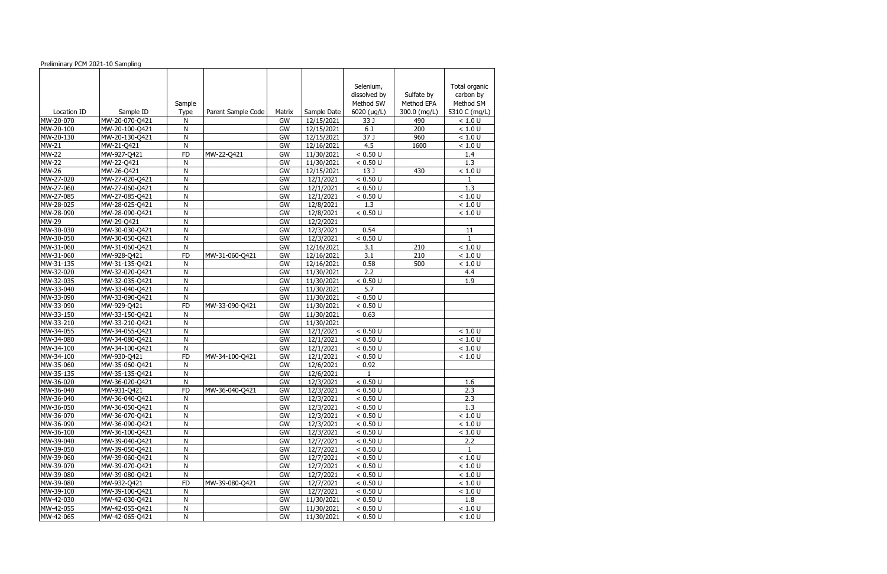| Preliminary PCM 2021-10 Sampling |                |           |                    |              |                           |                           |                          |                        |
|----------------------------------|----------------|-----------|--------------------|--------------|---------------------------|---------------------------|--------------------------|------------------------|
|                                  |                |           |                    |              |                           |                           |                          |                        |
|                                  |                |           |                    |              |                           |                           |                          |                        |
|                                  |                |           |                    |              |                           | Selenium,                 |                          | Total organic          |
|                                  |                |           |                    |              |                           | dissolved by<br>Method SW | Sulfate by<br>Method EPA | carbon by<br>Method SM |
| Location ID                      | Sample ID      | Sample    |                    |              |                           |                           |                          | 5310 C (mg/L)          |
| MW-20-070                        | MW-20-070-Q421 | Type<br>Ν | Parent Sample Code | Matrix<br>GW | Sample Date<br>12/15/2021 | 6020 (µg/L)<br>33 J       | 300.0 (mg/L)<br>490      | < 1.0 U                |
| MW-20-100                        | MW-20-100-Q421 | N         |                    | GW           | 12/15/2021                | 6 J                       | 200                      | < 1.0 U                |
| MW-20-130                        | MW-20-130-Q421 | N         |                    | GW           | 12/15/2021                | 37 J                      | 960                      | < 1.0 U                |
| <b>MW-21</b>                     | MW-21-Q421     | N         |                    | GW           | 12/16/2021                | 4.5                       | 1600                     | < 1.0 U                |
| <b>MW-22</b>                     | MW-927-Q421    | <b>FD</b> | MW-22-Q421         | GW           | 11/30/2021                | < 0.50 U                  |                          | 1.4                    |
| <b>MW-22</b>                     | MW-22-Q421     | N         |                    | GW           | 11/30/2021                | < 0.50 U                  |                          | 1.3                    |
| <b>MW-26</b>                     | MW-26-Q421     | N         |                    | GW           | 12/15/2021                | 13 J                      | 430                      | < 1.0 U                |
| MW-27-020                        | MW-27-020-Q421 | N         |                    | GW           | 12/1/2021                 | < 0.50 U                  |                          | 1                      |
| MW-27-060                        | MW-27-060-Q421 | N         |                    | GW           | 12/1/2021                 | < 0.50 U                  |                          | 1.3                    |
| MW-27-085                        | MW-27-085-Q421 | N         |                    | GW           | 12/1/2021                 | < 0.50 U                  |                          | < 1.0 U                |
| MW-28-025                        | MW-28-025-Q421 | N         |                    | GW           | 12/8/2021                 | 1.3                       |                          | < 1.0 U                |
| MW-28-090                        | MW-28-090-Q421 | ${\sf N}$ |                    | GW           | 12/8/2021                 | < 0.50 U                  |                          | < 1.0 U                |
| MW-29                            | MW-29-Q421     | N         |                    | GW           | 12/2/2021                 |                           |                          |                        |
| MW-30-030                        | MW-30-030-Q421 | N         |                    | GW           | 12/3/2021                 | 0.54                      |                          | 11                     |
| MW-30-050                        | MW-30-050-Q421 | N         |                    | GW           | 12/3/2021                 | < 0.50 U                  |                          | $\mathbf{1}$           |
| MW-31-060                        | MW-31-060-Q421 | ${\sf N}$ |                    | GW           | $\overline{12}/16/2021$   | 3.1                       | 210                      | < 1.0 U                |
| MW-31-060                        | MW-928-Q421    | <b>FD</b> | MW-31-060-Q421     | GW           | 12/16/2021                | 3.1                       | 210                      | < 1.0 U                |
| MW-31-135                        | MW-31-135-Q421 | N         |                    | GW           | 12/16/2021                | 0.58                      | 500                      | < 1.0 U                |
| MW-32-020                        | MW-32-020-Q421 | N         |                    | GW           | 11/30/2021                | 2.2                       |                          | 4.4                    |
| MW-32-035                        | MW-32-035-Q421 | N         |                    | GW           | 11/30/2021                | < 0.50 U                  |                          | 1.9                    |
| MW-33-040                        | MW-33-040-Q421 | N         |                    | GW           | 11/30/2021                | 5.7                       |                          |                        |
| MW-33-090                        | MW-33-090-Q421 | N         |                    | GW           | $\frac{1}{11}$ /30/2021   | < 0.50 U                  |                          |                        |
| MW-33-090                        | MW-929-Q421    | <b>FD</b> | MW-33-090-Q421     | GW           | 11/30/2021                | < 0.50 U                  |                          |                        |
| MW-33-150                        | MW-33-150-Q421 | N         |                    | GW           | 11/30/2021                | 0.63                      |                          |                        |
| MW-33-210                        | MW-33-210-Q421 | N         |                    | GW           | 11/30/2021                |                           |                          |                        |
| MW-34-055                        | MW-34-055-Q421 | N         |                    | GW           | 12/1/2021                 | < 0.50 U                  |                          | < 1.0 U                |
| MW-34-080                        | MW-34-080-Q421 | N         |                    | GW           | 12/1/2021                 | < 0.50 U                  |                          | < 1.0 U                |
| MW-34-100                        | MW-34-100-Q421 | N         |                    | GW           | 12/1/2021                 | < 0.50 U                  |                          | < 1.0 U                |
| MW-34-100                        | MW-930-Q421    | FD        | MW-34-100-Q421     | GW           | 12/1/2021                 | < 0.50 U                  |                          | < 1.0 U                |
| MW-35-060                        | MW-35-060-Q421 | N         |                    | GW           | 12/6/2021                 | 0.92                      |                          |                        |
| MW-35-135                        | MW-35-135-Q421 | N         |                    | GW           | 12/6/2021                 |                           |                          |                        |
| MW-36-020                        | MW-36-020-Q421 | N         |                    | GW           | 12/3/2021                 | < 0.50 U                  |                          | 1.6                    |
| MW-36-040                        | MW-931-Q421    | <b>FD</b> | MW-36-040-Q421     | GW           | 12/3/2021                 | < 0.50 U                  |                          | 2.3                    |
| MW-36-040                        | MW-36-040-Q421 | N         |                    | GW           | $\frac{12}{3}$ /2021      | < 0.50 U                  |                          | 2.3                    |
| MW-36-050                        | MW-36-050-Q421 | N         |                    | GW           | 12/3/2021                 | < 0.50 U                  |                          | 1.3                    |
| MW-36-070                        | MW-36-070-Q421 | N         |                    | GW           | 12/3/2021                 | < 0.50 U                  |                          | $<1.0$ U               |
| MW-36-090                        | MW-36-090-Q421 | N         |                    | GW           | 12/3/2021                 | < 0.50 U                  |                          | < 1.0 U                |
| MW-36-100                        | MW-36-100-Q421 | N         |                    | GW           | 12/3/2021                 | < 0.50 U                  |                          | < 1.0 U                |
| MW-39-040                        | MW-39-040-Q421 | N         |                    | GW           | 12/7/2021                 | < 0.50 U                  |                          | 2.2                    |
| MW-39-050                        | MW-39-050-Q421 | N         |                    | GW           | 12/7/2021                 | < 0.50 U                  |                          | $\mathbf{1}$           |
| MW-39-060                        | MW-39-060-Q421 | N         |                    | GW           | 12/7/2021                 | < 0.50 U                  |                          | < 1.0 U                |
| MW-39-070                        | MW-39-070-Q421 | N         |                    | GW           | 12/7/2021                 | < 0.50 U                  |                          | < 1.0 U                |
| MW-39-080                        | MW-39-080-Q421 | N         |                    | GW           | 12/7/2021                 | < 0.50 U                  |                          | < 1.0 U                |
| MW-39-080                        | MW-932-Q421    | <b>FD</b> | MW-39-080-Q421     | GW           | 12/7/2021                 | < 0.50 U                  |                          | < 1.0 U                |
| MW-39-100                        | MW-39-100-Q421 | N         |                    | GW           | 12/7/2021                 | < 0.50 U                  |                          | < 1.0 U                |
| MW-42-030                        | MW-42-030-Q421 | N         |                    | GW           | 11/30/2021                | < 0.50 U                  |                          | 1.8                    |
| MW-42-055                        | MW-42-055-Q421 | N         |                    | GW           | 11/30/2021                | < 0.50 U                  |                          | < 1.0 U                |
| MW-42-065                        | MW-42-065-Q421 | N         |                    | GW           | 11/30/2021                | < 0.50 U                  |                          | < 1.0 U                |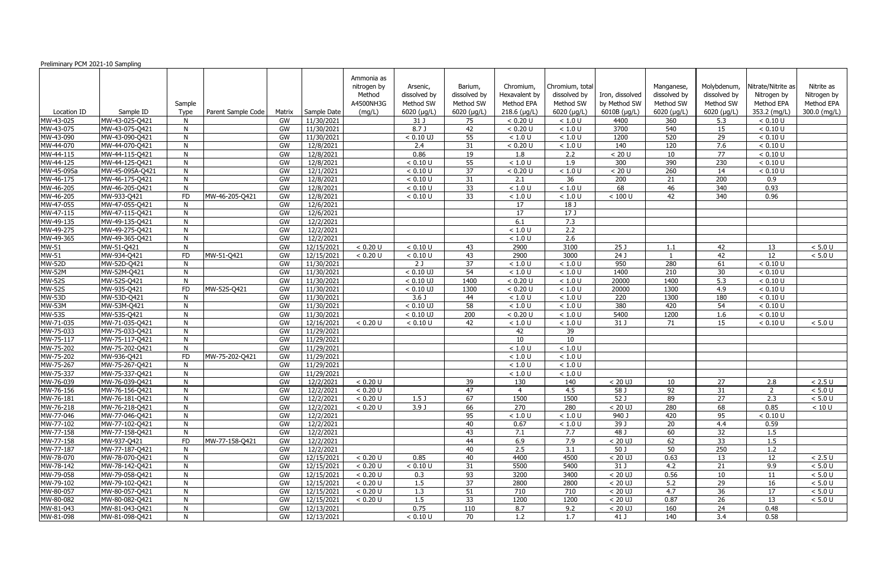| Preliminary PCM 2021-10 Sampling |                               |           |                    |          |                          |             |                     |                  |                |                            |                  |                  |                 |                    |              |
|----------------------------------|-------------------------------|-----------|--------------------|----------|--------------------------|-------------|---------------------|------------------|----------------|----------------------------|------------------|------------------|-----------------|--------------------|--------------|
|                                  |                               |           |                    |          |                          | Ammonia as  |                     |                  |                |                            |                  |                  |                 |                    |              |
|                                  |                               |           |                    |          |                          | nitrogen by | Arsenic,            | Barium,          | Chromium,      | Chromium, total            |                  | Manganese,       | Molybdenum,     | Nitrate/Nitrite as | Nitrite as   |
|                                  |                               |           |                    |          |                          | Method      | dissolved by        | dissolved by     | Hexavalent by  | dissolved by               | Iron, dissolved  | dissolved by     | dissolved by    | Nitrogen by        | Nitrogen by  |
|                                  |                               | Sample    |                    |          |                          | A4500NH3G   | Method SW           | Method SW        | Method EPA     | Method SW                  | by Method SW     | Method SW        | Method SW       | Method EPA         | Method EPA   |
| Location ID                      | Sample ID                     | Type      | Parent Sample Code | Matrix   | Sample Date              | (mg/L)      | $6020$ ( $\mu$ g/L) | 6020 (µg/L)      | $218.6$ (µg/L) | $6020$ ( $\mu$ g/L)        | 6010B (µg/L)     | 6020 (µg/L)      | 6020 (µg/L)     | 353.2 (mg/L)       | 300.0 (mg/L) |
| MW-43-025                        | MW-43-025-Q421                |           |                    | GW       | 11/30/2021               |             | 31 J                | 75               | < 0.20 U       | $<1.0$ U                   | 4400             | 360              | 5.3             | < 0.10 U           |              |
| MW-43-075                        | MW-43-075-Q421                | N         |                    | GW       | 11/30/2021               |             | 8.7 J               | 42               | < 0.20 U       | < 1.0 U                    | 3700             | 540              | 15              | < 0.10 U           |              |
| MW-43-090                        | MW-43-090-Q421                | N         |                    | GW       | 11/30/2021               |             | $< 0.10$ UJ         | 55               | < 1.0 U        | $<1.0$ U                   | 1200             | 520              | 29              | < 0.10 U           |              |
| MW-44-070                        | MW-44-070-Q421                | N         |                    | GW       | 12/8/2021                |             | 2.4                 | 31               | < 0.20 U       | < 1.0 U                    | 140              | 120              | 7.6             | < 0.10 U           |              |
| MW-44-115                        | MW-44-115-Q421                | N         |                    | GW       | 12/8/2021                |             | 0.86                | 19               | 1.8            | 2.2                        | < 20 U           | 10               | $\overline{77}$ | < 0.10 U           |              |
| MW-44-125                        | MW-44-125-Q421                | N         |                    | GW       | 12/8/2021                |             | < 0.10 U            | 55               | < 1.0 U        | 1.9                        | 300              | 390              | 230             | < 0.10 U           |              |
| MW-45-095a                       | MW-45-095A-Q421               | N         |                    | GW       | 12/1/2021                |             | < 0.10 U            | 37               | < 0.20 U       | < 1.0 U                    | < 20 U           | 260              | 14              | < 0.10 U           |              |
| MW-46-175                        | MW-46-175-Q421                | N         |                    | GW       | 12/8/2021                |             | < 0.10 U            | 31               | 2.1            | 36                         | 200              | 21               | 200             | 0.9                |              |
| MW-46-205                        | MW-46-205-Q421                | N         |                    | GW       | 12/8/2021                |             | < 0.10 U            | 33               | $<1.0$ U       | < 1.0 U                    | 68               | 46               | 340             | 0.93               |              |
| MW-46-205                        | MW-933-Q421                   | <b>FD</b> | MW-46-205-Q421     | GW       | 12/8/2021                |             | < 0.10 U            | 33               | < 1.0 U        | < 1.0 U                    | < 100 U          | 42               | 340             | 0.96               |              |
| MW-47-055                        | MW-47-055-Q421                | <b>N</b>  |                    | GW       | 12/6/2021                |             |                     |                  | 17             | 18 J                       |                  |                  |                 |                    |              |
| MW-47-115                        | MW-47-115-Q421                | N         |                    | GW       | 12/6/2021                |             |                     |                  | 17             | 17J                        |                  |                  |                 |                    |              |
| MW-49-135                        | MW-49-135-Q421                | N         |                    | GW       | 12/2/2021                |             |                     |                  | 6.1            | 7.3                        |                  |                  |                 |                    |              |
| MW-49-275                        | MW-49-275-Q421                | N         |                    | GW       | 12/2/2021                |             |                     |                  | < 1.0 U        | 2.2                        |                  |                  |                 |                    |              |
| MW-49-365                        | MW-49-365-Q421                | N         |                    | GW       | 12/2/2021                |             |                     |                  | < 1.0 U        | $\overline{2.6}$           |                  |                  |                 |                    |              |
| MW-51                            | MW-51-Q421                    | N         |                    | GW       | 12/15/2021               | < 0.20 U    | < 0.10 U            | 43               | 2900           | 3100                       | 25 <sub>1</sub>  | 1.1              | 42              | 13                 | $< 5.0 U$    |
| <b>MW-51</b>                     | MW-934-Q421                   | <b>FD</b> | MW-51-Q421         | GW       | 12/15/2021               | < 0.20 U    | < 0.10 U            | 43               | 2900           | 3000                       | $\overline{24J}$ |                  | 42              | 12                 | $< 5.0 U$    |
| <b>MW-52D</b>                    | MW-52D-Q421                   | N         |                    | GW       | 11/30/2021               |             | 2J                  | 37               | $<1.0$ U       | $<1.0$ U                   | 950              | 280              | 61              | < 0.10 U           |              |
| <b>MW-52M</b>                    | MW-52M-Q421                   | N         |                    | GW       | 11/30/2021               |             | $< 0.10$ UJ         | 54               | < 1.0 U        | < 1.0 U                    | 1400             | $\overline{210}$ | 30              | < 0.10 U           |              |
| <b>MW-52S</b>                    | MW-52S-Q421                   | N         |                    | GW       | 11/30/2021               |             | $< 0.10$ UJ         | 1400             | < 0.20 U       | $<1.0$ U                   | 20000            | 1400             | 5.3             | < 0.10 U           |              |
| <b>MW-52S</b>                    | MW-935-Q421                   | <b>FD</b> | MW-52S-Q421        | GW       | 11/30/2021               |             | $< 0.10$ UJ         | 1300             | < 0.20 U       | < 1.0 U                    | 20000            | 1300             | 4.9             | < 0.10 U           |              |
| <b>MW-53D</b>                    | MW-53D-Q421                   | <b>N</b>  |                    | GW       | 11/30/2021               |             | 3.6 <sub>J</sub>    | 44               | < 1.0 U        | $<1.0$ U                   | 220              | 1300             | 180             | < 0.10 U           |              |
| <b>MW-53M</b>                    | MW-53M-Q421                   | N         |                    | GW       | 11/30/2021               |             | $< 0.10$ UJ         | $\overline{58}$  | < 1.0 U        | < 1.0 U                    | 380              | 420              | $\overline{54}$ | < 0.10 U           |              |
| <b>MW-53S</b>                    | MW-53S-Q421                   | N         |                    | GW       | 11/30/2021               |             | $< 0.10$ UJ         | $\overline{200}$ | < 0.20 U       | < 1.0 U                    | 5400             | 1200             | 1.6             | < 0.10 U           |              |
| MW-71-035                        | MW-71-035-Q421                |           |                    | GW       | 12/16/2021               | < 0.20 U    | < 0.10 U            | 42               | < 1.0 U        | < 1.0 U                    | 31 J             | 71               | 15              | < 0.10 U           | $< 5.0 U$    |
| MW-75-033                        | MW-75-033-Q421                | N         |                    | GW       | 11/29/2021               |             |                     |                  | 42             | 39                         |                  |                  |                 |                    |              |
| MW-75-117<br>MW-75-202           | MW-75-117-Q421                | N<br>N    |                    | GW<br>GW | 11/29/2021<br>11/29/2021 |             |                     |                  | 10<br>< 1.0 U  | $\overline{10}$<br>< 1.0 U |                  |                  |                 |                    |              |
| MW-75-202                        | MW-75-202-Q421<br>MW-936-Q421 | FD        | MW-75-202-Q421     | GW       | 11/29/2021               |             |                     |                  | < 1.0 U        | $<1.0$ U                   |                  |                  |                 |                    |              |
| MW-75-267                        | MW-75-267-Q421                | N         |                    | GW       | 11/29/2021               |             |                     |                  | < 1.0 U        | $<1.0$ U                   |                  |                  |                 |                    |              |
| MW-75-337                        | MW-75-337-Q421                | <b>N</b>  |                    | GW       | 11/29/2021               |             |                     |                  | $<1.0$ U       | < 1.0 U                    |                  |                  |                 |                    |              |
| MW-76-039                        | MW-76-039-Q421                | -N        |                    | GW       | 12/2/2021                | < 0.20 U    |                     | 39               | 130            | 140                        | $< 20$ UJ        | 10               | 27              | 2.8                | < 2.5 U      |
| MW-76-156                        | MW-76-156-Q421                | N.        |                    | GW       | 12/2/2021                | < 0.20 U    |                     | 47               | $\overline{4}$ | 4.5                        | 58 J             | 92               | 31              | 2                  | $< 5.0 U$    |
| MW-76-181                        | MW-76-181-Q421                | N         |                    | GW       | 12/2/2021                | < 0.20 U    | 1.5 <sub>J</sub>    | 67               | 1500           | 1500                       | 52 J             | 89               | 27              | 2.3                | < 5.0 U      |
| MW-76-218                        | MW-76-218-Q421                | N         |                    | GW       | 12/2/2021                | < 0.20 U    | 3.9J                | 66               | 270            | 280                        | $< 20$ UJ        | 280              | 68              | 0.85               | < 10 U       |
| MW-77-046                        | MW-77-046-Q421                | N         |                    | GW       | 12/2/2021                |             |                     | 95               | $<1.0$ U       | $<1.0$ U                   | 940 J            | 420              | 95              | < 0.10 U           |              |
| MW-77-102                        | MW-77-102-Q421                | N         |                    | GW       | 12/2/2021                |             |                     | 40               | 0.67           | $<1.0$ U                   | 39 J             | 20               | 4.4             | 0.59               |              |
| MW-77-158                        | MW-77-158-Q421                | N         |                    | GW       | 12/2/2021                |             |                     | 43               | 7.1            | 7.7                        | 48 J             | 60               | 32              | 1.5                |              |
| MW-77-158                        | MW-937-Q421                   | <b>FD</b> | MW-77-158-Q421     | GW       | 12/2/2021                |             |                     | 44               | 6.9            | 7.9                        | $< 20$ UJ        | 62               | 33              | 1.5                |              |
| MW-77-187                        | MW-77-187-Q421                | -N        |                    | GW       | 12/2/2021                |             |                     | 40               | 2.5            | 3.1                        | 50J              | 50               | 250             | 1.2                |              |
| MW-78-070                        | MW-78-070-Q421                | N.        |                    | GW       | 12/15/2021               | < 0.20 U    | 0.85                | 40               | 4400           | 4500                       | $< 20$ UJ        | 0.63             | 13              | 12                 | $< 2.5 U$    |
| MW-78-142                        | MW-78-142-Q421                | N         |                    | GW       | 12/15/2021               | < 0.20 U    | < 0.10 U            | 31               | 5500           | 5400                       | 31 J             | 4.2              | 21              | 9.9                | $< 5.0 U$    |
| MW-79-058                        | MW-79-058-Q421                | N         |                    | GW       | 12/15/2021               | < 0.20 U    | 0.3                 | 93               | 3200           | 3400                       | $< 20$ UJ        | 0.56             | 10              | 11                 | $< 5.0 U$    |
| MW-79-102                        | MW-79-102-Q421                | N         |                    | GW       | 12/15/2021               | < 0.20 U    | 1.5                 | 37               | 2800           | 2800                       | $< 20$ UJ        | 5.2              | 29              | 16                 | $< 5.0 U$    |
| MW-80-057                        | MW-80-057-Q421                | N         |                    | GW       | 12/15/2021               | < 0.20 U    | 1.3                 | 51               | 710            | 710                        | $< 20$ UJ        | 4.7              | 36              | 17                 | $< 5.0 U$    |
| MW-80-082                        | MW-80-082-Q421                | N         |                    | GW       | 12/15/2021               | < 0.20 U    | 1.5                 | 33               | 1200           | 1200                       | $< 20$ UJ        | 0.87             | 26              | 13                 | < 5.0 U      |
| MW-81-043                        | MW-81-043-Q421                | N         |                    | GW       | 12/13/2021               |             | 0.75                | 110              | 8.7            | 9.2                        | $< 20$ UJ        | 160              | 24              | 0.48               |              |
| MW-81-098                        | MW-81-098-Q421                | N         |                    | GW       | 12/13/2021               |             | < 0.10 U            | 70               | 1.2            | 1.7                        | 41 J             | 140              | 3.4             | 0.58               |              |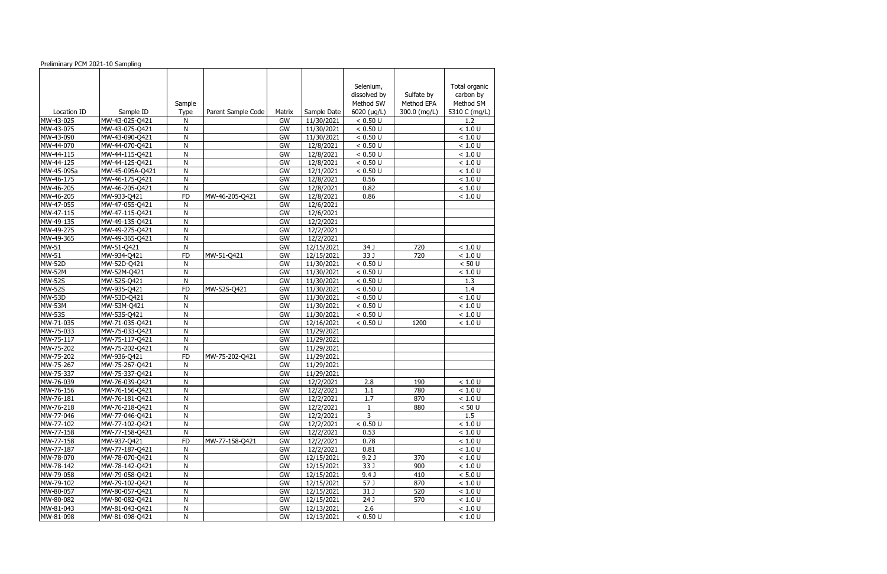| Preliminary PCM 2021-10 Sampling |                                  |           |                    |           |                         |                  |              |                     |
|----------------------------------|----------------------------------|-----------|--------------------|-----------|-------------------------|------------------|--------------|---------------------|
|                                  |                                  |           |                    |           |                         |                  |              |                     |
|                                  |                                  |           |                    |           |                         |                  |              |                     |
|                                  |                                  |           |                    |           |                         | Selenium,        |              | Total organic       |
|                                  |                                  |           |                    |           |                         | dissolved by     | Sulfate by   | carbon by           |
|                                  |                                  | Sample    |                    |           |                         | Method SW        | Method EPA   | Method SM           |
| Location ID                      | Sample ID                        | Type      | Parent Sample Code | Matrix    | Sample Date             | 6020 (µg/L)      | 300.0 (mg/L) | 5310 C (mg/L)       |
| MW-43-025                        | MW-43-025-Q421                   | Ν         |                    | GW        | 11/30/2021              | < 0.50 U         |              | 1.2                 |
| MW-43-075                        | MW-43-075-Q421                   | N         |                    | GW        | 11/30/2021              | < 0.50 U         |              | < 1.0 U             |
| MW-43-090                        | MW-43-090-Q421                   | N         |                    | GW        | 11/30/2021              | < 0.50 U         |              | < 1.0 U             |
| MW-44-070                        | MW-44-070-Q421                   | N         |                    | GW        | 12/8/2021               | < 0.50 U         |              | < 1.0 U             |
| MW-44-115                        | MW-44-115-Q421                   | N         |                    | GW        | 12/8/2021               | < 0.50 U         |              | < 1.0 U             |
| MW-44-125                        | MW-44-125-Q421                   | N         |                    | <b>GW</b> | 12/8/2021               | < 0.50 U         |              | < 1.0 U             |
| MW-45-095a                       | MW-45-095A-Q421                  | N         |                    | GW        | 12/1/2021               | < 0.50 U         |              | < 1.0 U             |
| MW-46-175                        | MW-46-175-Q421                   | N         |                    | GW        | 12/8/2021               | 0.56             |              | < 1.0 U             |
| MW-46-205                        | MW-46-205-Q421                   | N         |                    | GW        | 12/8/2021               | 0.82             |              | < 1.0 U             |
| MW-46-205                        | MW-933-Q421                      | <b>FD</b> | MW-46-205-Q421     | GW        | 12/8/2021               | 0.86             |              | < 1.0 U             |
| MW-47-055<br>MW-47-115           | MW-47-055-Q421                   | N         |                    | GW        | 12/6/2021               |                  |              |                     |
|                                  | MW-47-115-Q421                   | N         |                    | GW        | 12/6/2021               |                  |              |                     |
| MW-49-135<br>MW-49-275           | MW-49-135-Q421                   | N<br>N    |                    | GW<br>GW  | 12/2/2021               |                  |              |                     |
| MW-49-365                        | MW-49-275-Q421<br>MW-49-365-Q421 | N         |                    | GW        | 12/2/2021<br>12/2/2021  |                  |              |                     |
| <b>MW-51</b>                     | MW-51-Q421                       | ${\sf N}$ |                    | GW        | $\overline{12}/15/2021$ | 34 J             | 720          | < 1.0 U             |
| MW-51                            | MW-934-Q421                      | <b>FD</b> | MW-51-Q421         | GW        | 12/15/2021              | 33 J             | 720          | < 1.0 U             |
| <b>MW-52D</b>                    | MW-52D-Q421                      | N         |                    | GW        | 11/30/2021              | < 0.50 U         |              | < 50 U              |
| <b>MW-52M</b>                    | MW-52M-Q421                      | N         |                    | GW        | 11/30/2021              | < 0.50 U         |              | < 1.0 U             |
| <b>MW-52S</b>                    | MW-52S-Q421                      | N         |                    | GW        | 11/30/2021              | < 0.50 U         |              | 1.3                 |
| <b>MW-52S</b>                    | MW-935-Q421                      | FD        | MW-52S-Q421        | GW        | 11/30/2021              | < 0.50 U         |              | 1.4                 |
| <b>MW-53D</b>                    | MW-53D-Q421                      | N         |                    | GW        | $\frac{1}{11}$ /30/2021 | < 0.50 U         |              | < 1.0 U             |
| <b>MW-53M</b>                    | MW-53M-Q421                      | N         |                    | GW        | 11/30/2021              | < 0.50 U         |              | < 1.0 U             |
| <b>MW-53S</b>                    | MW-53S-Q421                      | N         |                    | GW        | 11/30/2021              | < 0.50 U         |              | < 1.0 U             |
| MW-71-035                        | MW-71-035-Q421                   | N         |                    | GW        | 12/16/2021              | < 0.50 U         | 1200         | < 1.0 U             |
| MW-75-033                        | MW-75-033-Q421                   | N         |                    | GW        | 11/29/2021              |                  |              |                     |
| MW-75-117                        | MW-75-117-Q421                   | N         |                    | GW        | 11/29/2021              |                  |              |                     |
| MW-75-202                        | MW-75-202-Q421                   | N         |                    | GW        | 11/29/2021              |                  |              |                     |
| MW-75-202                        | MW-936-Q421                      | <b>FD</b> | MW-75-202-Q421     | GW        | 11/29/2021              |                  |              |                     |
| MW-75-267                        | MW-75-267-Q421                   | N         |                    | GW        | 11/29/2021              |                  |              |                     |
| MW-75-337                        | MW-75-337-Q421                   | N         |                    | GW        | 11/29/2021              |                  |              |                     |
| MW-76-039                        | MW-76-039-Q421                   | N         |                    | GW        | 12/2/2021               | 2.8              | 190          | < 1.0 U             |
| MW-76-156                        | MW-76-156-Q421                   | N         |                    | GW        | 12/2/2021               | 1.1              | 780          | < 1.0 U             |
| MW-76-181                        | MW-76-181-Q421                   | N         |                    | GW        | 12/2/2021               | 1.7              | 870          | < 1.0 U             |
| MW-76-218                        | MW-76-218-Q421                   | N         |                    | GW        | 12/2/2021               | $\mathbf{1}$     | 880          | < 50 U              |
| MW-77-046                        | MW-77-046-Q421                   | N         |                    | GW        | 12/2/2021               | 3                |              | 1.5                 |
| MW-77-102                        | MW-77-102-Q421                   | N         |                    | GW        | 12/2/2021               | < 0.50 U         |              | $<1.0$ U            |
| MW-77-158                        | MW-77-158-Q421                   | N         |                    | GW        | 12/2/2021               | 0.53             |              | < 1.0 U             |
| MW-77-158                        | MW-937-Q421                      | <b>FD</b> | MW-77-158-Q421     | GW        | $\frac{12}{2222221}$    | 0.78             |              | < 1.0 U             |
| MW-77-187                        | MW-77-187-Q421                   | N         |                    | GW        | 12/2/2021               | 0.81             |              | < 1.0 U             |
| MW-78-070                        | MW-78-070-Q421                   | N         |                    | GW        | $\overline{12}/15/2021$ | 9.2 <sub>J</sub> | 370          | < 1.0 U             |
| MW-78-142                        | MW-78-142-Q421                   | N         |                    | GW        | 12/15/2021              | 33 J             | 900          | < 1.0 U             |
| MW-79-058                        | MW-79-058-Q421                   | N         |                    | GW        | 12/15/2021              | 9.4 <sub>1</sub> | 410          | < 5.0 U             |
| MW-79-102                        | MW-79-102-Q421                   | N         |                    | GW        | 12/15/2021              | 57 J             | 870          | $\overline{$ 1.0 U} |
| MW-80-057                        | MW-80-057-Q421                   | N         |                    | GW        | 12/15/2021              | 31 J             | 520          | < 1.0 U             |
| MW-80-082                        | MW-80-082-Q421                   | N         |                    | GW        | 12/15/2021              | 24 J             | 570          | < 1.0 U             |
| MW-81-043                        | MW-81-043-Q421                   | N         |                    | GW        | 12/13/2021              | 2.6              |              | < 1.0 U             |
| MW-81-098                        | MW-81-098-Q421                   | N         |                    | GW        | 12/13/2021              | < 0.50 U         |              | < 1.0 U             |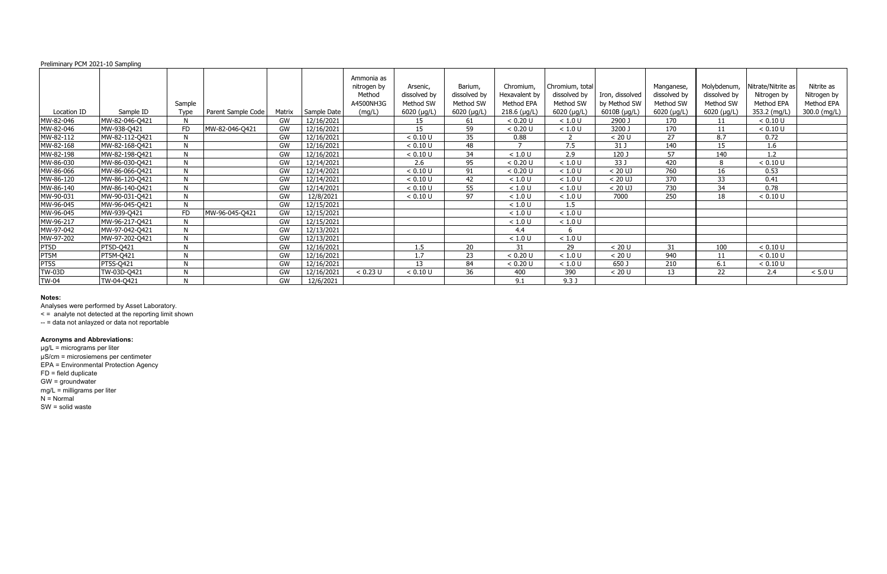|               | Preliminary PCM 2021-10 Sampling |           |                    |        |             |                                                  |                                       |                                      |                                          |                                              |                                 |                                         |                                          |                                                 |                                         |
|---------------|----------------------------------|-----------|--------------------|--------|-------------|--------------------------------------------------|---------------------------------------|--------------------------------------|------------------------------------------|----------------------------------------------|---------------------------------|-----------------------------------------|------------------------------------------|-------------------------------------------------|-----------------------------------------|
|               |                                  | Sample    |                    |        |             | Ammonia as<br>nitrogen by<br>Method<br>A4500NH3G | Arsenic,<br>dissolved by<br>Method SW | Barium,<br>dissolved by<br>Method SW | Chromium,<br>Hexavalent by<br>Method EPA | Chromium, total<br>dissolved by<br>Method SW | Iron, dissolved<br>by Method SW | Manganese,<br>dissolved by<br>Method SW | Molybdenum,<br>dissolved by<br>Method SW | Nitrate/Nitrite as<br>Nitrogen by<br>Method EPA | Nitrite as<br>Nitrogen by<br>Method EPA |
| Location ID   | Sample ID                        | Type      | Parent Sample Code | Matrix | Sample Date | (mg/L)                                           | $6020$ (µg/L)                         | 6020 (µg/L)                          | $218.6$ (µg/L)                           | 6020 (µg/L)                                  | 6010B (µg/L)                    | 6020 (µg/L)                             | 6020 (µg/L)                              | 353.2 (mg/L)                                    | 300.0 (mg/L)                            |
| MW-82-046     | MW-82-046-Q421                   |           |                    | GW     | 12/16/2021  |                                                  | 15                                    | 61                                   | < 0.20 U                                 | < 1.0 U                                      | 2900 J                          | 170                                     | 11                                       | < 0.10 U                                        |                                         |
| MW-82-046     | MW-938-Q421                      | <b>FD</b> | MW-82-046-Q421     | GW     | 12/16/2021  |                                                  | 15                                    | 59                                   | < 0.20 U                                 | < 1.0 U                                      | 3200 J                          | 170                                     | 11                                       | < 0.10 U                                        |                                         |
| MW-82-112     | MW-82-112-Q421                   |           |                    | GW     | 12/16/2021  |                                                  | < 0.10 U                              | 35                                   | 0.88                                     | ຳ                                            | < 20 U                          | 27                                      | 8.7                                      | 0.72                                            |                                         |
| MW-82-168     | MW-82-168-Q421                   |           |                    | GW     | 12/16/2021  |                                                  | < 0.10 U                              | 48                                   |                                          | 7.5                                          | 31 J                            | 140                                     | 15                                       | 1.6                                             |                                         |
| MW-82-198     | MW-82-198-Q421                   |           |                    | GW     | 12/16/2021  |                                                  | < 0.10 U                              | 34                                   | < 1.0 U                                  | 2.9                                          | 120 J                           | 57                                      | 140                                      | 1.2                                             |                                         |
| MW-86-030     | MW-86-030-Q421                   |           |                    | GW     | 12/14/2021  |                                                  | 2.6                                   | 95                                   | < 0.20 U                                 | < 1.0 U                                      | 33J                             | 420                                     | 8                                        | < 0.10 U                                        |                                         |
| MW-86-066     | MW-86-066-Q421                   |           |                    | GW     | 12/14/2021  |                                                  | < 0.10 U                              | 91                                   | < 0.20 U                                 | < 1.0 U                                      | $< 20$ UJ                       | 760                                     | 16                                       | 0.53                                            |                                         |
| MW-86-120     | MW-86-120-Q421                   |           |                    | GW     | 12/14/2021  |                                                  | < 0.10 U                              | 42                                   | < 1.0 U                                  | < 1.0 U                                      | $< 20$ UJ                       | 370                                     | 33                                       | 0.41                                            |                                         |
| MW-86-140     | MW-86-140-Q421                   |           |                    | GW     | 12/14/2021  |                                                  | < 0.10 U                              | 55                                   | < 1.0 U                                  | < 1.0 U                                      | $< 20$ UJ                       | 730                                     | 34                                       | 0.78                                            |                                         |
| MW-90-031     | MW-90-031-Q421                   |           |                    | GW     | 12/8/2021   |                                                  | < 0.10 U                              | 97                                   | < 1.0 U                                  | < 1.0 U                                      | 7000                            | 250                                     | 18                                       | < 0.10 U                                        |                                         |
| MW-96-045     | MW-96-045-Q421                   |           |                    | GW     | 12/15/2021  |                                                  |                                       |                                      | < 1.0 U                                  | 1.5                                          |                                 |                                         |                                          |                                                 |                                         |
| MW-96-045     | MW-939-Q421                      | <b>FD</b> | MW-96-045-Q421     | GW     | 12/15/2021  |                                                  |                                       |                                      | < 1.0 U                                  | < 1.0 U                                      |                                 |                                         |                                          |                                                 |                                         |
| MW-96-217     | MW-96-217-Q421                   |           |                    | GW     | 12/15/2021  |                                                  |                                       |                                      | < 1.0 U                                  | < 1.0 U                                      |                                 |                                         |                                          |                                                 |                                         |
| MW-97-042     | MW-97-042-Q421                   |           |                    | GW     | 12/13/2021  |                                                  |                                       |                                      | 4.4                                      |                                              |                                 |                                         |                                          |                                                 |                                         |
| MW-97-202     | MW-97-202-Q421                   |           |                    | GW     | 12/13/2021  |                                                  |                                       |                                      | < 1.0 U                                  | < 1.0 U                                      |                                 |                                         |                                          |                                                 |                                         |
| PT5D          | PT5D-Q421                        |           |                    | GW     | 12/16/2021  |                                                  | 1.5                                   | 20                                   | 31                                       | 29                                           | < 20 U                          | 31                                      | 100                                      | < 0.10 U                                        |                                         |
| PT5M          | PT5M-Q421                        |           |                    | GW     | 12/16/2021  |                                                  | 1.7                                   | 23                                   | < 0.20 U                                 | < 1.0 U                                      | < 20 U                          | 940                                     | 11                                       | < 0.10 U                                        |                                         |
| PT5S          | PT5S-Q421                        |           |                    | GW     | 12/16/2021  |                                                  | 13                                    | 84                                   | < 0.20 U                                 | < 1.0 U                                      | 650 J                           | 210                                     | 6.1                                      | < 0.10 U                                        |                                         |
| <b>TW-03D</b> | TW-03D-Q421                      |           |                    | GW     | 12/16/2021  | < 0.23 U                                         | < 0.10 U                              | 36                                   | 400                                      | 390                                          | < 20 U                          | 13                                      | 22                                       | 2.4                                             | < 5.0 U                                 |
| <b>TW-04</b>  | TW-04-Q421                       |           |                    | GW     | 12/6/2021   |                                                  |                                       |                                      | 9.1                                      | 9.3J                                         |                                 |                                         |                                          |                                                 |                                         |

Analyses were performed by Asset Laboratory.

< = analyte not detected at the reporting limit shown

-- = data not anlayzed or data not reportable

#### **Acronyms and Abbreviations:**

µg/L = micrograms per liter µS/cm = microsiemens per centimeter EPA = Environmental Protection Agency FD = field duplicate GW = groundwater mg/L = milligrams per liter N = Normal SW = solid waste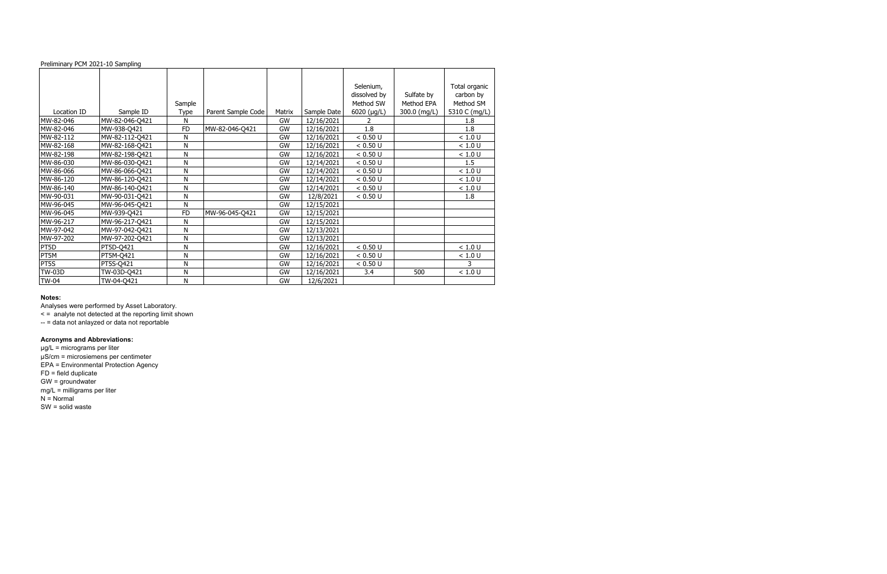| Preliminary PCM 2021-10 Sampling |                |           |                    |           |             |                                        |                          |                                         |
|----------------------------------|----------------|-----------|--------------------|-----------|-------------|----------------------------------------|--------------------------|-----------------------------------------|
|                                  |                | Sample    |                    |           |             | Selenium,<br>dissolved by<br>Method SW | Sulfate by<br>Method EPA | Total organic<br>carbon by<br>Method SM |
| Location ID                      | Sample ID      | Type      | Parent Sample Code | Matrix    | Sample Date | 6020 $(\mu g/L)$                       | 300.0 (mg/L)             | 5310 C (mg/L)                           |
| MW-82-046                        | MW-82-046-Q421 | N         |                    | GW        | 12/16/2021  |                                        |                          | 1.8                                     |
| MW-82-046                        | MW-938-Q421    | <b>FD</b> | MW-82-046-Q421     | GW        | 12/16/2021  | 1.8                                    |                          | 1.8                                     |
| MW-82-112                        | MW-82-112-Q421 | N         |                    | GW        | 12/16/2021  | < 0.50 U                               |                          | < 1.0 U                                 |
| MW-82-168                        | MW-82-168-Q421 | Ν         |                    | GW        | 12/16/2021  | < 0.50 U                               |                          | < 1.0 U                                 |
| MW-82-198                        | MW-82-198-Q421 | Ν         |                    | <b>GW</b> | 12/16/2021  | < 0.50 U                               |                          | < 1.0 U                                 |
| MW-86-030                        | MW-86-030-Q421 | Ν         |                    | GW        | 12/14/2021  | < 0.50 U                               |                          | 1.5                                     |
| MW-86-066                        | MW-86-066-Q421 | N         |                    | GW        | 12/14/2021  | < 0.50 U                               |                          | < 1.0 U                                 |
| MW-86-120                        | MW-86-120-Q421 | Ν         |                    | GW        | 12/14/2021  | < 0.50 U                               |                          | < 1.0 U                                 |
| MW-86-140                        | MW-86-140-Q421 | Ν         |                    | GW        | 12/14/2021  | < 0.50 U                               |                          | < 1.0 U                                 |
| MW-90-031                        | MW-90-031-Q421 | Ν         |                    | GW        | 12/8/2021   | < 0.50 U                               |                          | 1.8                                     |
| MW-96-045                        | MW-96-045-Q421 | N         |                    | GW        | 12/15/2021  |                                        |                          |                                         |
| MW-96-045                        | MW-939-Q421    | <b>FD</b> | MW-96-045-Q421     | GW        | 12/15/2021  |                                        |                          |                                         |
| MW-96-217                        | MW-96-217-Q421 | N         |                    | GW        | 12/15/2021  |                                        |                          |                                         |
| MW-97-042                        | MW-97-042-Q421 | N         |                    | GW        | 12/13/2021  |                                        |                          |                                         |
| MW-97-202                        | MW-97-202-Q421 | Ν         |                    | GW        | 12/13/2021  |                                        |                          |                                         |
| PT5D                             | PT5D-Q421      | Ν         |                    | GW        | 12/16/2021  | < 0.50 U                               |                          | < 1.0 U                                 |
| PT5M                             | PT5M-Q421      | Ν         |                    | GW        | 12/16/2021  | < 0.50 U                               |                          | < 1.0 U                                 |
| PT5S                             | PT5S-Q421      | Ν         |                    | GW        | 12/16/2021  | < 0.50 U                               |                          |                                         |
| <b>TW-03D</b>                    | TW-03D-Q421    | Ν         |                    | GW        | 12/16/2021  | 3.4                                    | 500                      | $<1.0$ U                                |
| <b>TW-04</b>                     | TW-04-Q421     | N         |                    | GW        | 12/6/2021   |                                        |                          |                                         |

Analyses were performed by Asset Laboratory.

< = analyte not detected at the reporting limit shown

-- = data not anlayzed or data not reportable

#### **Acronyms and Abbreviations:**

µg/L = micrograms per liter µS/cm = microsiemens per centimeter EPA = Environmental Protection Agency FD = field duplicate GW = groundwater mg/L = milligrams per liter N = Normal SW = solid waste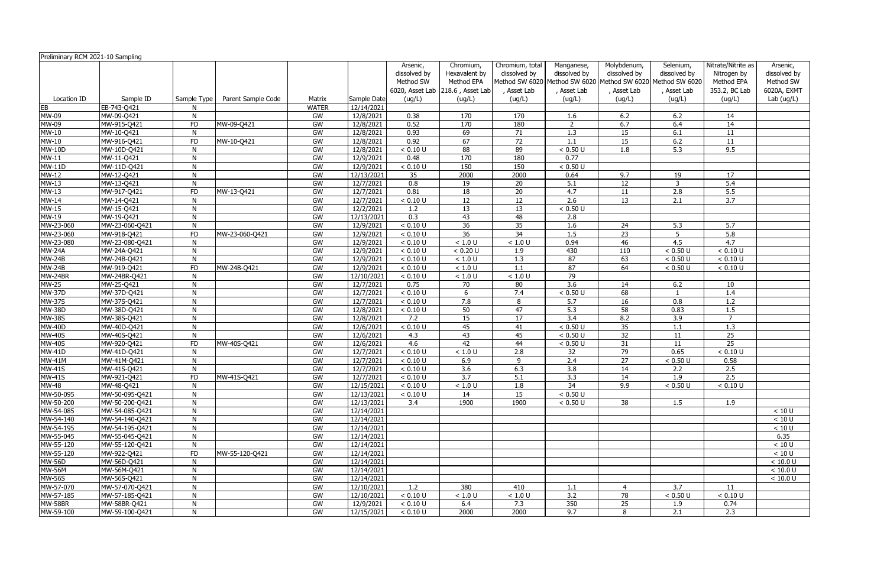| Preliminary RCM 2021-10 Sampling |                            |              |                    |              |                        |                                       |                                                                              |                                              |                                         |                                                                                                           |                                          |                                                                  |                                                      |
|----------------------------------|----------------------------|--------------|--------------------|--------------|------------------------|---------------------------------------|------------------------------------------------------------------------------|----------------------------------------------|-----------------------------------------|-----------------------------------------------------------------------------------------------------------|------------------------------------------|------------------------------------------------------------------|------------------------------------------------------|
|                                  |                            |              |                    |              |                        | Arsenic,<br>dissolved by<br>Method SW | Chromium,<br>Hexavalent by<br>Method EPA<br>6020, Asset Lab 218.6, Asset Lab | Chromium, total<br>dissolved by<br>Asset Lab | Manganese,<br>dissolved by<br>Asset Lab | Molybdenum,<br>dissolved by<br>Method SW 6020 Method SW 6020 Method SW 6020 Method SW 6020<br>, Asset Lab | Selenium,<br>dissolved by<br>, Asset Lab | Nitrate/Nitrite as<br>Nitrogen by<br>Method EPA<br>353.2, BC Lab | Arsenic,<br>dissolved by<br>Method SW<br>6020A, EXMT |
| Location ID                      | Sample ID                  | Sample Type  | Parent Sample Code | Matrix       | Sample Date            | (ug/L)                                | (ug/L)                                                                       | (ug/L)                                       | (ug/L)                                  | (ug/L)                                                                                                    | (ug/L)                                   | (ug/L)                                                           | Lab (ug/L)                                           |
| EB                               | EB-743-Q421                |              |                    | <b>WATER</b> | 12/14/2021             |                                       |                                                                              |                                              |                                         |                                                                                                           |                                          |                                                                  |                                                      |
| MW-09                            | MW-09-Q421                 | N            |                    | GW           | 12/8/2021              | 0.38                                  | 170                                                                          | 170                                          | 1.6                                     | 6.2                                                                                                       | 6.2                                      | 14                                                               |                                                      |
| MW-09                            | MW-915-Q421                | <b>FD</b>    | MW-09-Q421         | GW           | 12/8/2021              | 0.52                                  | 170                                                                          | 180                                          | $\overline{2}$                          | 6.7                                                                                                       | 6.4                                      | 14                                                               |                                                      |
| <b>MW-10</b>                     | MW-10-Q421                 | N            |                    | GW           | 12/8/2021              | 0.93                                  | 69                                                                           | 71                                           | 1.3                                     | 15                                                                                                        | 6.1                                      | 11                                                               |                                                      |
| <b>MW-10</b>                     | MW-916-Q421                | <b>FD</b>    | MW-10-Q421         | GW           | 12/8/2021              | 0.92                                  | 67                                                                           | $\overline{72}$                              | 1.1                                     | 15                                                                                                        | 6.2                                      | 11                                                               |                                                      |
| <b>MW-10D</b>                    | MW-10D-Q421                | N            |                    | GW           | 12/8/2021              | < 0.10 U                              | 88                                                                           | 89                                           | < 0.50 U                                | $\overline{1.8}$                                                                                          | $\overline{5.3}$                         | 9.5                                                              |                                                      |
| MW-11                            | MW-11-Q421                 | N            |                    | GW           | 12/9/2021              | 0.48                                  | 170                                                                          | 180                                          | 0.77                                    |                                                                                                           |                                          |                                                                  |                                                      |
| <b>MW-11D</b>                    | MW-11D-Q421                | N            |                    | GW           | 12/9/2021              | < 0.10 U                              | 150                                                                          | 150                                          | < 0.50 U                                |                                                                                                           |                                          |                                                                  |                                                      |
| MW-12                            | MW-12-Q421                 | N            |                    | GW           | 12/13/2021             | 35                                    | 2000                                                                         | 2000                                         | 0.64                                    | 9.7                                                                                                       | 19                                       | 17                                                               |                                                      |
| MW-13                            | MW-13-Q421                 | N            |                    | GW           | 12/7/2021              | $\overline{0.8}$                      | 19                                                                           | 20                                           | 5.1                                     | 12                                                                                                        | $\overline{3}$                           | 5.4                                                              |                                                      |
| MW-13                            | MW-917-Q421                | <b>FD</b>    | MW-13-Q421         | GW           | 12/7/2021              | 0.81                                  | 18                                                                           | 20                                           | 4.7                                     | 11                                                                                                        | 2.8                                      | 5.5                                                              |                                                      |
| <b>MW-14</b>                     | MW-14-Q421                 | N            |                    | GW           | 12/7/2021              | < 0.10 U                              | 12                                                                           | 12                                           | 2.6                                     | 13                                                                                                        | 2.1                                      | 3.7                                                              |                                                      |
| <b>MW-15</b>                     | MW-15-Q421                 | N            |                    | GW           | 12/2/2021              | 1.2                                   | 13                                                                           | 13                                           | < 0.50 U                                |                                                                                                           |                                          |                                                                  |                                                      |
| MW-19                            | MW-19-Q421                 | N            |                    | GW           | 12/13/2021             | 0.3                                   | 43                                                                           | 48                                           | 2.8                                     |                                                                                                           |                                          |                                                                  |                                                      |
| MW-23-060                        | MW-23-060-Q421             | N            |                    | GW           | 12/9/2021              | < 0.10 U                              | 36                                                                           | 35                                           | 1.6                                     | 24                                                                                                        | 5.3                                      | 5.7                                                              |                                                      |
| MW-23-060                        | MW-918-Q421                | <b>FD</b>    | MW-23-060-Q421     | GW           | 12/9/2021              | < 0.10 U                              | 36                                                                           | 34                                           | 1.5                                     | 23                                                                                                        | 5                                        | 5.8                                                              |                                                      |
| MW-23-080                        | MW-23-080-Q421             | N            |                    | GW           | 12/9/2021              | < 0.10 U                              | < 1.0 U                                                                      | $<1.0\ \mathrm{U}$                           | 0.94                                    | 46                                                                                                        | 4.5                                      | $\overline{4.7}$                                                 |                                                      |
| <b>MW-24A</b>                    | MW-24A-Q421                | N            |                    | GW           | 12/9/2021              | < 0.10 U                              | < 0.20 U                                                                     | 1.9                                          | 430                                     | 110                                                                                                       | < 0.50 U                                 | < 0.10 U                                                         |                                                      |
| <b>MW-24B</b>                    | MW-24B-Q421                | N            |                    | GW           | 12/9/2021              | < 0.10 U                              | $<1.0$ U                                                                     | $\overline{1.3}$                             | 87                                      | 63                                                                                                        | < 0.50 U                                 | < 0.10 U                                                         |                                                      |
| <b>MW-24B</b>                    | MW-919-Q421                | <b>FD</b>    | MW-24B-Q421        | GW           | 12/9/2021              | < 0.10 U                              | < 1.0 U                                                                      | 1.1                                          | 87                                      | 64                                                                                                        | < 0.50 U                                 | < 0.10 U                                                         |                                                      |
| MW-24BR                          | MW-24BR-Q421               | N<br>N       |                    | GW           | 12/10/2021             | < 0.10 U                              | < 1.0 U                                                                      | < 1.0 U                                      | 79<br>$\overline{3.6}$                  |                                                                                                           |                                          |                                                                  |                                                      |
| <b>MW-25</b><br><b>MW-37D</b>    | MW-25-Q421                 | N            |                    | GW<br>GW     | 12/7/2021<br>12/7/2021 | 0.75<br>< 0.10 U                      | 70                                                                           | 80<br>7.4                                    | < 0.50 U                                | 14<br>68                                                                                                  | 6.2                                      | 10<br>1.4                                                        |                                                      |
| <b>MW-37S</b>                    | MW-37D-Q421                | N            |                    | GW           | 12/7/2021              | < 0.10 U                              | 6<br>7.8                                                                     |                                              | 5.7                                     | 16                                                                                                        | 0.8                                      |                                                                  |                                                      |
| <b>MW-38D</b>                    | MW-37S-Q421<br>MW-38D-Q421 | N            |                    | GW           | 12/8/2021              | < 0.10 U                              | 50                                                                           | 8<br>47                                      | $\overline{5.3}$                        | 58                                                                                                        | 0.83                                     | 1.2<br>1.5                                                       |                                                      |
| <b>MW-38S</b>                    | MW-38S-Q421                | N            |                    | GW           | 12/8/2021              | 7.2                                   | 15                                                                           | 17                                           | 3.4                                     | 8.2                                                                                                       | 3.9                                      | $\overline{7}$                                                   |                                                      |
| <b>MW-40D</b>                    | MW-40D-Q421                | N            |                    | GW           | 12/6/2021              | < 0.10 U                              | 45                                                                           | 41                                           | < 0.50 U                                | 35                                                                                                        | 1.1                                      | 1.3                                                              |                                                      |
| <b>MW-40S</b>                    | MW-40S-Q421                | N            |                    | GW           | 12/6/2021              | 4.3                                   | 43                                                                           | 45                                           | < 0.50 U                                | 32                                                                                                        | 11                                       | 25                                                               |                                                      |
| <b>MW-40S</b>                    | MW-920-Q421                | <b>FD</b>    | MW-40S-Q421        | GW           | 12/6/2021              | 4.6                                   | 42                                                                           | 44                                           | < 0.50 U                                | 31                                                                                                        | 11                                       | 25                                                               |                                                      |
| <b>MW-41D</b>                    | MW-41D-Q421                | N            |                    | GW           | 12/7/2021              | < 0.10 U                              | < 1.0 U                                                                      | 2.8                                          | 32                                      | 79                                                                                                        | 0.65                                     | < 0.10 U                                                         |                                                      |
| <b>MW-41M</b>                    | MW-41M-Q421                | N            |                    | GW           | 12/7/2021              | < 0.10 U                              | 6.9                                                                          | 9                                            | 2.4                                     | 27                                                                                                        | < 0.50 U                                 | 0.58                                                             |                                                      |
| <b>MW-41S</b>                    | MW-41S-Q421                | N            |                    | GW           | 12/7/2021              | < 0.10 U                              | 3.6                                                                          | 6.3                                          | 3.8                                     | 14                                                                                                        | 2.2                                      | 2.5                                                              |                                                      |
| <b>MW-41S</b>                    | MW-921-Q421                | FD.          | MW-41S-Q421        | GW           | 12/7/2021              | < 0.10 U                              | 3.7                                                                          | 5.1                                          | 3.3                                     | 14                                                                                                        | 1.9                                      | 2.5                                                              |                                                      |
| <b>MW-48</b>                     | MW-48-Q421                 | N            |                    | GW           | 12/15/2021             | < 0.10 U                              | < 1.0 U                                                                      | 1.8                                          | 34                                      | 9.9                                                                                                       | < 0.50 U                                 | < 0.10 U                                                         |                                                      |
| MW-50-095                        | MW-50-095-Q421             | N            |                    | GW           | 12/13/2021             | < 0.10 U                              | 14                                                                           | 15                                           | < 0.50 U                                |                                                                                                           |                                          |                                                                  |                                                      |
| MW-50-200                        | MW-50-200-Q421             | N            |                    | GW           | 12/13/2021             | 3.4                                   | 1900                                                                         | 1900                                         | < 0.50 U                                | 38                                                                                                        | 1.5                                      | 1.9                                                              |                                                      |
| MW-54-085                        | MW-54-085-Q421             | N            |                    | GW           | 12/14/2021             |                                       |                                                                              |                                              |                                         |                                                                                                           |                                          |                                                                  | < 10 U                                               |
| MW-54-140                        | MW-54-140-Q421             | N            |                    | GW           | 12/14/2021             |                                       |                                                                              |                                              |                                         |                                                                                                           |                                          |                                                                  | < 10 U                                               |
| MW-54-195                        | MW-54-195-Q421             | N            |                    | GW           | 12/14/2021             |                                       |                                                                              |                                              |                                         |                                                                                                           |                                          |                                                                  | < 10 U                                               |
| MW-55-045                        | MW-55-045-Q421             | N            |                    | GW           | 12/14/2021             |                                       |                                                                              |                                              |                                         |                                                                                                           |                                          |                                                                  | 6.35                                                 |
| MW-55-120                        | MW-55-120-Q421             | N            |                    | GW           | 12/14/2021             |                                       |                                                                              |                                              |                                         |                                                                                                           |                                          |                                                                  | $<10$ U                                              |
| MW-55-120                        | MW-922-Q421                | <b>FD</b>    | MW-55-120-Q421     | GW           | 12/14/2021             |                                       |                                                                              |                                              |                                         |                                                                                                           |                                          |                                                                  | $<10$ U                                              |
| <b>MW-56D</b>                    | MW-56D-Q421                | N            |                    | GW           | 12/14/2021             |                                       |                                                                              |                                              |                                         |                                                                                                           |                                          |                                                                  | < 10.0 U                                             |
| <b>MW-56M</b>                    | MW-56M-Q421                | N            |                    | GW           | 12/14/2021             |                                       |                                                                              |                                              |                                         |                                                                                                           |                                          |                                                                  | $<10.0$ U                                            |
| <b>MW-56S</b>                    | MW-56S-Q421                | N            |                    | GW           | $\sqrt{12/14}/2021$    |                                       |                                                                              |                                              |                                         |                                                                                                           |                                          |                                                                  | < 10.0 U                                             |
| MW-57-070                        | MW-57-070-Q421             | N            |                    | GW           | 12/10/2021             | 1.2                                   | 380                                                                          | 410                                          | 1.1                                     | 4                                                                                                         | 3.7                                      | 11                                                               |                                                      |
| MW-57-185                        | MW-57-185-Q421             | N            |                    | GW           | 12/10/2021             | < 0.10 U                              | $<1.0$ U                                                                     | $<1.0\ \mathrm{U}$                           | 3.2                                     | 78                                                                                                        | < 0.50 U                                 | < 0.10 U                                                         |                                                      |
| MW-58BR                          | MW-58BR-Q421               | $\mathsf{N}$ |                    | GW           | 12/9/2021              | < 0.10 U                              | 6.4                                                                          | 7.3                                          | 350                                     | 25                                                                                                        | 1.9                                      | 0.74                                                             |                                                      |
| MW-59-100                        | MW-59-100-Q421             | N            |                    | GW           | 12/15/2021             | < 0.10 U                              | 2000                                                                         | 2000                                         | 9.7                                     | 8                                                                                                         | 2.1                                      | 2.3                                                              |                                                      |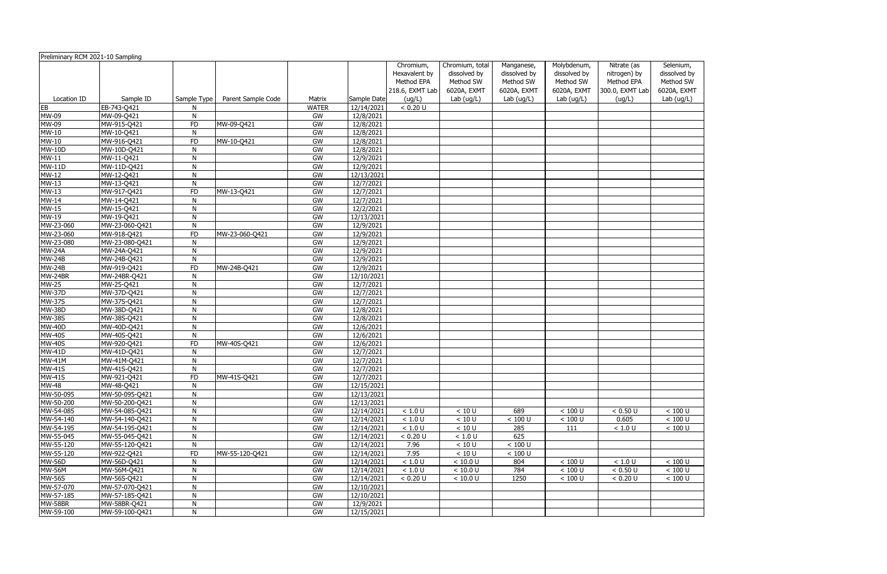| Preliminary RCM 2021-10 Sampling |                |                |                    |              |             | Chromium,<br>Hexavalent by | Chromium, total<br>dissolved by | Manganese,<br>dissolved by | Molybdenum,<br>dissolved by | Nitrate (as<br>nitrogen) by | Selenium<br>dissolved |
|----------------------------------|----------------|----------------|--------------------|--------------|-------------|----------------------------|---------------------------------|----------------------------|-----------------------------|-----------------------------|-----------------------|
|                                  |                |                |                    |              |             | Method EPA                 | Method SW                       | Method SW                  | Method SW                   | Method EPA                  | Method S'             |
|                                  |                |                |                    |              |             | 218.6, EXMT Lab            | 6020A, EXMT                     | 6020A, EXMT                | 6020A, EXMT                 | 300.0, EXMT Lab             | 6020A, EX             |
| Location ID                      | Sample ID      | Sample Type    | Parent Sample Code | Matrix       | Sample Date | (ug/L)                     | Lab (ug/L)                      | Lab $(ug/L)$               | Lab (ug/L)                  | (ug/L)                      | Lab (ug/l             |
| EB                               | EB-743-Q421    | N              |                    | <b>WATER</b> | 12/14/2021  | < 0.20 U                   |                                 |                            |                             |                             |                       |
| MW-09                            | MW-09-Q421     | N              |                    | GW           | 12/8/2021   |                            |                                 |                            |                             |                             |                       |
| MW-09                            | MW-915-Q421    | <b>FD</b>      | MW-09-Q421         | GW           | 12/8/2021   |                            |                                 |                            |                             |                             |                       |
| $MW-10$                          | MW-10-Q421     | $\overline{N}$ |                    | GW           | 12/8/2021   |                            |                                 |                            |                             |                             |                       |
| $MW-10$                          | MW-916-Q421    | FD             | MW-10-Q421         | GW           | 12/8/2021   |                            |                                 |                            |                             |                             |                       |
| $MW-10D$                         | MW-10D-Q421    | N              |                    | GW           | 12/8/2021   |                            |                                 |                            |                             |                             |                       |
| $MW-11$                          | MW-11-Q421     | N              |                    | GW           | 12/9/2021   |                            |                                 |                            |                             |                             |                       |
| $MW-11D$                         | MW-11D-Q421    | $\mathsf{N}$   |                    | GW           | 12/9/2021   |                            |                                 |                            |                             |                             |                       |
| $MW-12$                          | MW-12-Q421     | N              |                    | GW           | 12/13/2021  |                            |                                 |                            |                             |                             |                       |
| MW-13                            | MW-13-Q421     | $\mathsf{N}$   |                    | GW           | 12/7/2021   |                            |                                 |                            |                             |                             |                       |
| MW-13                            | MW-917-Q421    | FD             | MW-13-Q421         | GW           | 12/7/2021   |                            |                                 |                            |                             |                             |                       |
| MW-14                            | MW-14-Q421     | N              |                    | GW           | 12/7/2021   |                            |                                 |                            |                             |                             |                       |
| MW-15                            | MW-15-Q421     | N              |                    | GW           | 12/2/2021   |                            |                                 |                            |                             |                             |                       |
| MW-19                            | MW-19-Q421     | N              |                    | GW           | 12/13/2021  |                            |                                 |                            |                             |                             |                       |
| MW-23-060                        | MW-23-060-Q421 | N              |                    | GW           | 12/9/2021   |                            |                                 |                            |                             |                             |                       |
| MW-23-060                        | MW-918-Q421    | FD             | MW-23-060-Q421     | GW           | 12/9/2021   |                            |                                 |                            |                             |                             |                       |
| MW-23-080                        | MW-23-080-Q421 | N              |                    | GW           | 12/9/2021   |                            |                                 |                            |                             |                             |                       |
| <b>MW-24A</b>                    | MW-24A-Q421    | N              |                    | GW           | 12/9/2021   |                            |                                 |                            |                             |                             |                       |
| <b>MW-24B</b>                    | MW-24B-Q421    | N              |                    | GW           | 12/9/2021   |                            |                                 |                            |                             |                             |                       |
| <b>MW-24B</b>                    | MW-919-Q421    | FD             | MW-24B-Q421        | GW           | 12/9/2021   |                            |                                 |                            |                             |                             |                       |
| MW-24BR                          | MW-24BR-Q421   | N              |                    | GW           | 12/10/2021  |                            |                                 |                            |                             |                             |                       |
| $MW-25$                          | MW-25-Q421     | N              |                    | GW           | 12/7/2021   |                            |                                 |                            |                             |                             |                       |
| <b>MW-37D</b>                    | MW-37D-Q421    | N              |                    | GW           | 12/7/2021   |                            |                                 |                            |                             |                             |                       |
| $MW-375$                         | MW-37S-Q421    | N              |                    | GW           | 12/7/2021   |                            |                                 |                            |                             |                             |                       |
| <b>MW-38D</b>                    | MW-38D-Q421    | N              |                    | GW           | 12/8/2021   |                            |                                 |                            |                             |                             |                       |
| <b>MW-38S</b>                    | MW-38S-Q421    | N              |                    | GW           | 12/8/2021   |                            |                                 |                            |                             |                             |                       |
| <b>MW-40D</b>                    | MW-40D-Q421    | N              |                    | GW           | 12/6/2021   |                            |                                 |                            |                             |                             |                       |
| <b>MW-40S</b>                    | MW-40S-Q421    | N              |                    | GW           | 12/6/2021   |                            |                                 |                            |                             |                             |                       |
| <b>MW-40S</b>                    | MW-920-Q421    | <b>FD</b>      | MW-40S-Q421        | GW           | 12/6/2021   |                            |                                 |                            |                             |                             |                       |
| <b>MW-41D</b>                    | MW-41D-Q421    | N              |                    | GW           | 12/7/2021   |                            |                                 |                            |                             |                             |                       |
| <b>MW-41M</b>                    | MW-41M-Q421    | N              |                    | GW           | 12/7/2021   |                            |                                 |                            |                             |                             |                       |
| <b>MW-41S</b>                    | MW-41S-Q421    | N              |                    | GW           | 12/7/2021   |                            |                                 |                            |                             |                             |                       |
| MW-41S                           | MW-921-0421    | FD.            | MW-41S-Q421        | GW           | 12/7/2021   |                            |                                 |                            |                             |                             |                       |
| <b>MW-48</b>                     | MW-48-Q421     | N              |                    | GW           | 12/15/2021  |                            |                                 |                            |                             |                             |                       |
| MW-50-095                        | MW-50-095-Q421 | N              |                    | GW           | 12/13/2021  |                            |                                 |                            |                             |                             |                       |
| MW-50-200                        | MW-50-200-Q421 | N              |                    | GW           | 12/13/2021  |                            |                                 |                            |                             |                             |                       |
| MW-54-085                        | MW-54-085-Q421 | N              |                    | GW           | 12/14/2021  | $<1.0$ U                   | $<10$ U                         | 689                        | < 100 U                     | < 0.50 U                    | $< 100$ U             |
| MW-54-140                        | MW-54-140-Q421 | $\mathsf{N}$   |                    | GW           | 12/14/2021  | $<1.0\ \mathrm{U}$         | < 10 U                          | < 100 U                    | < 100 U                     | 0.605                       | $< 100$ U             |
| MW-54-195                        | MW-54-195-Q421 | N              |                    | GW           | 12/14/2021  | $<1.0$ U                   | $<10$ U                         | 285                        | 111                         | $<1.0$ U                    | $< 100$ U             |
| MW-55-045                        | MW-55-045-Q421 | $\mathsf{N}$   |                    | GW           | 12/14/2021  | < 0.20 U                   | $<1.0$ U                        | 625                        |                             |                             |                       |
| MW-55-120                        | MW-55-120-Q421 | N              |                    | GW           | 12/14/2021  | 7.96                       | $<10$ U                         | $< 100$ U                  |                             |                             |                       |
| MW-55-120                        | MW-922-Q421    | FD             | MW-55-120-Q421     | GW           | 12/14/2021  | 7.95                       | $<10$ U                         | $< 100$ U                  |                             |                             |                       |
| <b>MW-56D</b>                    | MW-56D-Q421    | N              |                    | GW           | 12/14/2021  | $<1.0$ U                   | < 10.0 U                        | 804                        | $<100$ U                    | $<1.0$ U                    | $< 100$ U             |
| <b>MW-56M</b>                    | MW-56M-Q421    | N              |                    | GW           | 12/14/2021  | $<1.0$ U                   | < 10.0 U                        | 784                        | $<100$ U                    | < 0.50 U                    | $< 100$ U             |
| <b>MW-56S</b>                    | MW-56S-Q421    | N              |                    | GW           | 12/14/2021  | < 0.20 U                   | < 10.0 U                        | 1250                       | $<100$ U                    | < 0.20 U                    | $< 100$ U             |
| MW-57-070                        | MW-57-070-Q421 | N              |                    | GW           | 12/10/2021  |                            |                                 |                            |                             |                             |                       |
| MW-57-185                        | MW-57-185-Q421 | N              |                    | GW           | 12/10/2021  |                            |                                 |                            |                             |                             |                       |
| MW-58BR                          | MW-58BR-Q421   | N              |                    | GW           | 12/9/2021   |                            |                                 |                            |                             |                             |                       |
| MW-59-100                        | MW-59-100-Q421 | N              |                    | GW           | 12/15/2021  |                            |                                 |                            |                             |                             |                       |

| Selenium,           |
|---------------------|
| dissolved by        |
| Method SW           |
|                     |
| 6020A, EXMT         |
| Lab (ug/L)          |
|                     |
|                     |
|                     |
|                     |
|                     |
|                     |
|                     |
|                     |
|                     |
|                     |
|                     |
|                     |
|                     |
|                     |
|                     |
|                     |
|                     |
|                     |
|                     |
|                     |
|                     |
|                     |
|                     |
|                     |
|                     |
|                     |
|                     |
|                     |
|                     |
|                     |
|                     |
|                     |
|                     |
|                     |
|                     |
|                     |
|                     |
|                     |
|                     |
|                     |
| < 100 U             |
| < 100 U             |
| $\frac{1}{100}$ U   |
|                     |
|                     |
|                     |
| <u> 100 U</u>       |
| $\overline{<100}$ U |
| マ<br>100<br>U       |
|                     |
|                     |
|                     |
|                     |
|                     |
|                     |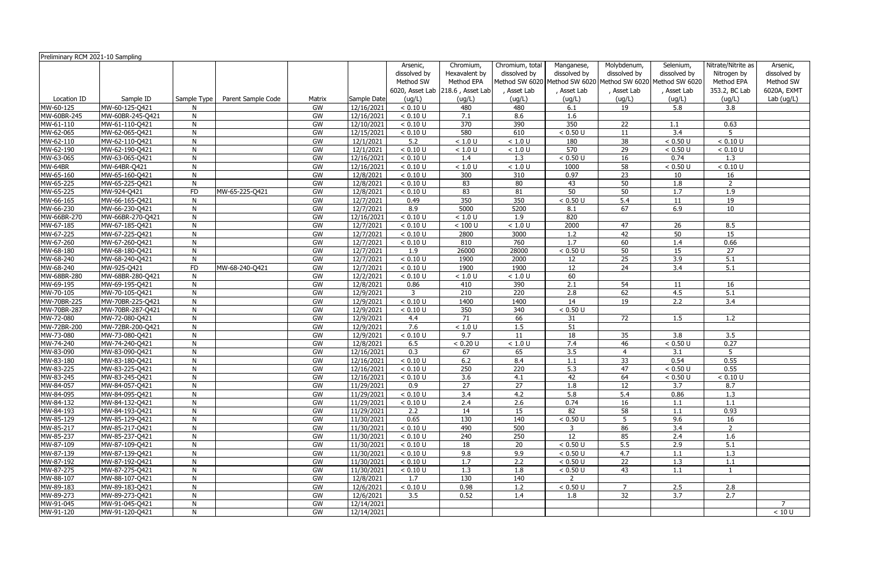| Preliminary RCM 2021-10 Sampling |                                    |              |                    |          |                        |                                       |                                                                              |                                              |                                         |                                                                                                           |                                          |                                                                  |                                                      |
|----------------------------------|------------------------------------|--------------|--------------------|----------|------------------------|---------------------------------------|------------------------------------------------------------------------------|----------------------------------------------|-----------------------------------------|-----------------------------------------------------------------------------------------------------------|------------------------------------------|------------------------------------------------------------------|------------------------------------------------------|
|                                  |                                    |              |                    |          |                        | Arsenic,<br>dissolved by<br>Method SW | Chromium,<br>Hexavalent by<br>Method EPA<br>6020, Asset Lab 218.6, Asset Lab | Chromium, total<br>dissolved by<br>Asset Lab | Manganese,<br>dissolved by<br>Asset Lab | Molybdenum,<br>dissolved by<br>Method SW 6020 Method SW 6020 Method SW 6020 Method SW 6020<br>, Asset Lab | Selenium,<br>dissolved by<br>, Asset Lab | Nitrate/Nitrite as<br>Nitrogen by<br>Method EPA<br>353.2, BC Lab | Arsenic,<br>dissolved by<br>Method SW<br>6020A, EXMT |
| Location ID                      | Sample ID                          | Sample Type  | Parent Sample Code | Matrix   | Sample Date            | (ug/L)                                | (ug/L)                                                                       | (ug/L)                                       | (ug/L)                                  | (ug/L)                                                                                                    | (ug/L)                                   | (ug/L)                                                           | Lab (ug/L)                                           |
| MW-60-125                        | MW-60-125-Q421                     |              |                    | GW       | 12/16/2021             | < 0.10 U                              | 480                                                                          | 480                                          | 6.1                                     | 19                                                                                                        | 5.8                                      | 3.8                                                              |                                                      |
| MW-60BR-245                      | MW-60BR-245-Q421                   | N            |                    | GW       | 12/16/2021             | < 0.10 U                              | 7.1                                                                          | 8.6                                          | 1.6                                     |                                                                                                           |                                          |                                                                  |                                                      |
| MW-61-110                        | MW-61-110-Q421                     | N            |                    | GW       | 12/10/2021             | < 0.10 U                              | 370                                                                          | 390                                          | 350                                     | 22                                                                                                        | 1.1                                      | 0.63                                                             |                                                      |
| MW-62-065                        | MW-62-065-Q421                     | N            |                    | GW       | 12/15/2021             | < 0.10 U                              | 580                                                                          | 610                                          | < 0.50 U                                | 11                                                                                                        | 3.4                                      | 5                                                                |                                                      |
| MW-62-110                        | MW-62-110-Q421                     | N            |                    | GW       | 12/1/2021              | 5.2                                   | < 1.0 U                                                                      | < 1.0 U                                      | 180                                     | $\overline{38}$                                                                                           | < 0.50 U                                 | < 0.10 U                                                         |                                                      |
| MW-62-190                        | MW-62-190-Q421                     | N            |                    | GW       | 12/1/2021              | < 0.10 U                              | < 1.0 U                                                                      | < 1.0 U                                      | 570                                     | $\overline{29}$                                                                                           | < 0.50 U                                 | < 0.10 U                                                         |                                                      |
| MW-63-065                        | MW-63-065-Q421                     | N            |                    | GW       | 12/16/2021             | < 0.10 U                              | 1.4                                                                          | 1.3                                          | < 0.50 U                                | 16                                                                                                        | 0.74                                     | 1.3                                                              |                                                      |
| MW-64BR                          | MW-64BR-Q421                       | N            |                    | GW       | 12/16/2021             | < 0.10 U                              | < 1.0 U                                                                      | $<1.0\ \rm{U}$                               | 1000                                    | 58                                                                                                        | < 0.50 U                                 | < 0.10 U                                                         |                                                      |
| MW-65-160                        | MW-65-160-Q421                     | N            |                    | GW       | 12/8/2021              | < 0.10 U                              | 300                                                                          | 310                                          | 0.97                                    | 23                                                                                                        | 10                                       | 16                                                               |                                                      |
| MW-65-225                        | MW-65-225-Q421                     | N            |                    | GW       | 12/8/2021              | < 0.10 U                              | 83                                                                           | 80                                           | 43                                      | 50                                                                                                        | 1.8                                      | $\overline{2}$                                                   |                                                      |
| MW-65-225                        | MW-924-Q421                        | <b>FD</b>    | MW-65-225-Q421     | GW       | 12/8/2021              | < 0.10 U                              | 83                                                                           | 81                                           | 50                                      | 50                                                                                                        | 1.7                                      | 1.9                                                              |                                                      |
| MW-66-165                        | MW-66-165-Q421                     | N            |                    | GW       | 12/7/2021              | 0.49                                  | 350                                                                          | 350                                          | < 0.50 U                                | 5.4                                                                                                       | 11                                       | 19                                                               |                                                      |
| MW-66-230                        | MW-66-230-Q421                     | N            |                    | GW       | 12/7/2021              | 8.9                                   | 5000                                                                         | 5200                                         | 8.1                                     | 67                                                                                                        | 6.9                                      | 10                                                               |                                                      |
| MW-66BR-270                      | MW-66BR-270-Q421                   | N            |                    | GW       | 12/16/2021             | < 0.10 U                              | < 1.0 U                                                                      | 1.9                                          | 820                                     |                                                                                                           |                                          |                                                                  |                                                      |
| MW-67-185                        | MW-67-185-Q421                     | N            |                    | GW       | 12/7/2021              | < 0.10 U                              | $< 100$ U                                                                    | < 1.0 U                                      | 2000                                    | 47                                                                                                        | 26                                       | 8.5                                                              |                                                      |
| MW-67-225                        | MW-67-225-Q421                     | N            |                    | GW       | 12/7/2021              | < 0.10 U                              | 2800                                                                         | 3000                                         | 1.2                                     | 42                                                                                                        | 50                                       | 15                                                               |                                                      |
| MW-67-260                        | MW-67-260-Q421                     | N            |                    | GW       | 12/7/2021              | < 0.10 U                              | 810                                                                          | 760                                          | $\overline{1.7}$                        | 60                                                                                                        | 1.4                                      | 0.66                                                             |                                                      |
| MW-68-180                        | MW-68-180-Q421                     | N            |                    | GW       | 12/7/2021              | $\overline{1.9}$                      | 26000                                                                        | 28000                                        | < 0.50 U                                | $\overline{50}$                                                                                           | 15                                       | 27                                                               |                                                      |
| MW-68-240                        | MW-68-240-Q421                     | N            |                    | GW       | 12/7/2021              | < 0.10 U                              | 1900                                                                         | 2000                                         | 12                                      | $\overline{25}$                                                                                           | $\overline{3.9}$                         | 5.1                                                              |                                                      |
| MW-68-240                        | MW-925-Q421                        | <b>FD</b>    | MW-68-240-Q421     | GW       | 12/7/2021              | < 0.10 U                              | 1900                                                                         | 1900                                         | 12                                      | 24                                                                                                        | 3.4                                      | 5.1                                                              |                                                      |
| MW-68BR-280                      | MW-68BR-280-Q421                   | N            |                    | GW       | 12/2/2021              | < 0.10 U                              | < 1.0 U                                                                      | < 1.0 U                                      | 60                                      |                                                                                                           |                                          |                                                                  |                                                      |
| MW-69-195                        | MW-69-195-Q421                     | N            |                    | GW       | 12/8/2021              | 0.86                                  | 410                                                                          | 390                                          | 2.1                                     | 54                                                                                                        | 11                                       | 16                                                               |                                                      |
| MW-70-105                        | MW-70-105-Q421                     | N            |                    | GW       | 12/9/2021              | 3                                     | 210                                                                          | 220                                          | 2.8                                     | 62                                                                                                        | 4.5                                      | $\overline{5.1}$                                                 |                                                      |
| MW-70BR-225                      | MW-70BR-225-Q421                   | N            |                    | GW       | 12/9/2021              | < 0.10 U                              | 1400                                                                         | 1400                                         | 14                                      | 19                                                                                                        | 2.2                                      | 3.4                                                              |                                                      |
| MW-70BR-287                      | MW-70BR-287-Q421<br>MW-72-080-Q421 | N            |                    | GW       | 12/9/2021<br>12/9/2021 | < 0.10 U<br>4.4                       | 350<br>71                                                                    | 340                                          | < 0.50 U                                |                                                                                                           |                                          | 1.2                                                              |                                                      |
| MW-72-080<br>MW-72BR-200         | MW-72BR-200-Q421                   | N<br>N       |                    | GW<br>GW | 12/9/2021              | 7.6                                   | < 1.0 U                                                                      | 66<br>1.5                                    | 31<br>51                                | 72                                                                                                        | 1.5                                      |                                                                  |                                                      |
| MW-73-080                        | MW-73-080-Q421                     | N            |                    | GW       | 12/9/2021              | < 0.10 U                              | 9.7                                                                          | 11                                           | 18                                      | 35                                                                                                        | 3.8                                      | 3.5                                                              |                                                      |
| MW-74-240                        | MW-74-240-Q421                     | N            |                    | GW       | 12/8/2021              | 6.5                                   | < 0.20 U                                                                     | < 1.0 U                                      | 7.4                                     | 46                                                                                                        | < 0.50 U                                 | 0.27                                                             |                                                      |
| MW-83-090                        | MW-83-090-Q421                     | N            |                    | GW       | 12/16/2021             | 0.3                                   | 67                                                                           | 65                                           | 3.5                                     | $\overline{4}$                                                                                            | 3.1                                      | 5                                                                |                                                      |
| MW-83-180                        | MW-83-180-Q421                     | N            |                    | GW       | 12/16/2021             | < 0.10 U                              | 6.2                                                                          | 8.4                                          | $1.1\,$                                 | 33                                                                                                        | 0.54                                     | 0.55                                                             |                                                      |
| MW-83-225                        | MW-83-225-Q421                     | N            |                    | GW       | 12/16/2021             | < 0.10 U                              | 250                                                                          | 220                                          | 5.3                                     | 47                                                                                                        | < 0.50 U                                 | 0.55                                                             |                                                      |
| MW-83-245                        | MW-83-245-Q421                     | N            |                    | GW       | 12/16/2021             | < 0.10 U                              | 3.6                                                                          | 4.1                                          | 42                                      | 64                                                                                                        | < 0.50 U                                 | < 0.10 U                                                         |                                                      |
| MW-84-057                        | MW-84-057-Q421                     | N            |                    | GW       | 11/29/2021             | 0.9                                   | 27                                                                           | 27                                           | 1.8                                     | 12                                                                                                        | 3.7                                      | 8.7                                                              |                                                      |
| MW-84-095                        | MW-84-095-Q421                     | N            |                    | GW       | 11/29/2021             | < 0.10 U                              | 3.4                                                                          | 4.2                                          | 5.8                                     | 5.4                                                                                                       | 0.86                                     | 1.3                                                              |                                                      |
| MW-84-132                        | MW-84-132-Q421                     | N            |                    | GW       | 11/29/2021             | < 0.10 U                              | 2.4                                                                          | 2.6                                          | 0.74                                    | 16                                                                                                        | 1.1                                      | 1.1                                                              |                                                      |
| MW-84-193                        | MW-84-193-Q421                     | N            |                    | GW       | 11/29/2021             | 2.2                                   | 14                                                                           | 15                                           | 82                                      | 58                                                                                                        | 1.1                                      | 0.93                                                             |                                                      |
| MW-85-129                        | MW-85-129-Q421                     | N            |                    | GW       | 11/30/2021             | 0.65                                  | 130                                                                          | 140                                          | < 0.50 U                                | 5 <sup>1</sup>                                                                                            | 9.6                                      | 16                                                               |                                                      |
| MW-85-217                        | MW-85-217-Q421                     | N            |                    | GW       | 11/30/2021             | < 0.10 U                              | 490                                                                          | 500                                          | 3                                       | 86                                                                                                        | 3.4                                      | $\overline{2}$                                                   |                                                      |
| MW-85-237                        | MW-85-237-Q421                     | $\mathsf{N}$ |                    | GW       | 11/30/2021             | < 0.10 U                              | $\overline{240}$                                                             | 250                                          | $\overline{12}$                         | 85                                                                                                        | 2.4                                      | 1.6                                                              |                                                      |
| MW-87-109                        | MW-87-109-Q421                     | N            |                    | GW       | 11/30/2021             | < 0.10 U                              | 18                                                                           | $\overline{20}$                              | < 0.50 U                                | 5.5                                                                                                       | 2.9                                      | 5.1                                                              |                                                      |
| MW-87-139                        | MW-87-139-Q421                     | N            |                    | GW       | 11/30/2021             | < 0.10 U                              | 9.8                                                                          | 9.9                                          | < 0.50 U                                | 4.7                                                                                                       | 1.1                                      | 1.3                                                              |                                                      |
| MW-87-192                        | MW-87-192-Q421                     | N            |                    | GW       | 11/30/2021             | < 0.10 U                              | 1.7                                                                          | 2.2                                          | < 0.50 U                                | 22                                                                                                        | 1.3                                      | $1.1\,$                                                          |                                                      |
| MW-87-275                        | MW-87-275-Q421                     | N            |                    | GW       | 11/30/2021             | < 0.10 U                              | 1.3                                                                          | 1.8                                          | < 0.50 U                                | 43                                                                                                        | 1.1                                      | $\mathbf{1}$                                                     |                                                      |
| MW-88-107                        | MW-88-107-Q421                     | N            |                    | GW       | 12/8/2021              | 1.7                                   | 130                                                                          | 140                                          | 2                                       |                                                                                                           |                                          |                                                                  |                                                      |
| MW-89-183                        | MW-89-183-Q421                     | N            |                    | GW       | 12/6/2021              | < 0.10 U                              | 0.98                                                                         | 1.2                                          | < 0.50 U                                | $\overline{ }$                                                                                            | 2.5                                      | 2.8                                                              |                                                      |
| MW-89-273                        | MW-89-273-Q421                     | N            |                    | GW       | 12/6/2021              | 3.5                                   | 0.52                                                                         | 1.4                                          | 1.8                                     | 32                                                                                                        | 3.7                                      | 2.7                                                              |                                                      |
| MW-91-045                        | MW-91-045-Q421                     | N            |                    | GW       | 12/14/2021             |                                       |                                                                              |                                              |                                         |                                                                                                           |                                          |                                                                  | $\overline{7}$                                       |
| MW-91-120                        | MW-91-120-Q421                     | N            |                    | GW       | 12/14/2021             |                                       |                                                                              |                                              |                                         |                                                                                                           |                                          |                                                                  | < 10 U                                               |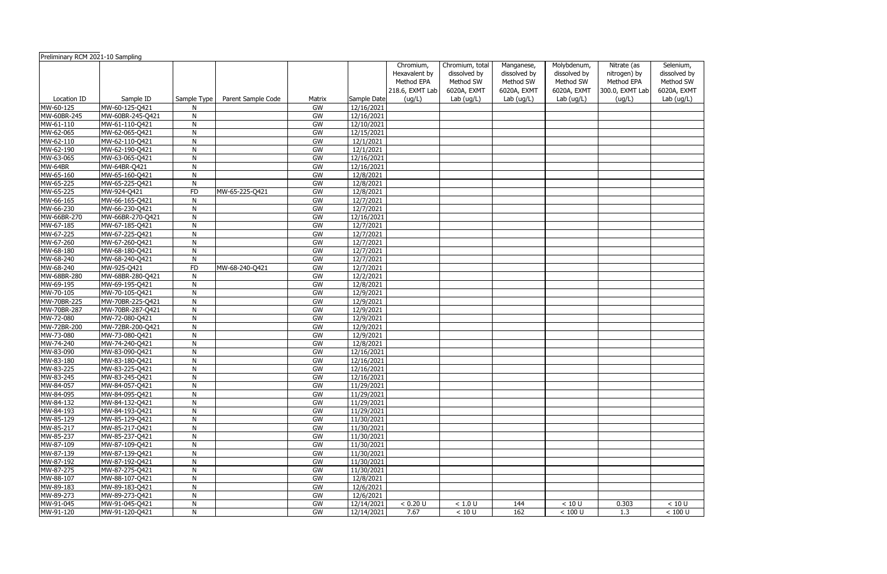| Preliminary RCM 2021-10 Sampling |                                  |              |                    |          |                          | Chromium,<br>Hexavalent by | Chromium, total<br>dissolved by | Manganese,<br>dissolved by | Molybdenum,<br>dissolved by | Nitrate (as<br>nitrogen) by | Selenium<br>dissolved |
|----------------------------------|----------------------------------|--------------|--------------------|----------|--------------------------|----------------------------|---------------------------------|----------------------------|-----------------------------|-----------------------------|-----------------------|
|                                  |                                  |              |                    |          |                          | Method EPA                 | Method SW                       | Method SW                  | Method SW                   | Method EPA                  | Method S'             |
|                                  |                                  |              |                    |          |                          | 218.6, EXMT Lab            | 6020A, EXMT                     | 6020A, EXMT                | 6020A, EXMT                 | 300.0, EXMT Lab             | 6020A, EX             |
| Location ID                      | Sample ID                        | Sample Type  | Parent Sample Code | Matrix   | Sample Date              | (ug/L)                     | Lab (ug/L)                      | Lab $(ug/L)$               | Lab $(ug/L)$                | (ug/L)                      | Lab (ug/l             |
| MW-60-125                        | MW-60-125-Q421                   | N            |                    | GW       | 12/16/2021               |                            |                                 |                            |                             |                             |                       |
| MW-60BR-245                      | MW-60BR-245-Q421                 | N            |                    | GW<br>GW | 12/16/2021               |                            |                                 |                            |                             |                             |                       |
| MW-61-110<br>MW-62-065           | MW-61-110-Q421<br>MW-62-065-Q421 | N<br>N       |                    | GW       | 12/10/2021<br>12/15/2021 |                            |                                 |                            |                             |                             |                       |
| MW-62-110                        | MW-62-110-Q421                   | N            |                    | GW       | 12/1/2021                |                            |                                 |                            |                             |                             |                       |
| MW-62-190                        | MW-62-190-Q421                   | $\mathsf{N}$ |                    | GW       | 12/1/2021                |                            |                                 |                            |                             |                             |                       |
| MW-63-065                        | MW-63-065-Q421                   | N            |                    | GW       | 12/16/2021               |                            |                                 |                            |                             |                             |                       |
| MW-64BR                          | MW-64BR-Q421                     | N            |                    | GW       | 12/16/2021               |                            |                                 |                            |                             |                             |                       |
| MW-65-160                        | MW-65-160-Q421                   | N            |                    | GW       | 12/8/2021                |                            |                                 |                            |                             |                             |                       |
| MW-65-225                        | MW-65-225-Q421                   | $\mathsf{N}$ |                    | GW       | 12/8/2021                |                            |                                 |                            |                             |                             |                       |
| MW-65-225                        | MW-924-Q421                      | ${\sf FD}$   | MW-65-225-Q421     | GW       | 12/8/2021                |                            |                                 |                            |                             |                             |                       |
| MW-66-165                        | MW-66-165-Q421                   | N            |                    | GW       | 12/7/2021                |                            |                                 |                            |                             |                             |                       |
| MW-66-230                        | MW-66-230-Q421                   | N            |                    | GW       | 12/7/2021                |                            |                                 |                            |                             |                             |                       |
| MW-66BR-270                      | MW-66BR-270-Q421                 | N            |                    | GW       | 12/16/2021               |                            |                                 |                            |                             |                             |                       |
| MW-67-185                        | MW-67-185-Q421                   | N            |                    | GW       | 12/7/2021                |                            |                                 |                            |                             |                             |                       |
| MW-67-225                        | MW-67-225-Q421                   | N            |                    | GW       | 12/7/2021                |                            |                                 |                            |                             |                             |                       |
| MW-67-260                        | MW-67-260-Q421                   | N            |                    | GW       | 12/7/2021                |                            |                                 |                            |                             |                             |                       |
| MW-68-180                        | MW-68-180-Q421                   | N            |                    | GW       | 12/7/2021                |                            |                                 |                            |                             |                             |                       |
| MW-68-240                        | MW-68-240-Q421                   | N            |                    | GW       | 12/7/2021                |                            |                                 |                            |                             |                             |                       |
| MW-68-240                        | MW-925-Q421                      | <b>FD</b>    | MW-68-240-Q421     | GW       | 12/7/2021                |                            |                                 |                            |                             |                             |                       |
| MW-68BR-280                      | MW-68BR-280-Q421                 | $\mathsf{N}$ |                    | GW       | 12/2/2021                |                            |                                 |                            |                             |                             |                       |
| MW-69-195                        | MW-69-195-Q421                   | N            |                    | GW       | 12/8/2021                |                            |                                 |                            |                             |                             |                       |
| MW-70-105                        | MW-70-105-Q421                   | $\mathsf{N}$ |                    | GW       | 12/9/2021                |                            |                                 |                            |                             |                             |                       |
| MW-70BR-225                      | MW-70BR-225-Q421                 | N            |                    | GW       | 12/9/2021                |                            |                                 |                            |                             |                             |                       |
| MW-70BR-287                      | MW-70BR-287-Q421                 | $\mathsf{N}$ |                    | GW       | 12/9/2021                |                            |                                 |                            |                             |                             |                       |
| MW-72-080                        | MW-72-080-Q421                   | N            |                    | GW       | 12/9/2021                |                            |                                 |                            |                             |                             |                       |
| MW-72BR-200                      | MW-72BR-200-Q421                 | N            |                    | GW       | 12/9/2021                |                            |                                 |                            |                             |                             |                       |
| MW-73-080                        | MW-73-080-Q421                   | N            |                    | GW       | 12/9/2021                |                            |                                 |                            |                             |                             |                       |
| MW-74-240                        | MW-74-240-Q421                   | N            |                    | GW       | 12/8/2021                |                            |                                 |                            |                             |                             |                       |
| MW-83-090                        | MW-83-090-Q421                   | N            |                    | GW       | 12/16/2021               |                            |                                 |                            |                             |                             |                       |
| MW-83-180                        | MW-83-180-Q421                   | N            |                    | GW       | 12/16/2021               |                            |                                 |                            |                             |                             |                       |
| MW-83-225                        | MW-83-225-Q421                   | N            |                    | GW       | 12/16/2021               |                            |                                 |                            |                             |                             |                       |
| MW-83-245                        | MW-83-245-Q421                   | N.           |                    | GW       | 12/16/2021               |                            |                                 |                            |                             |                             |                       |
| MW-84-057                        | MW-84-057-Q421                   | N            |                    | GW       | 11/29/2021               |                            |                                 |                            |                             |                             |                       |
| MW-84-095                        | MW-84-095-Q421                   | N            |                    | GW       | 11/29/2021               |                            |                                 |                            |                             |                             |                       |
| MW-84-132                        | MW-84-132-Q421                   | N            |                    | GW       | 11/29/2021               |                            |                                 |                            |                             |                             |                       |
| MW-84-193                        | MW-84-193-Q421                   | N            |                    | GW       | 11/29/2021               |                            |                                 |                            |                             |                             |                       |
| MW-85-129                        | MW-85-129-Q421                   | N            |                    | GW       | 11/30/2021               |                            |                                 |                            |                             |                             |                       |
| MW-85-217                        | MW-85-217-Q421                   | N            |                    | GW       | 11/30/2021               |                            |                                 |                            |                             |                             |                       |
| MW-85-237                        | MW-85-237-Q421                   | N            |                    | GW       | 11/30/2021               |                            |                                 |                            |                             |                             |                       |
| MW-87-109                        | MW-87-109-Q421                   | N            |                    | GW       | 11/30/2021               |                            |                                 |                            |                             |                             |                       |
| MW-87-139                        | MW-87-139-Q421                   | N            |                    | GW       | 11/30/2021               |                            |                                 |                            |                             |                             |                       |
| MW-87-192                        | MW-87-192-Q421                   | N            |                    | GW       | 11/30/2021               |                            |                                 |                            |                             |                             |                       |
| MW-87-275                        | MW-87-275-Q421                   | N            |                    | GW       | 11/30/2021               |                            |                                 |                            |                             |                             |                       |
| MW-88-107                        | MW-88-107-Q421                   | N            |                    | GW       | 12/8/2021                |                            |                                 |                            |                             |                             |                       |
| MW-89-183                        | MW-89-183-Q421                   | N            |                    | GW       | 12/6/2021                |                            |                                 |                            |                             |                             |                       |
| MW-89-273                        | MW-89-273-Q421                   | N            |                    | GW       | 12/6/2021                |                            |                                 |                            |                             |                             |                       |
| MW-91-045                        | MW-91-045-Q421                   | N            |                    | GW       | 12/14/2021               | < 0.20 U                   | $<1.0$ U                        | 144                        | $<10$ U                     | 0.303                       | < 10 U                |
| MW-91-120                        | MW-91-120-Q421                   | N            |                    | GW       | 12/14/2021               | 7.67                       | $<10$ U                         | 162                        | $<100$ U                    | 1.3                         | $< 100$ U             |

| Selenium,                                |
|------------------------------------------|
| dissolved by<br>Method SW<br>6020A, EXMT |
|                                          |
|                                          |
| Lab $(ug/L)$                             |
|                                          |
|                                          |
|                                          |
|                                          |
|                                          |
|                                          |
|                                          |
|                                          |
|                                          |
|                                          |
|                                          |
|                                          |
|                                          |
|                                          |
|                                          |
|                                          |
|                                          |
|                                          |
|                                          |
|                                          |
|                                          |
|                                          |
|                                          |
|                                          |
|                                          |
|                                          |
|                                          |
|                                          |
|                                          |
|                                          |
|                                          |
|                                          |
|                                          |
|                                          |
|                                          |
|                                          |
|                                          |
|                                          |
|                                          |
|                                          |
|                                          |
|                                          |
|                                          |
|                                          |
|                                          |
|                                          |
|                                          |
| 10U                                      |
| 100 U                                    |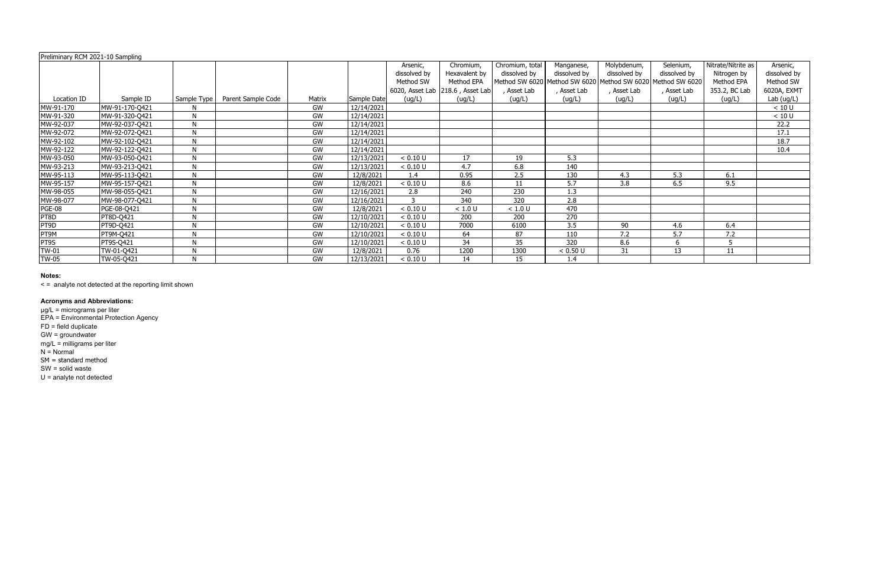| Preliminary RCM 2021-10 Sampling |                |             |                    |           |             |              |                                  |                 |                  |                                                             |              |                    |              |
|----------------------------------|----------------|-------------|--------------------|-----------|-------------|--------------|----------------------------------|-----------------|------------------|-------------------------------------------------------------|--------------|--------------------|--------------|
|                                  |                |             |                    |           |             | Arsenic,     | Chromium,                        | Chromium, total | Manganese,       | Molybdenum,                                                 | Selenium,    | Nitrate/Nitrite as | Arsenic,     |
|                                  |                |             |                    |           |             | dissolved by | Hexavalent by                    | dissolved by    | dissolved by     | dissolved by                                                | dissolved by | Nitrogen by        | dissolved by |
|                                  |                |             |                    |           |             | Method SW    | Method EPA                       |                 |                  | Method SW 6020 Method SW 6020 Method SW 6020 Method SW 6020 |              | Method EPA         | Method SW    |
|                                  |                |             |                    |           |             |              | 6020, Asset Lab 218.6, Asset Lab | , Asset Lab     | Asset Lab        | Asset Lab                                                   | , Asset Lab  | 353.2, BC Lab      | 6020A, EXMT  |
| Location ID                      | Sample ID      | Sample Type | Parent Sample Code | Matrix    | Sample Date | (ug/L)       | (ug/L)                           | (ug/L)          | (ug/L)           | (ug/L)                                                      | (ug/L)       | (ug/L)             | Lab (ug/L)   |
| MW-91-170                        | MW-91-170-Q421 |             |                    | GW        | 12/14/2021  |              |                                  |                 |                  |                                                             |              |                    | < 10 U       |
| MW-91-320                        | MW-91-320-Q421 | N           |                    | GW        | 12/14/2021  |              |                                  |                 |                  |                                                             |              |                    | < 10 U       |
| MW-92-037                        | MW-92-037-Q421 | N           |                    | GW        | 12/14/2021  |              |                                  |                 |                  |                                                             |              |                    | 22.2         |
| MW-92-072                        | MW-92-072-Q421 | N           |                    | GW        | 12/14/2021  |              |                                  |                 |                  |                                                             |              |                    | 17.1         |
| MW-92-102                        | MW-92-102-Q421 | N           |                    | GW        | 12/14/2021  |              |                                  |                 |                  |                                                             |              |                    | 18.7         |
| MW-92-122                        | MW-92-122-Q421 | N           |                    | GW        | 12/14/2021  |              |                                  |                 |                  |                                                             |              |                    | 10.4         |
| MW-93-050                        | MW-93-050-Q421 | N           |                    | GW        | 12/13/2021  | < 0.10 U     | 17                               | 19              | 5.3              |                                                             |              |                    |              |
| MW-93-213                        | MW-93-213-Q421 | N           |                    | GW        | 12/13/2021  | < 0.10 U     | 4.7                              | 6.8             | 140              |                                                             |              |                    |              |
| MW-95-113                        | MW-95-113-Q421 | N           |                    | GW        | 12/8/2021   | 1.4          | 0.95                             | 2.5             | 130              | 4.3                                                         | 5.3          | 6.1                |              |
| MW-95-157                        | MW-95-157-Q421 | N           |                    | GW        | 12/8/2021   | < 0.10 U     | 8.6                              | 11              | 5.7              | 3.8                                                         | 6.5          | 9.5                |              |
| MW-98-055                        | MW-98-055-Q421 | N           |                    | GW        | 12/16/2021  | 2.8          | 240                              | 230             | 1.3              |                                                             |              |                    |              |
| MW-98-077                        | MW-98-077-Q421 | N           |                    | GW        | 12/16/2021  | 3            | 340                              | 320             | 2.8              |                                                             |              |                    |              |
| <b>PGE-08</b>                    | PGE-08-Q421    | N           |                    | GW        | 12/8/2021   | < 0.10 U     | < 1.0 U                          | < 1.0 U         | 470              |                                                             |              |                    |              |
| PT8D                             | PT8D-Q421      | N           |                    | GW        | 12/10/2021  | < 0.10 U     | 200                              | 200             | 270              |                                                             |              |                    |              |
| PT9D                             | PT9D-Q421      | N           |                    | <b>GW</b> | 12/10/2021  | < 0.10 U     | 7000                             | 6100            | 3.5              | 90                                                          | 4.6          | 6.4                |              |
| PT9M                             | PT9M-Q421      | N           |                    | GW        | 12/10/2021  | < 0.10 U     | 64                               | 87              | 110              | 7.2                                                         | 5.7          | 7.2                |              |
| PT9S                             | PT9S-Q421      | N           |                    | GW        | 12/10/2021  | < 0.10 U     | 34                               | 35              | $\overline{320}$ | 8.6                                                         |              | 5                  |              |
| $TW-01$                          | TW-01-Q421     | N           |                    | GW        | 12/8/2021   | 0.76         | 1200                             | 1300            | < 0.50 U         | 31                                                          | 13           | 11                 |              |
| <b>TW-05</b>                     | TW-05-Q421     |             |                    | GW        | 12/13/2021  | < 0.10 U     | 14                               | 15              | 1.4              |                                                             |              |                    |              |

< = analyte not detected at the reporting limit shown

#### **Acronyms and Abbreviations:**

µg/L = micrograms per liter EPA = Environmental Protection Agency FD = field duplicate GW = groundwater mg/L = milligrams per liter N = Normal SM = standard method SW = solid waste U = analyte not detected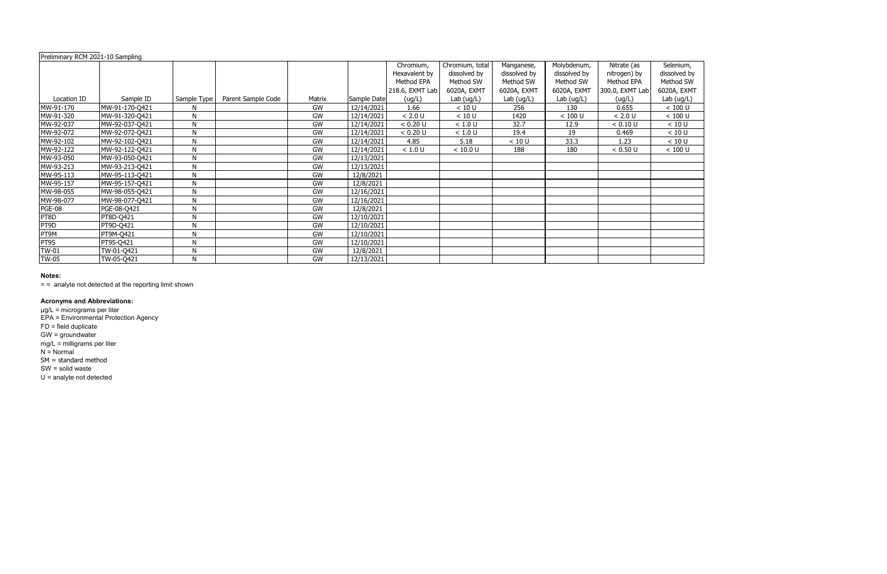µg/L = micrograms per liter EPA = Environmental Protection Agency FD = field duplicate GW = groundwater mg/L = milligrams per liter N = Normal SM = standard method SW = solid waste U = analyte not detected

#### **Notes:**

< = analyte not detected at the reporting limit shown

| Preliminary RCM 2021-10 Sampling |                |              |                    |        |             |                 |                 |              |              |                 |           |
|----------------------------------|----------------|--------------|--------------------|--------|-------------|-----------------|-----------------|--------------|--------------|-----------------|-----------|
|                                  |                |              |                    |        |             | Chromium,       | Chromium, total | Manganese,   | Molybdenum,  | Nitrate (as     | Selenium  |
|                                  |                |              |                    |        |             | Hexavalent by   | dissolved by    | dissolved by | dissolved by | nitrogen) by    | dissolved |
|                                  |                |              |                    |        |             | Method EPA      | Method SW       | Method SW    | Method SW    | Method EPA      | Method S' |
|                                  |                |              |                    |        |             | 218.6, EXMT Lab | 6020A, EXMT     | 6020A, EXMT  | 6020A, EXMT  | 300.0, EXMT Lab | 6020A, EX |
| Location ID                      | Sample ID      | Sample Type  | Parent Sample Code | Matrix | Sample Date | (ug/L)          | Lab $(ug/L)$    | Lab $(ug/L)$ | Lab $(ug/L)$ | (ug/L)          | Lab (ug/l |
| MW-91-170                        | MW-91-170-Q421 | N            |                    | GW     | 12/14/2021  | 1.66            | < 10 U          | 256          | 130          | 0.655           | $< 100$ U |
| MW-91-320                        | MW-91-320-Q421 | N            |                    | GW     | 12/14/2021  | < 2.0 U         | < 10 U          | 1420         | < 100 U      | < 2.0 U         | $< 100$ U |
| MW-92-037                        | MW-92-037-Q421 | N            |                    | GW     | 12/14/2021  | < 0.20 U        | $<1.0$ U        | 32.7         | 12.9         | < 0.10 U        | < 10 U    |
| MW-92-072                        | MW-92-072-Q421 | N            |                    | GW     | 12/14/2021  | < 0.20 U        | < 1.0 U         | 19.4         | 19           | 0.469           | < 10 U    |
| MW-92-102                        | MW-92-102-Q421 | $\mathsf{N}$ |                    | GW     | 12/14/2021  | 4.85            | 5.18            | < 10 U       | 33.3         | 1.23            | < 10 U    |
| MW-92-122                        | MW-92-122-Q421 | N            |                    | GW     | 12/14/2021  | < 1.0 U         | < 10.0 U        | 188          | 180          | < 0.50 U        | $< 100$ U |
| MW-93-050                        | MW-93-050-Q421 | N            |                    | GW     | 12/13/2021  |                 |                 |              |              |                 |           |
| MW-93-213                        | MW-93-213-Q421 | N            |                    | GW     | 12/13/2021  |                 |                 |              |              |                 |           |
| MW-95-113                        | MW-95-113-Q421 | N            |                    | GW     | 12/8/2021   |                 |                 |              |              |                 |           |
| MW-95-157                        | MW-95-157-Q421 | N            |                    | GW     | 12/8/2021   |                 |                 |              |              |                 |           |
| MW-98-055                        | MW-98-055-Q421 | N            |                    | GW     | 12/16/2021  |                 |                 |              |              |                 |           |
| MW-98-077                        | MW-98-077-Q421 | N            |                    | GW     | 12/16/2021  |                 |                 |              |              |                 |           |
| <b>PGE-08</b>                    | PGE-08-Q421    | N            |                    | GW     | 12/8/2021   |                 |                 |              |              |                 |           |
| PT8D                             | PT8D-Q421      | N            |                    | GW     | 12/10/2021  |                 |                 |              |              |                 |           |
| PT9D                             | PT9D-Q421      | N            |                    | GW     | 12/10/2021  |                 |                 |              |              |                 |           |
| PT9M                             | PT9M-Q421      | N            |                    | GW     | 12/10/2021  |                 |                 |              |              |                 |           |
| PT9S                             | PT9S-Q421      | N            |                    | GW     | 12/10/2021  |                 |                 |              |              |                 |           |
| <b>TW-01</b>                     | TW-01-Q421     | N            |                    | GW     | 12/8/2021   |                 |                 |              |              |                 |           |
| <b>TW-05</b>                     | TW-05-Q421     | N            |                    | GW     | 12/13/2021  |                 |                 |              |              |                 |           |

## **Acronyms and Abbreviations:**

| Selenium,           |
|---------------------|
| dissolved by        |
| Method SW           |
| 6020A, EXMT         |
| Lab (ug/L)          |
| < 100 U             |
| < 100 U             |
| $\leq 10 \text{ U}$ |
| < 10 U              |
| < 10 U              |
| < 100 U             |
|                     |
|                     |
|                     |
|                     |
|                     |
|                     |
|                     |
|                     |
|                     |
|                     |
|                     |
|                     |
|                     |
|                     |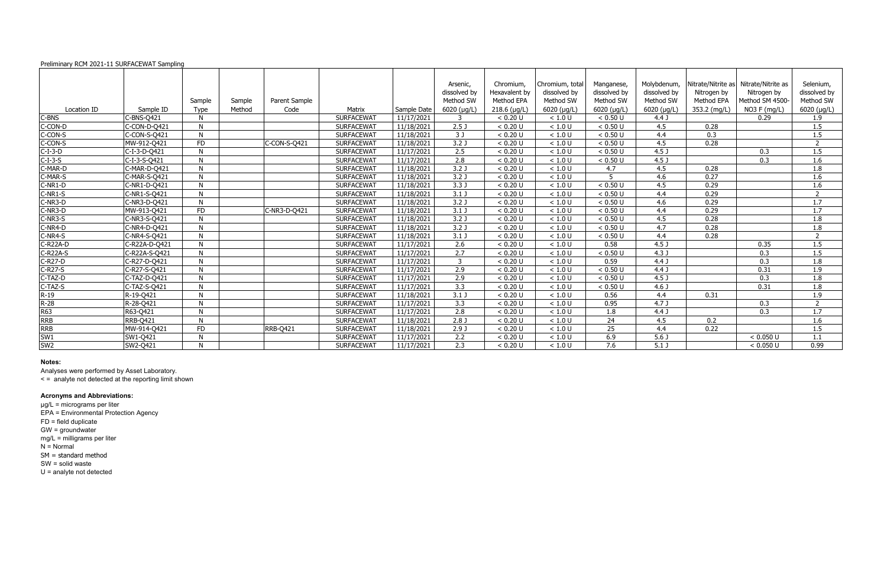#### Preliminary RCM 2021-11 SURFACEWAT Sampling

|                                |                 |           |        |                 |                   |             | Arsenic,            | Chromium,      | Chromium, total | Manganese,          | Molybdenum,         | Nitrate/Nitrite as | Nitrate/Nitrite as | Selenium,      |
|--------------------------------|-----------------|-----------|--------|-----------------|-------------------|-------------|---------------------|----------------|-----------------|---------------------|---------------------|--------------------|--------------------|----------------|
|                                |                 |           |        |                 |                   |             | dissolved by        | Hexavalent by  | dissolved by    | dissolved by        | dissolved by        | Nitrogen by        | Nitrogen by        | dissolved by   |
|                                |                 | Sample    | Sample | Parent Sample   |                   |             | Method SW           | Method EPA     | Method SW       | Method SW           | Method SW           | Method EPA         | Method SM 4500-    | Method SW      |
| Location ID                    | Sample ID       | Type      | Method | Code            | Matrix            | Sample Date | $6020$ ( $\mu$ g/L) | $218.6$ (µg/L) | $6020$ (µg/L)   | $6020$ ( $\mu$ g/L) | $6020$ ( $\mu$ g/L) | 353.2 (mg/L)       | NO3 F (mg/L)       | 6020 (µg/L)    |
| C-BNS                          | C-BNS-Q421      | N         |        |                 | <b>SURFACEWAT</b> | 11/17/2021  | 3                   | < 0.20 U       | < 1.0 U         | < 0.50 U            | 4.4 <sub>J</sub>    |                    | 0.29               | 1.9            |
| $C$ -CON-D                     | C-CON-D-Q421    | N         |        |                 | <b>SURFACEWAT</b> | 11/18/2021  | 2.5 <sub>J</sub>    | < 0.20 U       | < 1.0 U         | < 0.50 U            | 4.5                 | 0.28               |                    | 1.5            |
| C-CON-S                        | C-CON-S-Q421    | N         |        |                 | <b>SURFACEWAT</b> | 11/18/2021  | 3J                  | < 0.20 U       | < 1.0 U         | < 0.50 U            | 4.4                 | 0.3                |                    | 1.5            |
| C-CON-S                        | MW-912-Q421     | <b>FD</b> |        | C-CON-S-Q421    | <b>SURFACEWAT</b> | 11/18/2021  | 3.2 <sub>0</sub>    | < 0.20 U       | < 1.0 U         | < 0.50 U            | 4.5                 | 0.28               |                    | $\overline{2}$ |
| $C-I-3-D$                      | C-I-3-D-Q421    | N         |        |                 | <b>SURFACEWAT</b> | 11/17/2021  | 2.5                 | < 0.20 U       | < 1.0 U         | < 0.50 U            | 4.5 <sub>J</sub>    |                    | 0.3                | 1.5            |
| $C-I-3-S$                      | C-I-3-S-Q421    | N         |        |                 | <b>SURFACEWAT</b> | 11/17/2021  | $\overline{2.8}$    | < 0.20 U       | < 1.0 U         | < 0.50 U            | 4.5 <sub>J</sub>    |                    | 0.3                | 1.6            |
| C-MAR-D                        | C-MAR-D-Q421    | N         |        |                 | <b>SURFACEWAT</b> | 11/18/2021  | 3.2 <sub>0</sub>    | < 0.20 U       | < 1.0 U         | 4.7                 | 4.5                 | 0.28               |                    | 1.8            |
| C-MAR-S                        | C-MAR-S-Q421    | N         |        |                 | <b>SURFACEWAT</b> | 11/18/2021  | 3.2 <sub>0</sub>    | < 0.20 U       | < 1.0 U         | 5                   | 4.6                 | 0.27               |                    | 1.6            |
| $C-NR1-D$                      | C-NR1-D-Q421    | N         |        |                 | <b>SURFACEWAT</b> | 11/18/2021  | 3.3J                | < 0.20 U       | < 1.0 U         | < 0.50 U            | 4.5                 | 0.29               |                    | 1.6            |
| C-NR1-S                        | C-NR1-S-Q421    | N         |        |                 | <b>SURFACEWAT</b> | 11/18/2021  | 3.1 J               | < 0.20 U       | < 1.0 U         | < 0.50 U            | 4.4                 | 0.29               |                    | $\overline{2}$ |
| C-NR3-D                        | C-NR3-D-Q421    | N         |        |                 | <b>SURFACEWAT</b> | 11/18/2021  | 3.2 J               | < 0.20 U       | < 1.0 U         | < 0.50 U            | 4.6                 | 0.29               |                    | 1.7            |
| $C-NR3-D$                      | MW-913-Q421     | <b>FD</b> |        | C-NR3-D-Q421    | <b>SURFACEWAT</b> | 11/18/2021  | 3.1 J               | < 0.20 U       | < 1.0 U         | < 0.50 U            | 4.4                 | 0.29               |                    | 1.7            |
| $C-NR3-S$                      | C-NR3-S-Q421    | N         |        |                 | <b>SURFACEWAT</b> | 11/18/2021  | 3.2 J               | < 0.20 U       | < 1.0 U         | < 0.50 U            | 4.5                 | 0.28               |                    | 1.8            |
| $C-NR4-D$                      | C-NR4-D-Q421    | N         |        |                 | <b>SURFACEWAT</b> | 11/18/2021  | 3.2 J               | < 0.20 U       | < 1.0 U         | < 0.50 U            | $\overline{4.7}$    | 0.28               |                    | 1.8            |
| $C-NR4-S$                      | C-NR4-S-Q421    | N         |        |                 | <b>SURFACEWAT</b> | 11/18/2021  | $3.1$ J             | < 0.20 U       | < 1.0 U         | < 0.50 U            | 4.4                 | 0.28               |                    | $\overline{2}$ |
| C-R22A-D                       | C-R22A-D-Q421   | N         |        |                 | <b>SURFACEWAT</b> | 11/17/2021  | 2.6                 | < 0.20 U       | < 1.0 U         | 0.58                | 4.5 <sub>J</sub>    |                    | 0.35               | 1.5            |
| $-R22A-S$                      | C-R22A-S-Q421   | N         |        |                 | <b>SURFACEWAT</b> | 11/17/2021  | 2.7                 | < 0.20 U       | < 1.0 U         | < 0.50 U            | 4.3J                |                    | 0.3                | 1.5            |
| $-$ R27-D                      | C-R27-D-0421    | N         |        |                 | <b>SURFACEWAT</b> | 11/17/2021  | $\overline{3}$      | < 0.20 U       | < 1.0 U         | 0.59                | 4.4J                |                    | 0.3                | 1.8            |
| C-R27-S                        | C-R27-S-Q421    | N         |        |                 | <b>SURFACEWAT</b> | 11/17/2021  | 2.9                 | < 0.20 U       | < 1.0 U         | < 0.50 U            | 4.4J                |                    | 0.31               | 1.9            |
| C-TAZ-D                        | C-TAZ-D-Q421    | N         |        |                 | <b>SURFACEWAT</b> | 11/17/2021  | 2.9                 | < 0.20 U       | < 1.0 U         | < 0.50 U            | 4.5 <sub>J</sub>    |                    | 0.3                | 1.8            |
|                                | C-TAZ-S-Q421    | N         |        |                 | <b>SURFACEWAT</b> | 11/17/2021  | 3.3                 | < 0.20 U       | < 1.0 U         | < 0.50 U            | 4.6 <sub>J</sub>    |                    | 0.31               | 1.8            |
|                                | R-19-Q421       | N         |        |                 | <b>SURFACEWAT</b> | 11/18/2021  | $3.1$ J             | < 0.20 U       | < 1.0 U         | 0.56                | 4.4                 | 0.31               |                    | 1.9            |
|                                | R-28-Q421       | N         |        |                 | <b>SURFACEWAT</b> | 11/17/2021  | 3.3                 | < 0.20 U       | < 1.0 U         | 0.95                | 4.7J                |                    | 0.3                | $\overline{2}$ |
| C-TAZ-S<br>R-19<br>R-28<br>R63 | R63-Q421        | N         |        |                 | <b>SURFACEWAT</b> | 11/17/2021  | $\overline{2.8}$    | < 0.20 U       | < 1.0 U         | 1.8                 | 4.4J                |                    | 0.3                | 1.7            |
| RRB<br>RRB<br>SW1<br>SW2       | <b>RRB-Q421</b> | N         |        |                 | <b>SURFACEWAT</b> | 11/18/2021  | 2.8 <sub>J</sub>    | < 0.20 U       | < 1.0 U         | 24                  | 4.5                 | 0.2                |                    | 1.6            |
|                                | MW-914-Q421     | FD        |        | <b>RRB-Q421</b> | <b>SURFACEWAT</b> | 11/18/2021  | 2.9J                | < 0.20 U       | < 1.0 U         | 25                  | 4.4                 | 0.22               |                    | 1.5            |
|                                | SW1-Q421        | N         |        |                 | <b>SURFACEWAT</b> | 11/17/2021  | 2.2                 | < 0.20 U       | < 1.0 U         | 6.9                 | 5.6 <sub>J</sub>    |                    | < 0.050 U          | 1.1            |
|                                | SW2-Q421        | N         |        |                 | <b>SURFACEWAT</b> | 11/17/2021  | $\overline{2.3}$    | < 0.20 U       | < 1.0 U         | 7.6                 | $5.1$ J             |                    | < 0.050 U          | 0.99           |

#### **Notes:**

Analyses were performed by Asset Laboratory.

< = analyte not detected at the reporting limit shown

# **Acronyms and Abbreviations:**

µg/L = micrograms per liter EPA = Environmental Protection Agency FD = field duplicate GW = groundwater mg/L = milligrams per liter N = Normal SM = standard method SW = solid waste U = analyte not detected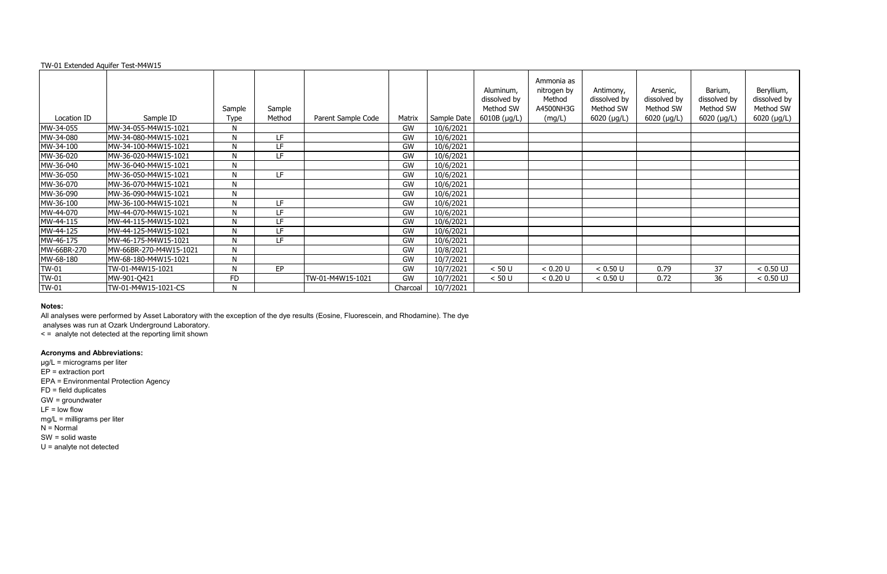#### TW-01 Extended Aquifer Test-M4W15

|              |                        |             |        |                    |           |             | Aluminum,<br>dissolved by | Ammonia as<br>nitrogen by<br>Method | Antimony,<br>dissolved by | Arsenic,<br>dissolved by | Barium,<br>dissolved by | Beryllium,<br>dissolved by |
|--------------|------------------------|-------------|--------|--------------------|-----------|-------------|---------------------------|-------------------------------------|---------------------------|--------------------------|-------------------------|----------------------------|
|              |                        | Sample      | Sample |                    |           |             | Method SW                 | A4500NH3G                           | Method SW                 | Method SW                | Method SW               | Method SW                  |
| Location ID  | Sample ID              | <b>Type</b> | Method | Parent Sample Code | Matrix    | Sample Date | $6010B$ (µg/L)            | (mg/L)                              | $6020$ (µg/L)             | $6020$ (µg/L)            | $6020$ (µg/L)           | 6020 (µg/L)                |
| MW-34-055    | MW-34-055-M4W15-1021   | N           |        |                    | GW        | 10/6/2021   |                           |                                     |                           |                          |                         |                            |
| MW-34-080    | MW-34-080-M4W15-1021   | N           | LF.    |                    | GW        | 10/6/2021   |                           |                                     |                           |                          |                         |                            |
| MW-34-100    | MW-34-100-M4W15-1021   | N           | LF     |                    | <b>GW</b> | 10/6/2021   |                           |                                     |                           |                          |                         |                            |
| MW-36-020    | MW-36-020-M4W15-1021   | N           | LF     |                    | GW        | 10/6/2021   |                           |                                     |                           |                          |                         |                            |
| MW-36-040    | MW-36-040-M4W15-1021   | ${\sf N}$   |        |                    | <b>GW</b> | 10/6/2021   |                           |                                     |                           |                          |                         |                            |
| MW-36-050    | MW-36-050-M4W15-1021   | N           | LF     |                    | GW        | 10/6/2021   |                           |                                     |                           |                          |                         |                            |
| MW-36-070    | MW-36-070-M4W15-1021   | N           |        |                    | GW        | 10/6/2021   |                           |                                     |                           |                          |                         |                            |
| MW-36-090    | MW-36-090-M4W15-1021   | N           |        |                    | GW        | 10/6/2021   |                           |                                     |                           |                          |                         |                            |
| MW-36-100    | MW-36-100-M4W15-1021   | N           | LF     |                    | <b>GW</b> | 10/6/2021   |                           |                                     |                           |                          |                         |                            |
| MW-44-070    | MW-44-070-M4W15-1021   | N           | LF     |                    | GW        | 10/6/2021   |                           |                                     |                           |                          |                         |                            |
| MW-44-115    | MW-44-115-M4W15-1021   | N           | LF     |                    | <b>GW</b> | 10/6/2021   |                           |                                     |                           |                          |                         |                            |
| MW-44-125    | MW-44-125-M4W15-1021   | N           | LF     |                    | GW        | 10/6/2021   |                           |                                     |                           |                          |                         |                            |
| MW-46-175    | MW-46-175-M4W15-1021   | N           | LF     |                    | GW        | 10/6/2021   |                           |                                     |                           |                          |                         |                            |
| MW-66BR-270  | MW-66BR-270-M4W15-1021 | N           |        |                    | GW        | 10/8/2021   |                           |                                     |                           |                          |                         |                            |
| MW-68-180    | MW-68-180-M4W15-1021   | N           |        |                    | GW        | 10/7/2021   |                           |                                     |                           |                          |                         |                            |
| <b>TW-01</b> | TW-01-M4W15-1021       | N           | EP     |                    | GW        | 10/7/2021   | < 50 U                    | < 0.20 U                            | < 0.50 U                  | 0.79                     | 37                      | $< 0.50$ UJ                |
| TW-01        | MW-901-Q421            | <b>FD</b>   |        | TW-01-M4W15-1021   | <b>GW</b> | 10/7/2021   | < 50 U                    | < 0.20 U                            | < 0.50 U                  | 0.72                     | 36                      | $< 0.50$ UJ                |
| <b>TW-01</b> | TW-01-M4W15-1021-CS    | N           |        |                    | Charcoal  | 10/7/2021   |                           |                                     |                           |                          |                         |                            |

#### **Notes:**

All analyses were performed by Asset Laboratory with the exception of the dye results (Eosine, Fluorescein, and Rhodamine). The dye

analyses was run at Ozark Underground Laboratory.

< = analyte not detected at the reporting limit shown

# **Acronyms and Abbreviations:**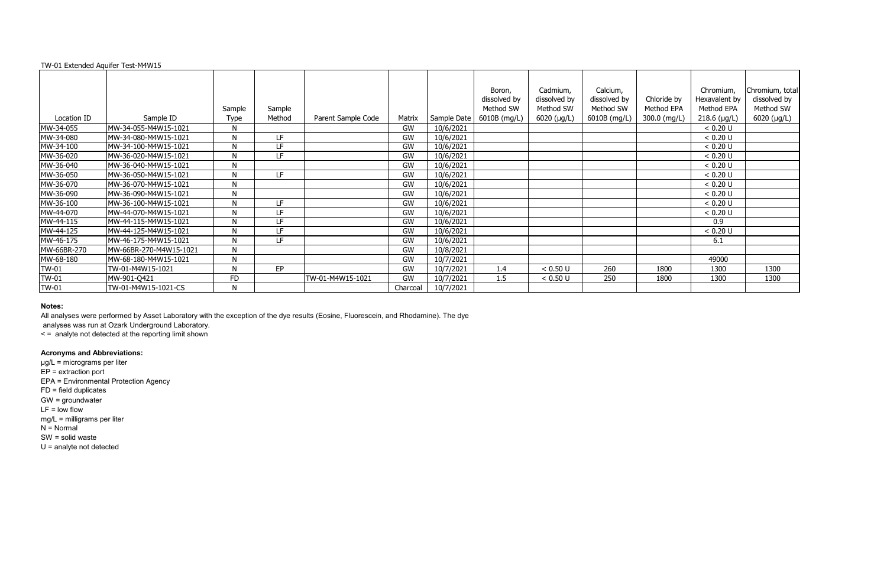|  |  | TW-01 Extended Aquifer Test-M4W15 |  |
|--|--|-----------------------------------|--|
|  |  |                                   |  |

|              |                        |              |        |                    |           |             | Boron,       | Cadmium,      | Calcium,     |              | Chromium,      | Chromium, total |
|--------------|------------------------|--------------|--------|--------------------|-----------|-------------|--------------|---------------|--------------|--------------|----------------|-----------------|
|              |                        |              |        |                    |           |             | dissolved by | dissolved by  | dissolved by | Chloride by  | Hexavalent by  | dissolved by    |
|              |                        | Sample       | Sample |                    |           |             | Method SW    | Method SW     | Method SW    | Method EPA   | Method EPA     | Method SW       |
| Location ID  | Sample ID              | Type         | Method | Parent Sample Code | Matrix    | Sample Date | 6010B (mg/L) | $6020$ (µg/L) | 6010B (mg/L) | 300.0 (mg/L) | $218.6$ (µg/L) | 6020 (µg/L)     |
| MW-34-055    | MW-34-055-M4W15-1021   | N            |        |                    | <b>GW</b> | 10/6/2021   |              |               |              |              | < 0.20 U       |                 |
| MW-34-080    | MW-34-080-M4W15-1021   | N            | LF.    |                    | GW        | 10/6/2021   |              |               |              |              | < 0.20 U       |                 |
| MW-34-100    | MW-34-100-M4W15-1021   | N            | LF     |                    | GW        | 10/6/2021   |              |               |              |              | < 0.20 U       |                 |
| MW-36-020    | MW-36-020-M4W15-1021   | N            | LF     |                    | GW        | 10/6/2021   |              |               |              |              | < 0.20 U       |                 |
| MW-36-040    | MW-36-040-M4W15-1021   | $\mathsf{N}$ |        |                    | GW        | 10/6/2021   |              |               |              |              | < 0.20 U       |                 |
| MW-36-050    | MW-36-050-M4W15-1021   | N            | LF     |                    | GW        | 10/6/2021   |              |               |              |              | < 0.20 U       |                 |
| MW-36-070    | MW-36-070-M4W15-1021   | N            |        |                    | GW        | 10/6/2021   |              |               |              |              | < 0.20 U       |                 |
| MW-36-090    | MW-36-090-M4W15-1021   | N            |        |                    | GW        | 10/6/2021   |              |               |              |              | < 0.20 U       |                 |
| MW-36-100    | MW-36-100-M4W15-1021   | N            | LF     |                    | GW        | 10/6/2021   |              |               |              |              | < 0.20 U       |                 |
| MW-44-070    | MW-44-070-M4W15-1021   | N            | LF     |                    | GW        | 10/6/2021   |              |               |              |              | < 0.20 U       |                 |
| MW-44-115    | MW-44-115-M4W15-1021   | N            | LF     |                    | GW        | 10/6/2021   |              |               |              |              | 0.9            |                 |
| MW-44-125    | MW-44-125-M4W15-1021   | N            | LF.    |                    | GW        | 10/6/2021   |              |               |              |              | < 0.20 U       |                 |
| MW-46-175    | MW-46-175-M4W15-1021   | N            | LF     |                    | GW        | 10/6/2021   |              |               |              |              | 6.1            |                 |
| MW-66BR-270  | MW-66BR-270-M4W15-1021 | N            |        |                    | GW        | 10/8/2021   |              |               |              |              |                |                 |
| MW-68-180    | MW-68-180-M4W15-1021   | N            |        |                    | GW        | 10/7/2021   |              |               |              |              | 49000          |                 |
| <b>TW-01</b> | TW-01-M4W15-1021       | N            | EP     |                    | GW        | 10/7/2021   | 1.4          | < 0.50 U      | 260          | 1800         | 1300           | 1300            |
| <b>TW-01</b> | MW-901-Q421            | <b>FD</b>    |        | TW-01-M4W15-1021   | GW        | 10/7/2021   | 1.5          | < 0.50 U      | 250          | 1800         | 1300           | 1300            |
| <b>TW-01</b> | TW-01-M4W15-1021-CS    | N            |        |                    | Charcoal  | 10/7/2021   |              |               |              |              |                |                 |

All analyses were performed by Asset Laboratory with the exception of the dye results (Eosine, Fluorescein, and Rhodamine). The dye

analyses was run at Ozark Underground Laboratory.

< = analyte not detected at the reporting limit shown

## **Acronyms and Abbreviations:**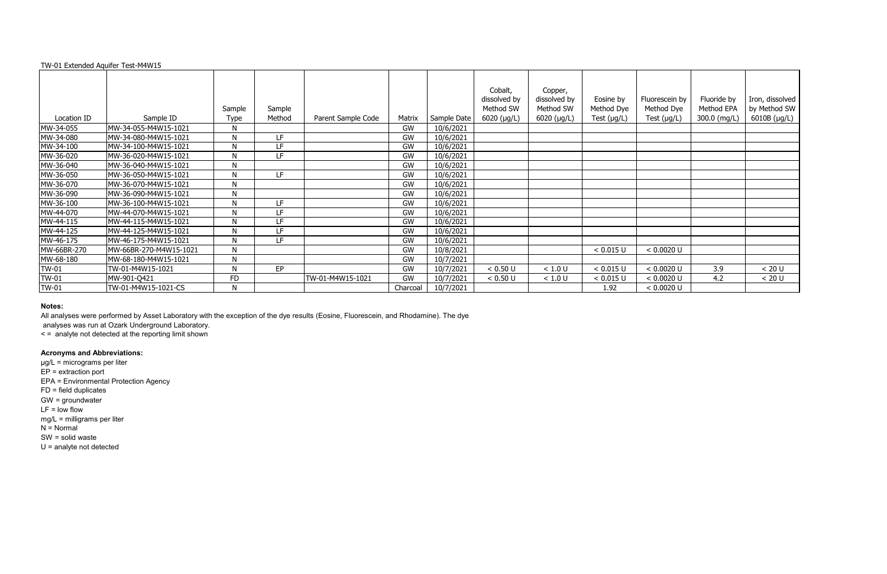#### TW-01 Extended Aquifer Test-M4W15

|              |                        | Sample      | Sample |                    |           |             | Cobalt,<br>dissolved by<br>Method SW | Copper,<br>dissolved by<br>Method SW | Eosine by<br>Method Dye | Fluorescein by<br>Method Dye | Fluoride by<br>Method EPA | Iron, dissolved<br>by Method SW |
|--------------|------------------------|-------------|--------|--------------------|-----------|-------------|--------------------------------------|--------------------------------------|-------------------------|------------------------------|---------------------------|---------------------------------|
| Location ID  | Sample ID              | <b>Type</b> | Method | Parent Sample Code | Matrix    | Sample Date | $6020$ ( $\mu$ g/L)                  | $6020$ (µg/L)                        | Test $(\mu g/L)$        | Test $(\mu g/L)$             | 300.0 (mg/L)              | 6010B (µg/L)                    |
| MW-34-055    | MW-34-055-M4W15-1021   | N           |        |                    | GW        | 10/6/2021   |                                      |                                      |                         |                              |                           |                                 |
| MW-34-080    | MW-34-080-M4W15-1021   | N           | LF.    |                    | <b>GW</b> | 10/6/2021   |                                      |                                      |                         |                              |                           |                                 |
| MW-34-100    | MW-34-100-M4W15-1021   | N           | LF     |                    | GW        | 10/6/2021   |                                      |                                      |                         |                              |                           |                                 |
| MW-36-020    | MW-36-020-M4W15-1021   | N           | LF     |                    | GW        | 10/6/2021   |                                      |                                      |                         |                              |                           |                                 |
| MW-36-040    | MW-36-040-M4W15-1021   | N           |        |                    | GW        | 10/6/2021   |                                      |                                      |                         |                              |                           |                                 |
| MW-36-050    | MW-36-050-M4W15-1021   | N           | LF     |                    | GW        | 10/6/2021   |                                      |                                      |                         |                              |                           |                                 |
| MW-36-070    | MW-36-070-M4W15-1021   | N           |        |                    | GW        | 10/6/2021   |                                      |                                      |                         |                              |                           |                                 |
| MW-36-090    | MW-36-090-M4W15-1021   | N           |        |                    | GW        | 10/6/2021   |                                      |                                      |                         |                              |                           |                                 |
| MW-36-100    | MW-36-100-M4W15-1021   | N           | LF     |                    | GW        | 10/6/2021   |                                      |                                      |                         |                              |                           |                                 |
| MW-44-070    | MW-44-070-M4W15-1021   | N           | LF     |                    | GW        | 10/6/2021   |                                      |                                      |                         |                              |                           |                                 |
| MW-44-115    | MW-44-115-M4W15-1021   | N           | LF     |                    | GW        | 10/6/2021   |                                      |                                      |                         |                              |                           |                                 |
| MW-44-125    | MW-44-125-M4W15-1021   | N           | LF     |                    | GW        | 10/6/2021   |                                      |                                      |                         |                              |                           |                                 |
| MW-46-175    | MW-46-175-M4W15-1021   | N           | LF     |                    | GW        | 10/6/2021   |                                      |                                      |                         |                              |                           |                                 |
| MW-66BR-270  | MW-66BR-270-M4W15-1021 | N           |        |                    | GW        | 10/8/2021   |                                      |                                      | < 0.015 U               | < 0.0020 U                   |                           |                                 |
| MW-68-180    | MW-68-180-M4W15-1021   | N           |        |                    | GW        | 10/7/2021   |                                      |                                      |                         |                              |                           |                                 |
| TW-01        | TW-01-M4W15-1021       | N           | EP     |                    | GW        | 10/7/2021   | < 0.50 U                             | $<1.0$ U                             | < 0.015 U               | < 0.0020 U                   | 3.9                       | < 20 U                          |
| <b>TW-01</b> | MW-901-Q421            | <b>FD</b>   |        | TW-01-M4W15-1021   | GW        | 10/7/2021   | < 0.50 U                             | < 1.0 U                              | < 0.015 U               | < 0.0020 U                   | 4.2                       | < 20 U                          |
| <b>TW-01</b> | TW-01-M4W15-1021-CS    | N           |        |                    | Charcoal  | 10/7/2021   |                                      |                                      | 1.92                    | < 0.0020 U                   |                           |                                 |

#### **Notes:**

All analyses were performed by Asset Laboratory with the exception of the dye results (Eosine, Fluorescein, and Rhodamine). The dye

analyses was run at Ozark Underground Laboratory.

< = analyte not detected at the reporting limit shown

# **Acronyms and Abbreviations:**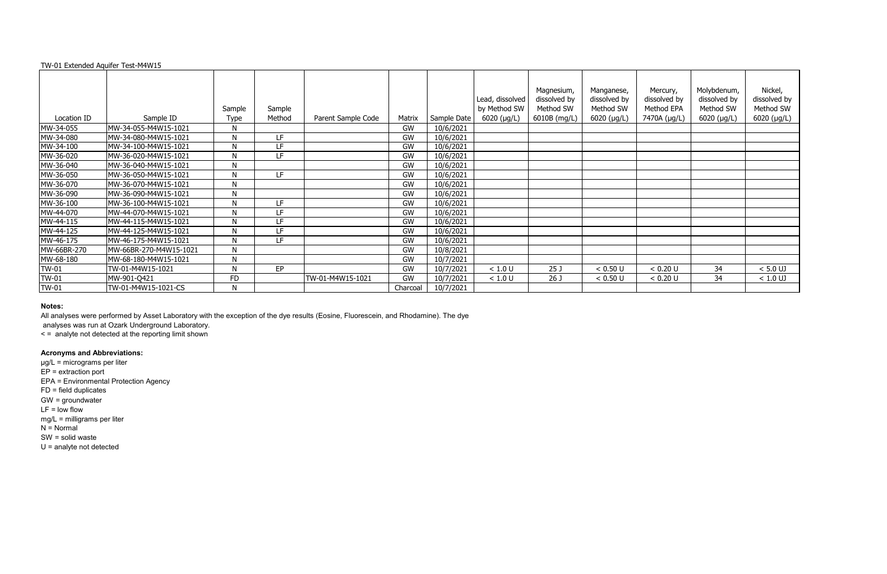TW-01 Extended Aquifer Test-M4W15

# Location ID [10] Sample ID Sample Type Sample

|              |                        |                       |                  |                    |           |             | Lead, dissolved             | Magnesium,<br>dissolved by | Manganese,<br>dissolved by | Mercury,<br>dissolved by | Molybdenum,<br>dissolved by | Nickel,<br>dissolved by |
|--------------|------------------------|-----------------------|------------------|--------------------|-----------|-------------|-----------------------------|----------------------------|----------------------------|--------------------------|-----------------------------|-------------------------|
| Location ID  | Sample ID              | Sample<br><b>Type</b> | Sample<br>Method | Parent Sample Code | Matrix    | Sample Date | by Method SW<br>6020 (µg/L) | Method SW<br>6010B (mg/L)  | Method SW<br>$6020$ (µg/L) | Method EPA               | Method SW                   | Method SW               |
|              |                        |                       |                  |                    | GW        |             |                             |                            |                            | 7470A (µg/L)             | $6020$ (µg/L)               | 6020 (µg/L)             |
| MW-34-055    | MW-34-055-M4W15-1021   | N                     |                  |                    |           | 10/6/2021   |                             |                            |                            |                          |                             |                         |
| MW-34-080    | MW-34-080-M4W15-1021   | N                     | LF               |                    | <b>GW</b> | 10/6/2021   |                             |                            |                            |                          |                             |                         |
| MW-34-100    | MW-34-100-M4W15-1021   | N                     | LF               |                    | <b>GW</b> | 10/6/2021   |                             |                            |                            |                          |                             |                         |
| MW-36-020    | MW-36-020-M4W15-1021   | N                     | LF               |                    | GW        | 10/6/2021   |                             |                            |                            |                          |                             |                         |
| MW-36-040    | MW-36-040-M4W15-1021   | N                     |                  |                    | <b>GW</b> | 10/6/2021   |                             |                            |                            |                          |                             |                         |
| MW-36-050    | MW-36-050-M4W15-1021   | N                     | LF               |                    | <b>GW</b> | 10/6/2021   |                             |                            |                            |                          |                             |                         |
| MW-36-070    | MW-36-070-M4W15-1021   | N                     |                  |                    | GW        | 10/6/2021   |                             |                            |                            |                          |                             |                         |
| MW-36-090    | MW-36-090-M4W15-1021   | N                     |                  |                    | GW        | 10/6/2021   |                             |                            |                            |                          |                             |                         |
| MW-36-100    | MW-36-100-M4W15-1021   | N                     | LF               |                    | GW        | 10/6/2021   |                             |                            |                            |                          |                             |                         |
| MW-44-070    | MW-44-070-M4W15-1021   | N                     | LF               |                    | GW        | 10/6/2021   |                             |                            |                            |                          |                             |                         |
| MW-44-115    | MW-44-115-M4W15-1021   | N                     | LF               |                    | <b>GW</b> | 10/6/2021   |                             |                            |                            |                          |                             |                         |
| MW-44-125    | MW-44-125-M4W15-1021   | N                     | LF               |                    | GW        | 10/6/2021   |                             |                            |                            |                          |                             |                         |
| MW-46-175    | MW-46-175-M4W15-1021   | N                     | LF               |                    | GW        | 10/6/2021   |                             |                            |                            |                          |                             |                         |
| MW-66BR-270  | MW-66BR-270-M4W15-1021 | N                     |                  |                    | GW        | 10/8/2021   |                             |                            |                            |                          |                             |                         |
| MW-68-180    | MW-68-180-M4W15-1021   | N                     |                  |                    | GW        | 10/7/2021   |                             |                            |                            |                          |                             |                         |
| <b>TW-01</b> | TW-01-M4W15-1021       | N                     | EP               |                    | GW        | 10/7/2021   | < 1.0 U                     | 25 <sub>1</sub>            | < 0.50 U                   | < 0.20 U                 | 34                          | $< 5.0$ UJ              |
| TW-01        | MW-901-Q421            | FD                    |                  | TW-01-M4W15-1021   | GW        | 10/7/2021   | < 1.0 U                     | 26 J                       | < 0.50 U                   | < 0.20 U                 | 34                          | $< 1.0$ UJ              |
| TW-01        | TW-01-M4W15-1021-CS    | N                     |                  |                    | Charcoal  | 10/7/2021   |                             |                            |                            |                          |                             |                         |

#### **Notes:**

All analyses were performed by Asset Laboratory with the exception of the dye results (Eosine, Fluorescein, and Rhodamine). The dye

analyses was run at Ozark Underground Laboratory.

< = analyte not detected at the reporting limit shown

# **Acronyms and Abbreviations:**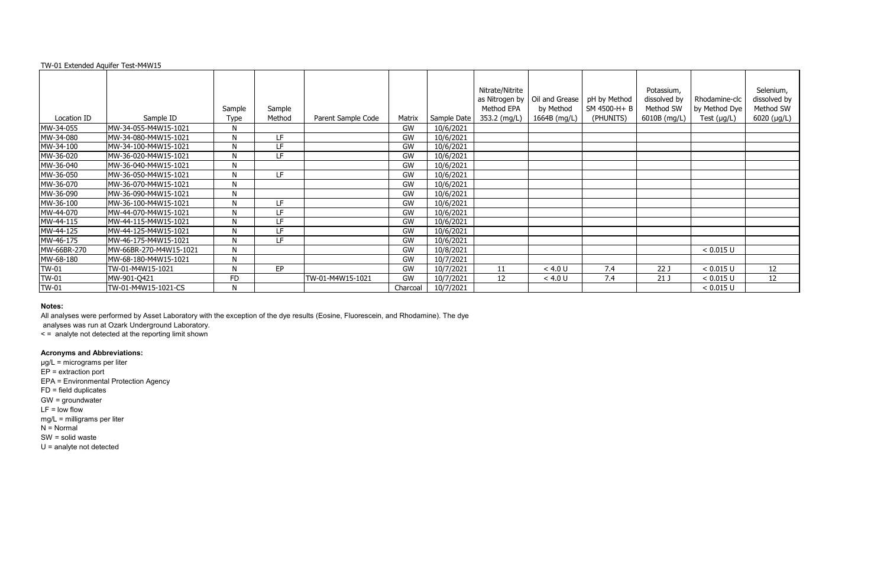|  |  |  |  | TW-01 Extended Aquifer Test-M4W15 |  |
|--|--|--|--|-----------------------------------|--|
|--|--|--|--|-----------------------------------|--|

|              |                        |             |           |                    |          |             | Nitrate/Nitrite |                |              | Potassium,      |                  | Selenium,    |
|--------------|------------------------|-------------|-----------|--------------------|----------|-------------|-----------------|----------------|--------------|-----------------|------------------|--------------|
|              |                        |             |           |                    |          |             | as Nitrogen by  | Oil and Grease | pH by Method | dissolved by    | Rhodamine-clc    | dissolved by |
|              |                        | Sample      | Sample    |                    |          |             | Method EPA      | by Method      | SM 4500-H+ B | Method SW       | by Method Dye    | Method SW    |
| Location ID  | Sample ID              | <b>Type</b> | Method    | Parent Sample Code | Matrix   | Sample Date | 353.2 (mg/L)    | 1664B (mg/L)   | (PHUNITS)    | 6010B (mg/L)    | Test $(\mu g/L)$ | 6020 (µg/L)  |
| MW-34-055    | MW-34-055-M4W15-1021   | N           |           |                    | GW       | 10/6/2021   |                 |                |              |                 |                  |              |
| MW-34-080    | MW-34-080-M4W15-1021   | N           | LF        |                    | GW       | 10/6/2021   |                 |                |              |                 |                  |              |
| MW-34-100    | MW-34-100-M4W15-1021   | N           | LF        |                    | GW       | 10/6/2021   |                 |                |              |                 |                  |              |
| MW-36-020    | MW-36-020-M4W15-1021   | N           | LF        |                    | GW       | 10/6/2021   |                 |                |              |                 |                  |              |
| MW-36-040    | MW-36-040-M4W15-1021   | N           |           |                    | GW       | 10/6/2021   |                 |                |              |                 |                  |              |
| MW-36-050    | MW-36-050-M4W15-1021   | N           | LF.       |                    | GW       | 10/6/2021   |                 |                |              |                 |                  |              |
| MW-36-070    | MW-36-070-M4W15-1021   | N           |           |                    | GW       | 10/6/2021   |                 |                |              |                 |                  |              |
| MW-36-090    | MW-36-090-M4W15-1021   | N           |           |                    | GW       | 10/6/2021   |                 |                |              |                 |                  |              |
| MW-36-100    | MW-36-100-M4W15-1021   | N           | LF        |                    | GW       | 10/6/2021   |                 |                |              |                 |                  |              |
| MW-44-070    | MW-44-070-M4W15-1021   | N           | LF        |                    | GW       | 10/6/2021   |                 |                |              |                 |                  |              |
| MW-44-115    | MW-44-115-M4W15-1021   | N           | LF        |                    | GW       | 10/6/2021   |                 |                |              |                 |                  |              |
| MW-44-125    | MW-44-125-M4W15-1021   | N           | LF        |                    | GW       | 10/6/2021   |                 |                |              |                 |                  |              |
| MW-46-175    | MW-46-175-M4W15-1021   | N           | LF        |                    | GW       | 10/6/2021   |                 |                |              |                 |                  |              |
| MW-66BR-270  | MW-66BR-270-M4W15-1021 | N           |           |                    | GW       | 10/8/2021   |                 |                |              |                 | < 0.015 U        |              |
| MW-68-180    | MW-68-180-M4W15-1021   | N           |           |                    | GW       | 10/7/2021   |                 |                |              |                 |                  |              |
| <b>TW-01</b> | TW-01-M4W15-1021       | N           | <b>EP</b> |                    | GW       | 10/7/2021   | 11              | < 4.0 U        | 7.4          | 22J             | < 0.015 U        | 12           |
| TW-01        | MW-901-Q421            | <b>FD</b>   |           | TW-01-M4W15-1021   | GW       | 10/7/2021   | 12              | < 4.0 U        | 7.4          | 21 <sub>1</sub> | < 0.015 U        | 12           |
| <b>TW-01</b> | TW-01-M4W15-1021-CS    | N           |           |                    | Charcoal | 10/7/2021   |                 |                |              |                 | < 0.015 U        |              |

All analyses were performed by Asset Laboratory with the exception of the dye results (Eosine, Fluorescein, and Rhodamine). The dye

analyses was run at Ozark Underground Laboratory.

< = analyte not detected at the reporting limit shown

# **Acronyms and Abbreviations:**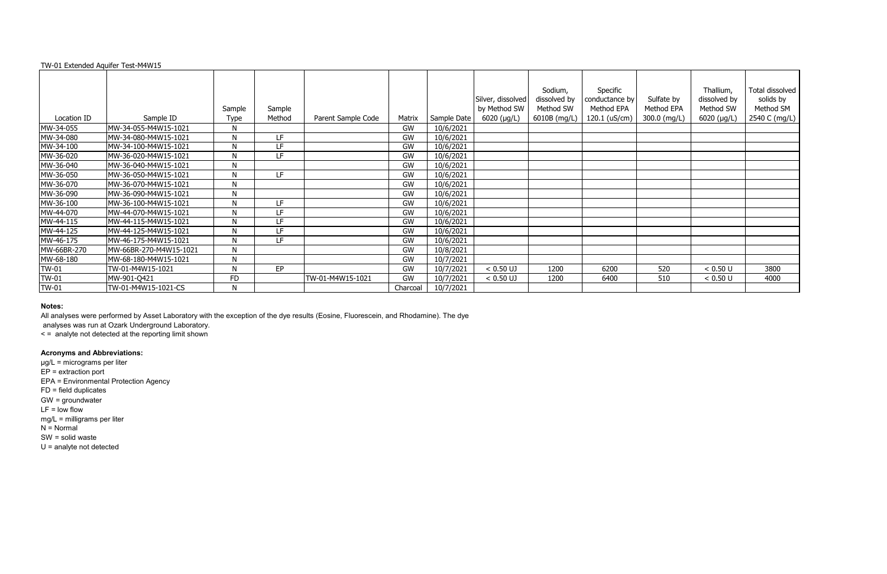# TW-01 Extended Aquifer Test-M4W15

|              |                        |           |        |                    |          |             |                     | Sodium,      | Specific       |              | Thallium,    | Total dissolved |
|--------------|------------------------|-----------|--------|--------------------|----------|-------------|---------------------|--------------|----------------|--------------|--------------|-----------------|
|              |                        |           |        |                    |          |             | Silver, dissolved   | dissolved by | conductance by | Sulfate by   | dissolved by | solids by       |
|              |                        | Sample    | Sample |                    |          |             | by Method SW        | Method SW    | Method EPA     | Method EPA   | Method SW    | Method SM       |
| Location ID  | Sample ID              | Type      | Method | Parent Sample Code | Matrix   | Sample Date | $6020$ ( $\mu$ g/L) | 6010B (mg/L) | 120.1 (uS/cm)  | 300.0 (mg/L) | 6020 (µg/L)  | 2540 C (mg/L)   |
| MW-34-055    | MW-34-055-M4W15-1021   | N         |        |                    | GW       | 10/6/2021   |                     |              |                |              |              |                 |
| MW-34-080    | MW-34-080-M4W15-1021   | N         | LF.    |                    | GW       | 10/6/2021   |                     |              |                |              |              |                 |
| MW-34-100    | MW-34-100-M4W15-1021   | N         | LF     |                    | GW       | 10/6/2021   |                     |              |                |              |              |                 |
| MW-36-020    | MW-36-020-M4W15-1021   | N         | LF.    |                    | GW       | 10/6/2021   |                     |              |                |              |              |                 |
| MW-36-040    | MW-36-040-M4W15-1021   | N         |        |                    | GW       | 10/6/2021   |                     |              |                |              |              |                 |
| MW-36-050    | MW-36-050-M4W15-1021   | N         | LF.    |                    | GW       | 10/6/2021   |                     |              |                |              |              |                 |
| MW-36-070    | MW-36-070-M4W15-1021   | N         |        |                    | GW       | 10/6/2021   |                     |              |                |              |              |                 |
| MW-36-090    | MW-36-090-M4W15-1021   | N         |        |                    | GW       | 10/6/2021   |                     |              |                |              |              |                 |
| MW-36-100    | MW-36-100-M4W15-1021   | N         | LF     |                    | GW       | 10/6/2021   |                     |              |                |              |              |                 |
| MW-44-070    | MW-44-070-M4W15-1021   | N         | LF     |                    | GW       | 10/6/2021   |                     |              |                |              |              |                 |
| MW-44-115    | MW-44-115-M4W15-1021   | N         | LF     |                    | GW       | 10/6/2021   |                     |              |                |              |              |                 |
| MW-44-125    | MW-44-125-M4W15-1021   | N         | LF     |                    | GW       | 10/6/2021   |                     |              |                |              |              |                 |
| MW-46-175    | MW-46-175-M4W15-1021   | N         | LF     |                    | GW       | 10/6/2021   |                     |              |                |              |              |                 |
| MW-66BR-270  | MW-66BR-270-M4W15-1021 | N         |        |                    | GW       | 10/8/2021   |                     |              |                |              |              |                 |
| MW-68-180    | MW-68-180-M4W15-1021   | N         |        |                    | GW       | 10/7/2021   |                     |              |                |              |              |                 |
| <b>TW-01</b> | TW-01-M4W15-1021       | N         | EP     |                    | GW       | 10/7/2021   | $< 0.50$ UJ         | 1200         | 6200           | 520          | < 0.50 U     | 3800            |
| <b>TW-01</b> | MW-901-Q421            | <b>FD</b> |        | TW-01-M4W15-1021   | GW       | 10/7/2021   | $< 0.50$ UJ         | 1200         | 6400           | 510          | < 0.50 U     | 4000            |
| <b>TW-01</b> | TW-01-M4W15-1021-CS    | N         |        |                    | Charcoal | 10/7/2021   |                     |              |                |              |              |                 |

#### **Notes:**

All analyses were performed by Asset Laboratory with the exception of the dye results (Eosine, Fluorescein, and Rhodamine). The dye

analyses was run at Ozark Underground Laboratory.

< = analyte not detected at the reporting limit shown

# **Acronyms and Abbreviations:**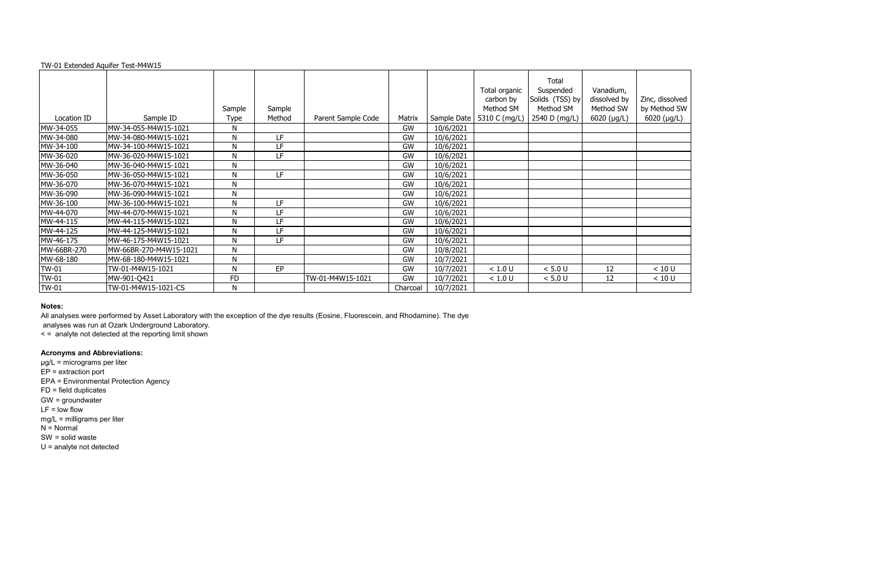#### TW-01 Extended Aquifer Test-M4W15

|              |                        |              |        |                    |           |             | Total organic<br>carbon by | Total<br>Suspended<br>Solids (TSS) by | Vanadium,<br>dissolved by | Zinc, disso |
|--------------|------------------------|--------------|--------|--------------------|-----------|-------------|----------------------------|---------------------------------------|---------------------------|-------------|
|              |                        | Sample       | Sample |                    |           |             | Method SM                  | Method SM                             | Method SW                 | by Method   |
| Location ID  | Sample ID              | Type         | Method | Parent Sample Code | Matrix    | Sample Date | 5310 C (mg/L)              | 2540 D (mg/L)                         | 6020 (µg/L)               | 6020 (µg    |
| MW-34-055    | MW-34-055-M4W15-1021   | Ν            |        |                    | GW        | 10/6/2021   |                            |                                       |                           |             |
| MW-34-080    | MW-34-080-M4W15-1021   | N            | LF     |                    | GW        | 10/6/2021   |                            |                                       |                           |             |
| MW-34-100    | MW-34-100-M4W15-1021   | $\mathsf{N}$ | LF     |                    | <b>GW</b> | 10/6/2021   |                            |                                       |                           |             |
| MW-36-020    | MW-36-020-M4W15-1021   | N            | LF     |                    | <b>GW</b> | 10/6/2021   |                            |                                       |                           |             |
| MW-36-040    | MW-36-040-M4W15-1021   | N            |        |                    | <b>GW</b> | 10/6/2021   |                            |                                       |                           |             |
| MW-36-050    | MW-36-050-M4W15-1021   | N            | LF     |                    | GW        | 10/6/2021   |                            |                                       |                           |             |
| MW-36-070    | MW-36-070-M4W15-1021   | N            |        |                    | <b>GW</b> | 10/6/2021   |                            |                                       |                           |             |
| MW-36-090    | MW-36-090-M4W15-1021   | N            |        |                    | GW        | 10/6/2021   |                            |                                       |                           |             |
| MW-36-100    | MW-36-100-M4W15-1021   | N            | LF     |                    | GW        | 10/6/2021   |                            |                                       |                           |             |
| MW-44-070    | MW-44-070-M4W15-1021   | N            | LF     |                    | <b>GW</b> | 10/6/2021   |                            |                                       |                           |             |
| MW-44-115    | MW-44-115-M4W15-1021   | N            | LF     |                    | <b>GW</b> | 10/6/2021   |                            |                                       |                           |             |
| MW-44-125    | MW-44-125-M4W15-1021   | N            | LF     |                    | GW        | 10/6/2021   |                            |                                       |                           |             |
| MW-46-175    | MW-46-175-M4W15-1021   | N            | LF     |                    | <b>GW</b> | 10/6/2021   |                            |                                       |                           |             |
| MW-66BR-270  | MW-66BR-270-M4W15-1021 | N            |        |                    | <b>GW</b> | 10/8/2021   |                            |                                       |                           |             |
| MW-68-180    | MW-68-180-M4W15-1021   | N            |        |                    | GW        | 10/7/2021   |                            |                                       |                           |             |
| <b>TW-01</b> | TW-01-M4W15-1021       | N            | EP     |                    | <b>GW</b> | 10/7/2021   | < 1.0 U                    | < 5.0 U                               | 12                        | < 10 U      |
| <b>TW-01</b> | MW-901-Q421            | <b>FD</b>    |        | TW-01-M4W15-1021   | <b>GW</b> | 10/7/2021   | < 1.0 U                    | < 5.0 U                               | 12                        | < 10 U      |
| <b>TW-01</b> | TW-01-M4W15-1021-CS    | N            |        |                    | Charcoal  | 10/7/2021   |                            |                                       |                           |             |

#### **Notes:**

All analyses were performed by Asset Laboratory with the exception of the dye results (Eosine, Fluorescein, and Rhodamine). The dye

analyses was run at Ozark Underground Laboratory.

< = analyte not detected at the reporting limit shown

# **Acronyms and Abbreviations:**

µg/L = micrograms per liter EP = extraction port EPA = Environmental Protection Agency FD = field duplicates GW = groundwater  $LF = low$  flow mg/L = milligrams per liter  $N =$  Normal SW = solid waste U = analyte not detected

| Zinc, dissolved<br>by Method SW<br>6020 (µg/L) |
|------------------------------------------------|
|                                                |
|                                                |
|                                                |
|                                                |
|                                                |
|                                                |
|                                                |
|                                                |
|                                                |
|                                                |
|                                                |
|                                                |
|                                                |
|                                                |
|                                                |
| $\leq 10$ U                                    |
| < 10 U                                         |
|                                                |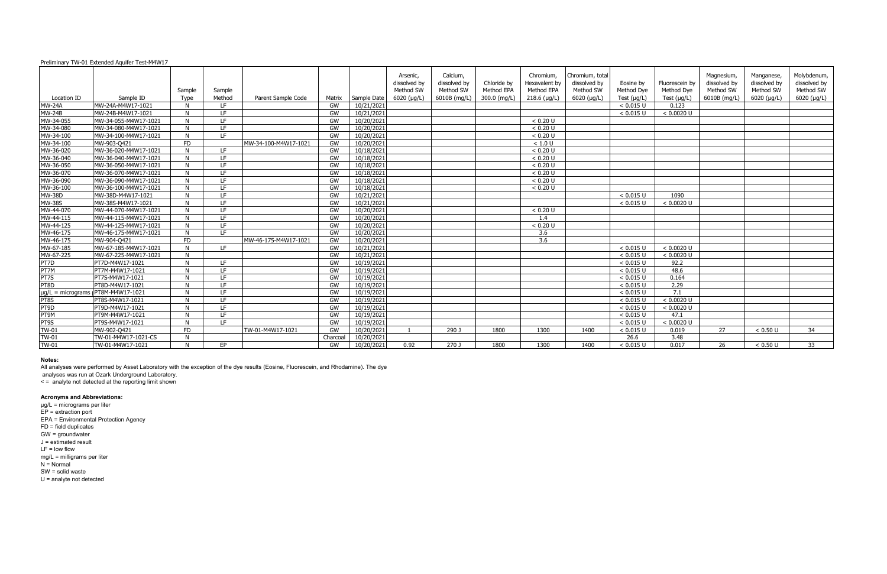|               |                                        |           |        |                      |           |             | Arsenic,      | Calcium.     |              | Chromium.      | Chromium, total     |                  |                  | Magnesium,   | Manganese,   | Molybdenum,  |
|---------------|----------------------------------------|-----------|--------|----------------------|-----------|-------------|---------------|--------------|--------------|----------------|---------------------|------------------|------------------|--------------|--------------|--------------|
|               |                                        |           |        |                      |           |             | dissolved by  | dissolved by | Chloride by  | Hexavalent by  | dissolved by        | Eosine by        | Fluorescein by   | dissolved by | dissolved by | dissolved by |
|               |                                        | Sample    | Sample |                      |           |             | Method SW     | Method SW    | Method EPA   | Method EPA     | Method SW           | Method Dye       | Method Dye       | Method SW    | Method SW    | Method SW    |
| Location ID   | Sample ID                              | Type      | Method | Parent Sample Code   | Matrix    | Sample Date | $6020$ (µg/L) | 6010B (mg/L) | 300.0 (mg/L) | $218.6$ (µg/L) | $6020$ ( $\mu$ g/L) | Test $(\mu g/L)$ | Test $(\mu g/L)$ | 6010B (mg/L) | 6020 (µg/L)  | 6020 (µg/L)  |
| <b>MW-24A</b> | MW-24A-M4W17-1021                      |           | IF.    |                      | GW        | 10/21/2021  |               |              |              |                |                     | < 0.015 U        | 0.123            |              |              |              |
| <b>MW-24B</b> | MW-24B-M4W17-1021                      | N         | IF.    |                      | GW        | 10/21/2021  |               |              |              |                |                     | < 0.015 U        | < 0.0020 U       |              |              |              |
| MW-34-055     | MW-34-055-M4W17-1021                   | N         | LE.    |                      | GW        | 10/20/2021  |               |              |              | < 0.20 U       |                     |                  |                  |              |              |              |
| MW-34-080     | MW-34-080-M4W17-1021                   | N         | LE.    |                      | GW        | 10/20/2021  |               |              |              | < 0.20 U       |                     |                  |                  |              |              |              |
| MW-34-100     | MW-34-100-M4W17-1021                   | N         | LE.    |                      | GW        | 10/20/2021  |               |              |              | < 0.20 U       |                     |                  |                  |              |              |              |
| MW-34-100     | MW-903-Q421                            | <b>FD</b> |        | MW-34-100-M4W17-1021 | GW        | 10/20/2021  |               |              |              | < 1.0 U        |                     |                  |                  |              |              |              |
| MW-36-020     | MW-36-020-M4W17-1021                   | N         | LE.    |                      | GW        | 10/18/2021  |               |              |              | < 0.20 U       |                     |                  |                  |              |              |              |
| MW-36-040     | MW-36-040-M4W17-1021                   | N         | LE.    |                      | <b>GW</b> | 10/18/2021  |               |              |              | < 0.20 U       |                     |                  |                  |              |              |              |
| MW-36-050     | MW-36-050-M4W17-1021                   | N         | IF.    |                      | GW        | 10/18/2021  |               |              |              | < 0.20 U       |                     |                  |                  |              |              |              |
| MW-36-070     | MW-36-070-M4W17-1021                   | N         | LE.    |                      | GW        | 10/18/2021  |               |              |              | < 0.20 U       |                     |                  |                  |              |              |              |
| MW-36-090     | MW-36-090-M4W17-1021                   | N.        | IF.    |                      | GW        | 10/18/2021  |               |              |              | < 0.20 U       |                     |                  |                  |              |              |              |
| MW-36-100     | MW-36-100-M4W17-1021                   | N         | IF.    |                      | GW        | 10/18/2021  |               |              |              | < 0.20 U       |                     |                  |                  |              |              |              |
| <b>MW-38D</b> | MW-38D-M4W17-1021                      | N         | LF.    |                      | GW        | 10/21/2021  |               |              |              |                |                     | < 0.015 U        | 1090             |              |              |              |
| <b>MW-38S</b> | MW-38S-M4W17-1021                      |           | LE.    |                      | GW        | 10/21/2021  |               |              |              |                |                     | < 0.015 U        | < 0.0020 U       |              |              |              |
| MW-44-070     | MW-44-070-M4W17-1021                   | N         | LE.    |                      | GW        | 10/20/2021  |               |              |              | < 0.20 U       |                     |                  |                  |              |              |              |
| MW-44-115     | MW-44-115-M4W17-1021                   | N         | IF.    |                      | GW        | 10/20/2021  |               |              |              | 1.4            |                     |                  |                  |              |              |              |
| MW-44-125     | MW-44-125-M4W17-1021                   | N         | LE.    |                      | GW        | 10/20/2021  |               |              |              | < 0.20 U       |                     |                  |                  |              |              |              |
| MW-46-175     | MW-46-175-M4W17-1021                   | N         | LE.    |                      | GW        | 10/20/2021  |               |              |              | 3.6            |                     |                  |                  |              |              |              |
| MW-46-175     | MW-904-Q421                            | <b>FD</b> |        | MW-46-175-M4W17-1021 | GW        | 10/20/2021  |               |              |              | 3.6            |                     |                  |                  |              |              |              |
| MW-67-185     | MW-67-185-M4W17-1021                   | N         | IF.    |                      | GW        | 10/21/2021  |               |              |              |                |                     | < 0.015 U        | < 0.0020 U       |              |              |              |
| MW-67-225     | MW-67-225-M4W17-1021                   | N         |        |                      | GW        | 10/21/2021  |               |              |              |                |                     | $< 0.015$ U      | < 0.0020 U       |              |              |              |
| PT7D          | PT7D-M4W17-1021                        | N         | LF.    |                      | <b>GW</b> | 10/19/2021  |               |              |              |                |                     | < 0.015 U        | 92.2             |              |              |              |
| PT7M          | PT7M-M4W17-1021                        | N         | IF.    |                      | GW        | 10/19/2021  |               |              |              |                |                     | < 0.015 U        | 48.6             |              |              |              |
| PT7S          | PT7S-M4W17-1021                        | N         | LE.    |                      | GW        | 10/19/2021  |               |              |              |                |                     | < 0.015 U        | 0.164            |              |              |              |
| PT8D          | PT8D-M4W17-1021                        | N         | LE.    |                      | GW        | 10/19/2021  |               |              |              |                |                     | < 0.015 U        | 2.29             |              |              |              |
|               | $\mu$ g/L = micrograms PT8M-M4W17-1021 | N         | IF.    |                      | GW        | 10/19/2021  |               |              |              |                |                     | < 0.015 U        | 7.1              |              |              |              |
| PT8S          | PT8S-M4W17-1021                        | N         | TE.    |                      | GW        | 10/19/2021  |               |              |              |                |                     | < 0.015 U        | < 0.0020 U       |              |              |              |
| PT9D          | PT9D-M4W17-1021                        |           | IF.    |                      | GW        | 10/19/2021  |               |              |              |                |                     | < 0.015 U        | < 0.0020 U       |              |              |              |
| PT9M          | PT9M-M4W17-1021                        |           | LE.    |                      | GW        | 10/19/2021  |               |              |              |                |                     | < 0.015 U        | 47.1             |              |              |              |
| PT9S          | PT9S-M4W17-1021                        | N         | LE.    |                      | GW        | 10/19/2021  |               |              |              |                |                     | < 0.015 U        | < 0.0020 U       |              |              |              |
| <b>TW-01</b>  | MW-902-Q421                            | <b>FD</b> |        | TW-01-M4W17-1021     | GW        | 10/20/2021  |               | 290 J        | 1800         | 1300           | 1400                | < 0.015 U        | 0.019            | 27           | < 0.50 U     | 34           |
| <b>TW-01</b>  | TW-01-M4W17-1021-CS                    |           |        |                      | Charcoal  | 10/20/2021  |               |              |              |                |                     | 26.6             | 3.48             |              |              |              |
| <b>TW-01</b>  | TW-01-M4W17-1021                       |           | EP     |                      | GW        | 10/20/2021  | 0.92          | 270 J        | 1800         | 1300           | 1400                | < 0.015 U        | 0.017            | 26           | < 0.50 U     | 33           |

#### **Notes:**

All analyses were performed by Asset Laboratory with the exception of the dye results (Eosine, Fluorescein, and Rhodamine). The dye

analyses was run at Ozark Underground Laboratory.

< = analyte not detected at the reporting limit shown

#### **Acronyms and Abbreviations:**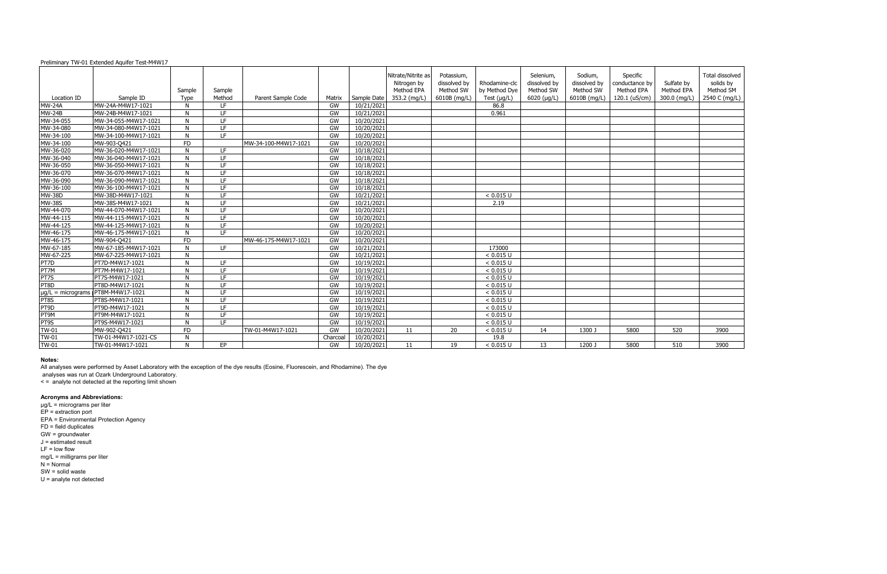| by<br>)<br>(m | Sulfate by<br>Method EPA<br>300.0 (mg/L) | Total dissolved<br>solids by<br>Method SM<br>2540 C (mg/L) |
|---------------|------------------------------------------|------------------------------------------------------------|
|               |                                          |                                                            |
|               |                                          |                                                            |
|               |                                          |                                                            |
|               |                                          |                                                            |
|               |                                          |                                                            |
|               |                                          |                                                            |
|               |                                          |                                                            |
|               |                                          |                                                            |
|               |                                          |                                                            |
|               |                                          |                                                            |
|               |                                          |                                                            |
|               |                                          |                                                            |
|               |                                          |                                                            |
|               |                                          |                                                            |
|               |                                          |                                                            |
|               |                                          |                                                            |
|               |                                          |                                                            |
|               |                                          |                                                            |
|               |                                          |                                                            |
|               |                                          |                                                            |
|               |                                          |                                                            |
|               |                                          |                                                            |
|               |                                          |                                                            |
|               |                                          |                                                            |
|               |                                          |                                                            |
|               |                                          |                                                            |
|               |                                          |                                                            |
|               |                                          |                                                            |
|               | 520                                      | 3900                                                       |
|               | 510                                      |                                                            |
|               |                                          | 3900                                                       |

#### **Notes:**

All analyses were performed by Asset Laboratory with the exception of the dye results (Eosine, Fluorescein, and Rhodamine). The dye

analyses was run at Ozark Underground Laboratory.

 $\leq$  = analyte not detected at the reporting limit shown

#### **Acronyms and Abbreviations:**

|               |                                        | Sample    | Sample          |                      |           |             | Nitrate/Nitrite as<br>Nitrogen by<br>Method EPA | Potassium,<br>dissolved by<br>Method SW | Rhodamine-clc<br>by Method Dye | Selenium,<br>dissolved by<br>Method SW | Sodium,<br>dissolved by<br>Method SW | Specific<br>conductance by<br>Method EPA | Sulfate by<br>Method EPA | <b>Total diss</b><br>solids<br>Method |
|---------------|----------------------------------------|-----------|-----------------|----------------------|-----------|-------------|-------------------------------------------------|-----------------------------------------|--------------------------------|----------------------------------------|--------------------------------------|------------------------------------------|--------------------------|---------------------------------------|
| Location ID   | Sample ID                              | Type      | Method          | Parent Sample Code   | Matrix    | Sample Date | 353.2 (mg/L)                                    | 6010B (mg/L)                            | Test $(\mu g/L)$               | $6020$ ( $\mu$ g/L)                    | 6010B (mg/L)                         | 120.1 (uS/cm)                            | 300.0 (mg/L)             | 2540 C (n                             |
| <b>MW-24A</b> | MW-24A-M4W17-1021                      | N         | LF.             |                      | GW        | 10/21/2021  |                                                 |                                         | 86.8                           |                                        |                                      |                                          |                          |                                       |
| <b>MW-24B</b> | MW-24B-M4W17-1021                      | N         | LF.             |                      | GW        | 10/21/2021  |                                                 |                                         | 0.961                          |                                        |                                      |                                          |                          |                                       |
| MW-34-055     | MW-34-055-M4W17-1021                   | N         | LF              |                      | GW        | 10/20/2021  |                                                 |                                         |                                |                                        |                                      |                                          |                          |                                       |
| MW-34-080     | MW-34-080-M4W17-1021                   | N         | $\overline{LF}$ |                      | GW        | 10/20/2021  |                                                 |                                         |                                |                                        |                                      |                                          |                          |                                       |
| MW-34-100     | MW-34-100-M4W17-1021                   | N         | LF.             |                      | GW        | 10/20/2021  |                                                 |                                         |                                |                                        |                                      |                                          |                          |                                       |
| MW-34-100     | MW-903-Q421                            | <b>FD</b> |                 | MW-34-100-M4W17-1021 | GW        | 10/20/2021  |                                                 |                                         |                                |                                        |                                      |                                          |                          |                                       |
| MW-36-020     | MW-36-020-M4W17-1021                   | N         | LF.             |                      | GW        | 10/18/2021  |                                                 |                                         |                                |                                        |                                      |                                          |                          |                                       |
| MW-36-040     | MW-36-040-M4W17-1021                   | N         | LF.             |                      | GW        | 10/18/2021  |                                                 |                                         |                                |                                        |                                      |                                          |                          |                                       |
| MW-36-050     | MW-36-050-M4W17-1021                   | N         | LF              |                      | GW        | 10/18/2021  |                                                 |                                         |                                |                                        |                                      |                                          |                          |                                       |
| MW-36-070     | MW-36-070-M4W17-1021                   | N         | LF.             |                      | GW        | 10/18/2021  |                                                 |                                         |                                |                                        |                                      |                                          |                          |                                       |
| MW-36-090     | MW-36-090-M4W17-1021                   | N         | LF              |                      | GW        | 10/18/2021  |                                                 |                                         |                                |                                        |                                      |                                          |                          |                                       |
| MW-36-100     | MW-36-100-M4W17-1021                   | N         | LF              |                      | GW        | 10/18/2021  |                                                 |                                         |                                |                                        |                                      |                                          |                          |                                       |
| <b>MW-38D</b> | MW-38D-M4W17-1021                      | N         | LF              |                      | GW        | 10/21/2021  |                                                 |                                         | < 0.015 U                      |                                        |                                      |                                          |                          |                                       |
| <b>MW-38S</b> | MW-38S-M4W17-1021                      | N         | LF.             |                      | GW        | 10/21/2021  |                                                 |                                         | 2.19                           |                                        |                                      |                                          |                          |                                       |
| MW-44-070     | MW-44-070-M4W17-1021                   | N         | LF              |                      | GW        | 10/20/2021  |                                                 |                                         |                                |                                        |                                      |                                          |                          |                                       |
| MW-44-115     | MW-44-115-M4W17-1021                   | N         | LF              |                      | GW        | 10/20/2021  |                                                 |                                         |                                |                                        |                                      |                                          |                          |                                       |
| MW-44-125     | MW-44-125-M4W17-1021                   | N         | LF.             |                      | GW        | 10/20/2021  |                                                 |                                         |                                |                                        |                                      |                                          |                          |                                       |
| MW-46-175     | MW-46-175-M4W17-1021                   | N         | LF.             |                      | GW        | 10/20/2021  |                                                 |                                         |                                |                                        |                                      |                                          |                          |                                       |
| MW-46-175     | MW-904-Q421                            | <b>FD</b> |                 | MW-46-175-M4W17-1021 | GW        | 10/20/2021  |                                                 |                                         |                                |                                        |                                      |                                          |                          |                                       |
| MW-67-185     | MW-67-185-M4W17-1021                   | N         | LF.             |                      | GW        | 10/21/2021  |                                                 |                                         | 173000                         |                                        |                                      |                                          |                          |                                       |
| MW-67-225     | MW-67-225-M4W17-1021                   | N         |                 |                      | GW        | 10/21/2021  |                                                 |                                         | < 0.015 U                      |                                        |                                      |                                          |                          |                                       |
| PT7D          | PT7D-M4W17-1021                        | N         | LF.             |                      | GW        | 10/19/2021  |                                                 |                                         | < 0.015 U                      |                                        |                                      |                                          |                          |                                       |
| PTZM          | PT7M-M4W17-1021                        | N         | $\overline{LF}$ |                      | GW        | 10/19/2021  |                                                 |                                         | < 0.015 U                      |                                        |                                      |                                          |                          |                                       |
| PT7S          | PT7S-M4W17-1021                        | N         | LF.             |                      | GW        | 10/19/2021  |                                                 |                                         | < 0.015 U                      |                                        |                                      |                                          |                          |                                       |
| PT8D          | PT8D-M4W17-1021                        | N         | LF.             |                      | GW        | 10/19/2021  |                                                 |                                         | < 0.015 U                      |                                        |                                      |                                          |                          |                                       |
|               | $\mu$ g/L = micrograms PT8M-M4W17-1021 | N         | LF.             |                      | GW        | 10/19/2021  |                                                 |                                         | < 0.015 U                      |                                        |                                      |                                          |                          |                                       |
| PT8S          | PT8S-M4W17-1021                        | N         | LF              |                      | GW        | 10/19/2021  |                                                 |                                         | < 0.015 U                      |                                        |                                      |                                          |                          |                                       |
| PT9D          | PT9D-M4W17-1021                        | N         | LF.             |                      | GW        | 10/19/2021  |                                                 |                                         | < 0.015 U                      |                                        |                                      |                                          |                          |                                       |
| PT9M          | PT9M-M4W17-1021                        | N         | LF.             |                      | GW        | 10/19/2021  |                                                 |                                         | < 0.015 U                      |                                        |                                      |                                          |                          |                                       |
| PT9S          | PT9S-M4W17-1021                        | N         | LE.             |                      | GW        | 10/19/2021  |                                                 |                                         | < 0.015 U                      |                                        |                                      |                                          |                          |                                       |
| <b>TW-01</b>  | MW-902-Q421                            | <b>FD</b> |                 | TW-01-M4W17-1021     | GW        | 10/20/2021  | 11                                              | 20                                      | < 0.015 U                      | 14                                     | 1300 J                               | 5800                                     | 520                      | 3900                                  |
| <b>TW-01</b>  | TW-01-M4W17-1021-CS                    | N         |                 |                      | Charcoal  | 10/20/2021  |                                                 |                                         | 19.8                           |                                        |                                      |                                          |                          |                                       |
| <b>TW-01</b>  | TW-01-M4W17-1021                       | N         | EP              |                      | <b>GW</b> | 10/20/2021  | 11                                              | 19                                      | < 0.015 U                      | 13                                     | 1200 J                               | 5800                                     | 510                      | 3900                                  |
|               |                                        |           |                 |                      |           |             |                                                 |                                         |                                |                                        |                                      |                                          |                          |                                       |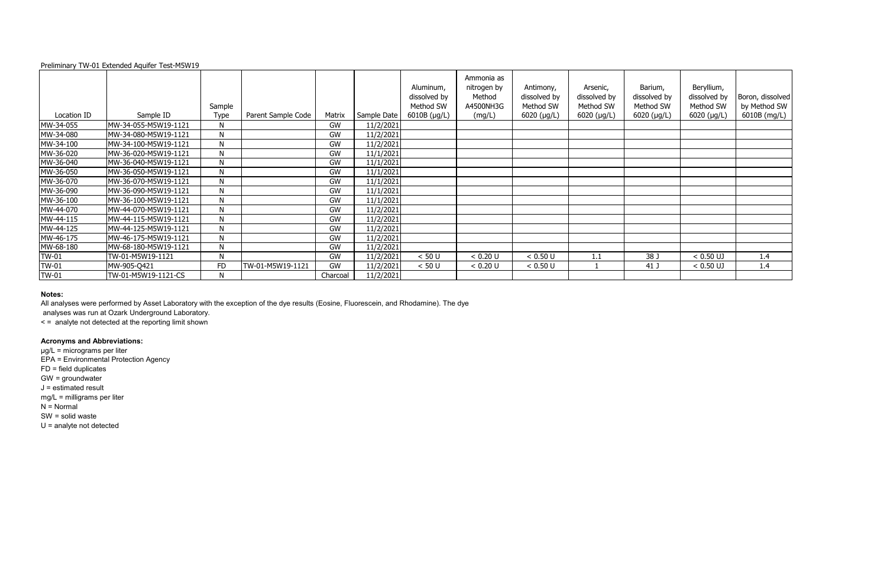|             |                      | Sample       |                    |          |             | Aluminum,<br>dissolved by<br>Method SW | Ammonia as<br>nitrogen by<br>Method<br>A4500NH3G | Antimony,<br>dissolved by<br>Method SW | Arsenic,<br>dissolved by<br>Method SW | Barium,<br>dissolved by<br>Method SW | Beryllium,<br>dissolved by<br>Method SW | Boron, dissolved<br>by Method SW |
|-------------|----------------------|--------------|--------------------|----------|-------------|----------------------------------------|--------------------------------------------------|----------------------------------------|---------------------------------------|--------------------------------------|-----------------------------------------|----------------------------------|
| Location ID | Sample ID            | Type         | Parent Sample Code | Matrix   | Sample Date | 6010B (µg/L)                           | (mg/L)                                           | 6020 (µg/L)                            | 6020 (µg/L)                           | $6020$ ( $\mu$ g/L)                  | 6020 (µg/L)                             | 6010B (mg/L)                     |
| MW-34-055   | MW-34-055-M5W19-1121 | $\mathsf{N}$ |                    | GW       | 11/2/2021   |                                        |                                                  |                                        |                                       |                                      |                                         |                                  |
| MW-34-080   | MW-34-080-M5W19-1121 | N            |                    | GW       | 11/2/2021   |                                        |                                                  |                                        |                                       |                                      |                                         |                                  |
| MW-34-100   | MW-34-100-M5W19-1121 | N            |                    | GW       | 11/2/2021   |                                        |                                                  |                                        |                                       |                                      |                                         |                                  |
| MW-36-020   | MW-36-020-M5W19-1121 | $\mathsf{N}$ |                    | GW       | 11/1/2021   |                                        |                                                  |                                        |                                       |                                      |                                         |                                  |
| MW-36-040   | MW-36-040-M5W19-1121 | N            |                    | GW       | 11/1/2021   |                                        |                                                  |                                        |                                       |                                      |                                         |                                  |
| MW-36-050   | MW-36-050-M5W19-1121 | N            |                    | GW       | 11/1/2021   |                                        |                                                  |                                        |                                       |                                      |                                         |                                  |
| MW-36-070   | MW-36-070-M5W19-1121 | N            |                    | GW       | 11/1/2021   |                                        |                                                  |                                        |                                       |                                      |                                         |                                  |
| MW-36-090   | MW-36-090-M5W19-1121 | N            |                    | GW       | 11/1/2021   |                                        |                                                  |                                        |                                       |                                      |                                         |                                  |
| MW-36-100   | MW-36-100-M5W19-1121 | $\mathsf{N}$ |                    | GW       | 11/1/2021   |                                        |                                                  |                                        |                                       |                                      |                                         |                                  |
| MW-44-070   | MW-44-070-M5W19-1121 | N            |                    | GW       | 11/2/2021   |                                        |                                                  |                                        |                                       |                                      |                                         |                                  |
| MW-44-115   | MW-44-115-M5W19-1121 | N            |                    | GW       | 11/2/2021   |                                        |                                                  |                                        |                                       |                                      |                                         |                                  |
| MW-44-125   | MW-44-125-M5W19-1121 | N            |                    | GW       | 11/2/2021   |                                        |                                                  |                                        |                                       |                                      |                                         |                                  |
| MW-46-175   | MW-46-175-M5W19-1121 | N            |                    | GW       | 11/2/2021   |                                        |                                                  |                                        |                                       |                                      |                                         |                                  |
| MW-68-180   | MW-68-180-M5W19-1121 | $\mathsf{N}$ |                    | GW       | 11/2/2021   |                                        |                                                  |                                        |                                       |                                      |                                         |                                  |
| TW-01       | TW-01-M5W19-1121     | N            |                    | GW       | 11/2/2021   | < 50 U                                 | < 0.20 U                                         | < 0.50 U                               | 1.1                                   | 38 J                                 | $< 0.50$ UJ                             | 1.4                              |
| TW-01       | MW-905-Q421          | <b>FD</b>    | TW-01-M5W19-1121   | GW       | 11/2/2021   | < 50 U                                 | < 0.20 U                                         | < 0.50 U                               |                                       | 41 J                                 | $< 0.50$ UJ                             | 1.4                              |
| TW-01       | TW-01-M5W19-1121-CS  | N            |                    | Charcoal | 11/2/2021   |                                        |                                                  |                                        |                                       |                                      |                                         |                                  |

## **Notes:**

All analyses were performed by Asset Laboratory with the exception of the dye results (Eosine, Fluorescein, and Rhodamine). The dye

analyses was run at Ozark Underground Laboratory.

< = analyte not detected at the reporting limit shown

# **Acronyms and Abbreviations:**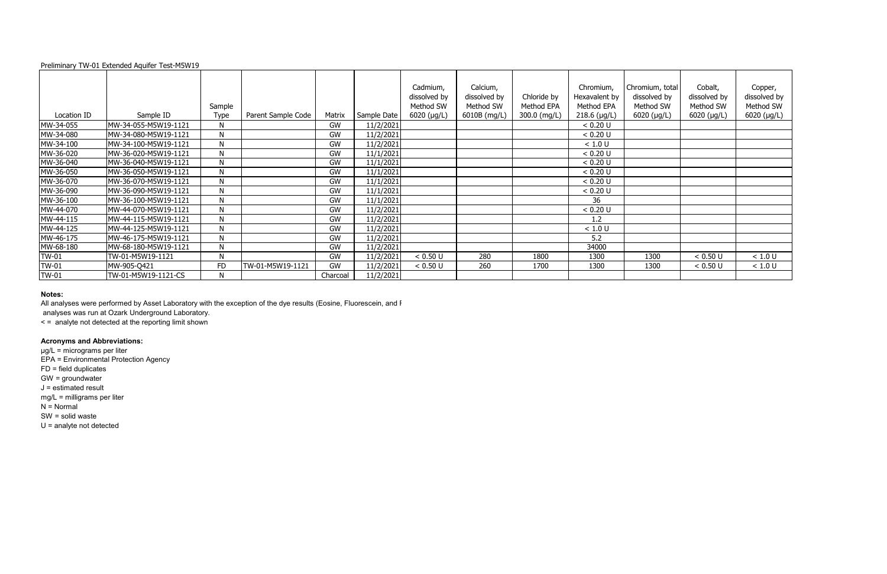## **Notes:**

All analyses were performed by Asset Laboratory with the exception of the dye results (Eosine, Fluorescein, and F

|             |                      | Sample       |                    |           |             | Cadmium,<br>dissolved by<br>Method SW | Calcium,<br>dissolved by<br>Method SW | Chloride by<br>Method EPA | Chromium,<br>Hexavalent by<br>Method EPA | Chromium, total<br>dissolved by<br>Method SW | Cobalt,<br>dissolved by<br>Method SW | Copper,<br>dissolved by<br>Method SW |
|-------------|----------------------|--------------|--------------------|-----------|-------------|---------------------------------------|---------------------------------------|---------------------------|------------------------------------------|----------------------------------------------|--------------------------------------|--------------------------------------|
| Location ID | Sample ID            | <b>Type</b>  | Parent Sample Code | Matrix    | Sample Date | $6020$ ( $\mu$ g/L)                   | 6010B (mg/L)                          | 300.0 (mg/L)              | $218.6$ (µg/L)                           | 6020 (µg/L)                                  | $6020$ ( $\mu$ g/L)                  | 6020 (µg/L)                          |
| MW-34-055   | MW-34-055-M5W19-1121 | N            |                    | GW        | 11/2/2021   |                                       |                                       |                           | < 0.20 U                                 |                                              |                                      |                                      |
| MW-34-080   | MW-34-080-M5W19-1121 | N            |                    | GW        | 11/2/2021   |                                       |                                       |                           | < 0.20 U                                 |                                              |                                      |                                      |
| MW-34-100   | MW-34-100-M5W19-1121 | N            |                    | GW        | 11/2/2021   |                                       |                                       |                           | < 1.0 U                                  |                                              |                                      |                                      |
| MW-36-020   | MW-36-020-M5W19-1121 | $\mathsf{N}$ |                    | GW        | 11/1/2021   |                                       |                                       |                           | < 0.20 U                                 |                                              |                                      |                                      |
| MW-36-040   | MW-36-040-M5W19-1121 | N            |                    | <b>GW</b> | 11/1/2021   |                                       |                                       |                           | < 0.20 U                                 |                                              |                                      |                                      |
| MW-36-050   | MW-36-050-M5W19-1121 | N            |                    | GW        | 11/1/2021   |                                       |                                       |                           | < 0.20 U                                 |                                              |                                      |                                      |
| MW-36-070   | MW-36-070-M5W19-1121 | N            |                    | GW        | 11/1/2021   |                                       |                                       |                           | < 0.20 U                                 |                                              |                                      |                                      |
| MW-36-090   | MW-36-090-M5W19-1121 | N            |                    | GW        | 11/1/2021   |                                       |                                       |                           | < 0.20 U                                 |                                              |                                      |                                      |
| MW-36-100   | MW-36-100-M5W19-1121 | N            |                    | GW        | 11/1/2021   |                                       |                                       |                           | 36                                       |                                              |                                      |                                      |
| MW-44-070   | MW-44-070-M5W19-1121 | N            |                    | GW        | 11/2/2021   |                                       |                                       |                           | < 0.20 U                                 |                                              |                                      |                                      |
| MW-44-115   | MW-44-115-M5W19-1121 | N            |                    | GW        | 11/2/2021   |                                       |                                       |                           | 1.2                                      |                                              |                                      |                                      |
| MW-44-125   | MW-44-125-M5W19-1121 | N            |                    | GW        | 11/2/2021   |                                       |                                       |                           | $<1.0$ U                                 |                                              |                                      |                                      |
| MW-46-175   | MW-46-175-M5W19-1121 | N            |                    | GW        | 11/2/2021   |                                       |                                       |                           | 5.2                                      |                                              |                                      |                                      |
| MW-68-180   | MW-68-180-M5W19-1121 | N            |                    | GW        | 11/2/2021   |                                       |                                       |                           | 34000                                    |                                              |                                      |                                      |
| TW-01       | TW-01-M5W19-1121     | N            |                    | <b>GW</b> | 11/2/2021   | < 0.50 U                              | 280                                   | 1800                      | 1300                                     | 1300                                         | < 0.50 U                             | < 1.0 U                              |
| TW-01       | MW-905-Q421          | FD           | TW-01-M5W19-1121   | GW        | 11/2/2021   | < 0.50 U                              | 260                                   | 1700                      | 1300                                     | 1300                                         | < 0.50 U                             | < 1.0 U                              |
| TW-01       | TW-01-M5W19-1121-CS  | N            |                    | Charcoal  | 11/2/2021   |                                       |                                       |                           |                                          |                                              |                                      |                                      |

analyses was run at Ozark Underground Laboratory.

< = analyte not detected at the reporting limit shown

# **Acronyms and Abbreviations:**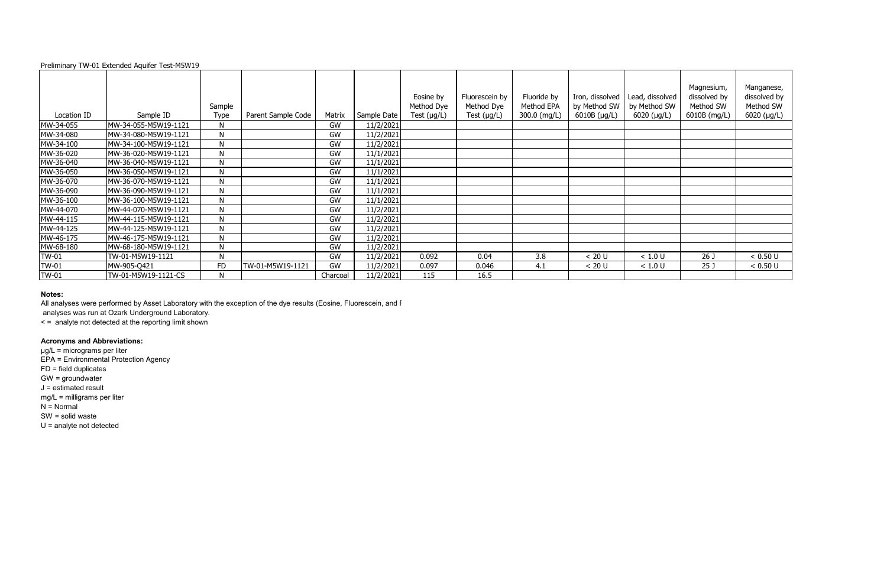## **Notes:**

All analyses were performed by Asset Laboratory with the exception of the dye results (Eosine, Fluorescein, and F

|             |                      | Sample       |                    |          |             | Eosine by<br>Method Dye | Fluorescein by<br>Method Dye | Fluoride by<br>Method EPA | Iron, dissolved<br>by Method SW | Lead, dissolved<br>by Method SW | Magnesium,<br>dissolved by<br>Method SW | Manganese,<br>dissolved by<br>Method SW |
|-------------|----------------------|--------------|--------------------|----------|-------------|-------------------------|------------------------------|---------------------------|---------------------------------|---------------------------------|-----------------------------------------|-----------------------------------------|
| Location ID | Sample ID            | Type         | Parent Sample Code | Matrix   | Sample Date | Test $(\mu g/L)$        | Test $(\mu g/L)$             | 300.0 (mg/L)              | 6010B (µg/L)                    | $6020$ (µg/L)                   | 6010B (mg/L)                            | 6020 (µg/L)                             |
| MW-34-055   | MW-34-055-M5W19-1121 | $\mathsf{N}$ |                    | GW       | 11/2/2021   |                         |                              |                           |                                 |                                 |                                         |                                         |
| MW-34-080   | MW-34-080-M5W19-1121 | N            |                    | GW       | 11/2/2021   |                         |                              |                           |                                 |                                 |                                         |                                         |
| MW-34-100   | MW-34-100-M5W19-1121 | N            |                    | GW       | 11/2/2021   |                         |                              |                           |                                 |                                 |                                         |                                         |
| MW-36-020   | MW-36-020-M5W19-1121 | $\mathsf{N}$ |                    | GW       | 11/1/2021   |                         |                              |                           |                                 |                                 |                                         |                                         |
| MW-36-040   | MW-36-040-M5W19-1121 | N            |                    | GW       | 11/1/2021   |                         |                              |                           |                                 |                                 |                                         |                                         |
| MW-36-050   | MW-36-050-M5W19-1121 | N            |                    | GW       | 11/1/2021   |                         |                              |                           |                                 |                                 |                                         |                                         |
| MW-36-070   | MW-36-070-M5W19-1121 | $\mathsf{N}$ |                    | GW       | 11/1/2021   |                         |                              |                           |                                 |                                 |                                         |                                         |
| MW-36-090   | MW-36-090-M5W19-1121 | N            |                    | GW       | 11/1/2021   |                         |                              |                           |                                 |                                 |                                         |                                         |
| MW-36-100   | MW-36-100-M5W19-1121 | $\mathsf{N}$ |                    | GW       | 11/1/2021   |                         |                              |                           |                                 |                                 |                                         |                                         |
| MW-44-070   | MW-44-070-M5W19-1121 | $\mathsf{N}$ |                    | GW       | 11/2/2021   |                         |                              |                           |                                 |                                 |                                         |                                         |
| MW-44-115   | MW-44-115-M5W19-1121 | N            |                    | GW       | 11/2/2021   |                         |                              |                           |                                 |                                 |                                         |                                         |
| MW-44-125   | MW-44-125-M5W19-1121 | $\mathsf{N}$ |                    | GW       | 11/2/2021   |                         |                              |                           |                                 |                                 |                                         |                                         |
| MW-46-175   | MW-46-175-M5W19-1121 | N            |                    | GW       | 11/2/2021   |                         |                              |                           |                                 |                                 |                                         |                                         |
| MW-68-180   | MW-68-180-M5W19-1121 | $\mathsf{N}$ |                    | GW       | 11/2/2021   |                         |                              |                           |                                 |                                 |                                         |                                         |
| TW-01       | TW-01-M5W19-1121     | N            |                    | GW       | 11/2/2021   | 0.092                   | 0.04                         | 3.8                       | < 20 U                          | < 1.0 U                         | 26 <sub>0</sub>                         | < 0.50 U                                |
| TW-01       | MW-905-Q421          | <b>FD</b>    | TW-01-M5W19-1121   | GW       | 11/2/2021   | 0.097                   | 0.046                        | 4.1                       | < 20 U                          | < 1.0 U                         | 25 <sub>1</sub>                         | < 0.50 U                                |
| TW-01       | TW-01-M5W19-1121-CS  | N            |                    | Charcoal | 11/2/2021   | 115                     | 16.5                         |                           |                                 |                                 |                                         |                                         |

analyses was run at Ozark Underground Laboratory.

< = analyte not detected at the reporting limit shown

# **Acronyms and Abbreviations:**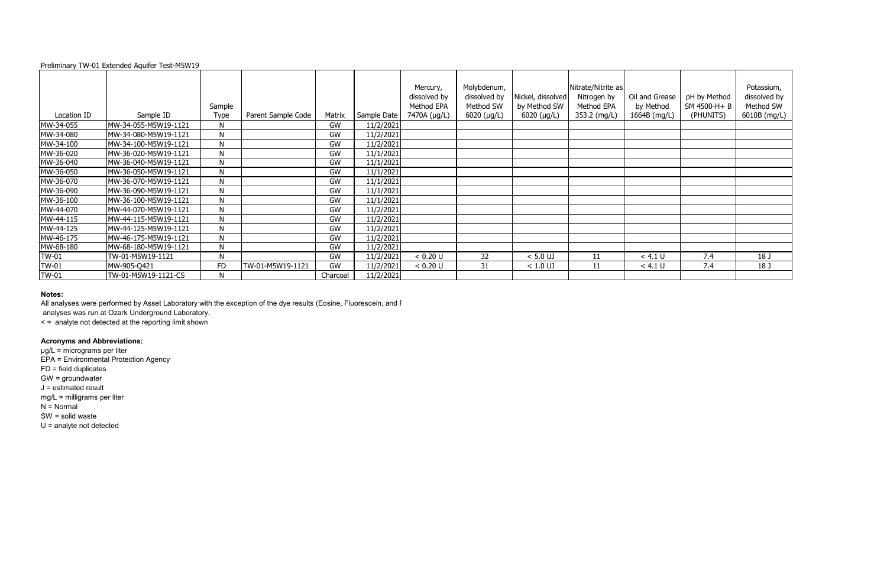## **Notes:**

All analyses were performed by Asset Laboratory with the exception of the dye results (Eosine, Fluorescein, and F

|             |                      | Sample       |                    |          |             | Mercury,<br>dissolved by<br>Method EPA | Molybdenum,<br>dissolved by<br>Method SW | Nickel, dissolved<br>by Method SW | Nitrate/Nitrite as<br>Nitrogen by<br>Method EPA | Oil and Grease<br>by Method | pH by Method<br>SM 4500-H+B | Potassium,<br>dissolved by<br>Method SW |
|-------------|----------------------|--------------|--------------------|----------|-------------|----------------------------------------|------------------------------------------|-----------------------------------|-------------------------------------------------|-----------------------------|-----------------------------|-----------------------------------------|
| Location ID | Sample ID            | Type         | Parent Sample Code | Matrix   | Sample Date | 7470A (µg/L)                           | 6020 (µg/L)                              | 6020 (µg/L)                       | 353.2 (mg/L)                                    | 1664B (mg/L)                | (PHUNITS)                   | 6010B (mg/L)                            |
| MW-34-055   | MW-34-055-M5W19-1121 | $\mathsf{N}$ |                    | GW       | 11/2/2021   |                                        |                                          |                                   |                                                 |                             |                             |                                         |
| MW-34-080   | MW-34-080-M5W19-1121 | N            |                    | GW       | 11/2/2021   |                                        |                                          |                                   |                                                 |                             |                             |                                         |
| MW-34-100   | MW-34-100-M5W19-1121 | $\mathsf{N}$ |                    | GW       | 11/2/2021   |                                        |                                          |                                   |                                                 |                             |                             |                                         |
| MW-36-020   | MW-36-020-M5W19-1121 | $\mathsf{N}$ |                    | GW       | 11/1/2021   |                                        |                                          |                                   |                                                 |                             |                             |                                         |
| MW-36-040   | MW-36-040-M5W19-1121 | N            |                    | GW       | 11/1/2021   |                                        |                                          |                                   |                                                 |                             |                             |                                         |
| MW-36-050   | MW-36-050-M5W19-1121 | N            |                    | GW       | 11/1/2021   |                                        |                                          |                                   |                                                 |                             |                             |                                         |
| MW-36-070   | MW-36-070-M5W19-1121 | $\mathsf{N}$ |                    | GW       | 11/1/2021   |                                        |                                          |                                   |                                                 |                             |                             |                                         |
| MW-36-090   | MW-36-090-M5W19-1121 | $\mathsf{N}$ |                    | GW       | 11/1/2021   |                                        |                                          |                                   |                                                 |                             |                             |                                         |
| MW-36-100   | MW-36-100-M5W19-1121 | N            |                    | GW       | 11/1/2021   |                                        |                                          |                                   |                                                 |                             |                             |                                         |
| MW-44-070   | MW-44-070-M5W19-1121 | N            |                    | GW       | 11/2/2021   |                                        |                                          |                                   |                                                 |                             |                             |                                         |
| MW-44-115   | MW-44-115-M5W19-1121 | N            |                    | GW       | 11/2/2021   |                                        |                                          |                                   |                                                 |                             |                             |                                         |
| MW-44-125   | MW-44-125-M5W19-1121 | N            |                    | GW       | 11/2/2021   |                                        |                                          |                                   |                                                 |                             |                             |                                         |
| MW-46-175   | MW-46-175-M5W19-1121 | N            |                    | GW       | 11/2/2021   |                                        |                                          |                                   |                                                 |                             |                             |                                         |
| MW-68-180   | MW-68-180-M5W19-1121 | N            |                    | GW       | 11/2/2021   |                                        |                                          |                                   |                                                 |                             |                             |                                         |
| TW-01       | TW-01-M5W19-1121     | N            |                    | GW       | 11/2/2021   | < 0.20 U                               | 32                                       | $< 5.0$ UJ                        | 11                                              | < 4.1 U                     | 7.4                         | 18 J                                    |
| TW-01       | MW-905-Q421          | <b>FD</b>    | TW-01-M5W19-1121   | GW       | 11/2/2021   | < 0.20 U                               | 31                                       | $< 1.0$ UJ                        | 11                                              | < 4.1 U                     | 7.4                         | 18 J                                    |
| TW-01       | TW-01-M5W19-1121-CS  | N            |                    | Charcoal | 11/2/2021   |                                        |                                          |                                   |                                                 |                             |                             |                                         |

analyses was run at Ozark Underground Laboratory.

< = analyte not detected at the reporting limit shown

# **Acronyms and Abbreviations:**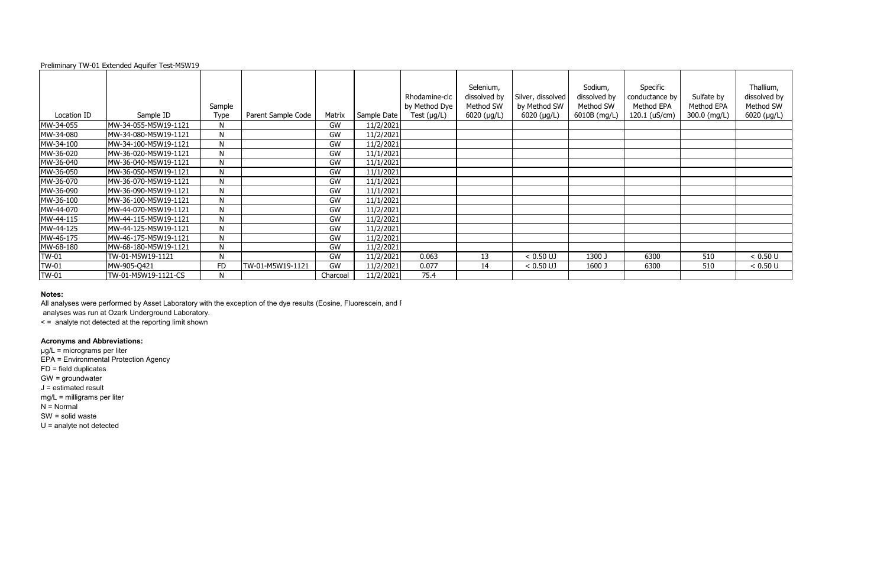## **Notes:**

All analyses were performed by Asset Laboratory with the exception of the dye results (Eosine, Fluorescein, and F

|             |                      |              |                    |          |             | Rhodamine-clc    | Selenium,<br>dissolved by | Silver, dissolved | Sodium,<br>dissolved by | Specific<br>conductance by | Sulfate by   | Thallium,<br>dissolved by |
|-------------|----------------------|--------------|--------------------|----------|-------------|------------------|---------------------------|-------------------|-------------------------|----------------------------|--------------|---------------------------|
|             |                      | Sample       |                    |          |             | by Method Dye    | Method SW                 | by Method SW      | Method SW               | Method EPA                 | Method EPA   | Method SW                 |
| Location ID | Sample ID            | Type         | Parent Sample Code | Matrix   | Sample Date | Test $(\mu g/L)$ | $6020$ (µg/L)             | 6020 (µg/L)       | 6010B (mg/L)            | 120.1 (uS/cm)              | 300.0 (mg/L) | 6020 (µg/L)               |
| MW-34-055   | MW-34-055-M5W19-1121 | $\mathsf{N}$ |                    | GW       | 11/2/2021   |                  |                           |                   |                         |                            |              |                           |
| MW-34-080   | MW-34-080-M5W19-1121 | N            |                    | GW       | 11/2/2021   |                  |                           |                   |                         |                            |              |                           |
| MW-34-100   | MW-34-100-M5W19-1121 | N            |                    | GW       | 11/2/2021   |                  |                           |                   |                         |                            |              |                           |
| MW-36-020   | MW-36-020-M5W19-1121 | $\mathsf{N}$ |                    | GW       | 11/1/2021   |                  |                           |                   |                         |                            |              |                           |
| MW-36-040   | MW-36-040-M5W19-1121 | N            |                    | GW       | 11/1/2021   |                  |                           |                   |                         |                            |              |                           |
| MW-36-050   | MW-36-050-M5W19-1121 | N            |                    | GW       | 11/1/2021   |                  |                           |                   |                         |                            |              |                           |
| MW-36-070   | MW-36-070-M5W19-1121 | $\mathsf{N}$ |                    | GW       | 11/1/2021   |                  |                           |                   |                         |                            |              |                           |
| MW-36-090   | MW-36-090-M5W19-1121 | $\mathsf{N}$ |                    | GW       | 11/1/2021   |                  |                           |                   |                         |                            |              |                           |
| MW-36-100   | MW-36-100-M5W19-1121 | N            |                    | GW       | 11/1/2021   |                  |                           |                   |                         |                            |              |                           |
| MW-44-070   | MW-44-070-M5W19-1121 | N            |                    | GW       | 11/2/2021   |                  |                           |                   |                         |                            |              |                           |
| MW-44-115   | MW-44-115-M5W19-1121 | N            |                    | GW       | 11/2/2021   |                  |                           |                   |                         |                            |              |                           |
| MW-44-125   | MW-44-125-M5W19-1121 | N            |                    | GW       | 11/2/2021   |                  |                           |                   |                         |                            |              |                           |
| MW-46-175   | MW-46-175-M5W19-1121 | N            |                    | GW       | 11/2/2021   |                  |                           |                   |                         |                            |              |                           |
| MW-68-180   | MW-68-180-M5W19-1121 | $\mathsf{N}$ |                    | GW       | 11/2/2021   |                  |                           |                   |                         |                            |              |                           |
| TW-01       | TW-01-M5W19-1121     | N            |                    | GW       | 11/2/2021   | 0.063            | 13                        | $< 0.50$ UJ       | 1300 J                  | 6300                       | 510          | < 0.50 U                  |
| TW-01       | MW-905-Q421          | <b>FD</b>    | TW-01-M5W19-1121   | GW       | 11/2/2021   | 0.077            | 14                        | $< 0.50$ UJ       | 1600 J                  | 6300                       | 510          | < 0.50 U                  |
| TW-01       | TW-01-M5W19-1121-CS  | N            |                    | Charcoal | 11/2/2021   | 75.4             |                           |                   |                         |                            |              |                           |

analyses was run at Ozark Underground Laboratory.

< = analyte not detected at the reporting limit shown

# **Acronyms and Abbreviations:**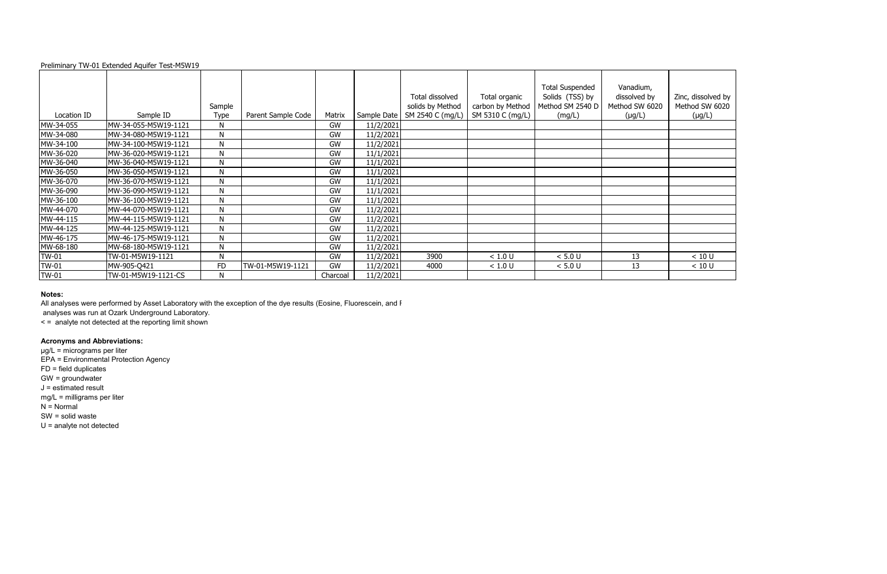|              |                      |              |                    |          |             | Total dissolved  | Total organic    | <b>Total Suspended</b><br>Solids (TSS) by | Vanadium,<br>dissolved by | Zinc, dissolved by |
|--------------|----------------------|--------------|--------------------|----------|-------------|------------------|------------------|-------------------------------------------|---------------------------|--------------------|
|              |                      | Sample       |                    |          |             | solids by Method | carbon by Method | Method SM 2540 D                          | Method SW 6020            | Method SW 6020     |
| Location ID  | Sample ID            | <b>Type</b>  | Parent Sample Code | Matrix   | Sample Date | SM 2540 C (mg/L) | SM 5310 C (mg/L) | (mg/L)                                    | $(\mu g/L)$               | $(\mu g/L)$        |
| MW-34-055    | MW-34-055-M5W19-1121 | $\mathsf{N}$ |                    | GW       | 11/2/2021   |                  |                  |                                           |                           |                    |
| MW-34-080    | MW-34-080-M5W19-1121 | N            |                    | GW       | 11/2/2021   |                  |                  |                                           |                           |                    |
| MW-34-100    | MW-34-100-M5W19-1121 | N            |                    | GW       | 11/2/2021   |                  |                  |                                           |                           |                    |
| MW-36-020    | MW-36-020-M5W19-1121 | $\mathsf{N}$ |                    | GW       | 11/1/2021   |                  |                  |                                           |                           |                    |
| MW-36-040    | MW-36-040-M5W19-1121 | N            |                    | GW       | 11/1/2021   |                  |                  |                                           |                           |                    |
| MW-36-050    | MW-36-050-M5W19-1121 | N            |                    | GW       | 11/1/2021   |                  |                  |                                           |                           |                    |
| MW-36-070    | MW-36-070-M5W19-1121 | N            |                    | GW       | 11/1/2021   |                  |                  |                                           |                           |                    |
| MW-36-090    | MW-36-090-M5W19-1121 | N            |                    | GW       | 11/1/2021   |                  |                  |                                           |                           |                    |
| MW-36-100    | MW-36-100-M5W19-1121 | N            |                    | GW       | 11/1/2021   |                  |                  |                                           |                           |                    |
| MW-44-070    | MW-44-070-M5W19-1121 | N            |                    | GW       | 11/2/2021   |                  |                  |                                           |                           |                    |
| MW-44-115    | MW-44-115-M5W19-1121 | N            |                    | GW       | 11/2/2021   |                  |                  |                                           |                           |                    |
| MW-44-125    | MW-44-125-M5W19-1121 | N            |                    | GW       | 11/2/2021   |                  |                  |                                           |                           |                    |
| MW-46-175    | MW-46-175-M5W19-1121 | N            |                    | GW       | 11/2/2021   |                  |                  |                                           |                           |                    |
| MW-68-180    | MW-68-180-M5W19-1121 | N            |                    | GW       | 11/2/2021   |                  |                  |                                           |                           |                    |
| <b>TW-01</b> | TW-01-M5W19-1121     | N            |                    | GW       | 11/2/2021   | 3900             | < 1.0 U          | < 5.0 U                                   | 13                        | < 10 U             |
| <b>TW-01</b> | MW-905-Q421          | <b>FD</b>    | TW-01-M5W19-1121   | GW       | 11/2/2021   | 4000             | < 1.0 U          | < 5.0 U                                   | 13                        | < 10 U             |
| <b>TW-01</b> | TW-01-M5W19-1121-CS  | N            |                    | Charcoal | 11/2/2021   |                  |                  |                                           |                           |                    |

# **Notes:**

All analyses were performed by Asset Laboratory with the exception of the dye results (Eosine, Fluorescein, and F

analyses was run at Ozark Underground Laboratory.

< = analyte not detected at the reporting limit shown

# **Acronyms and Abbreviations:**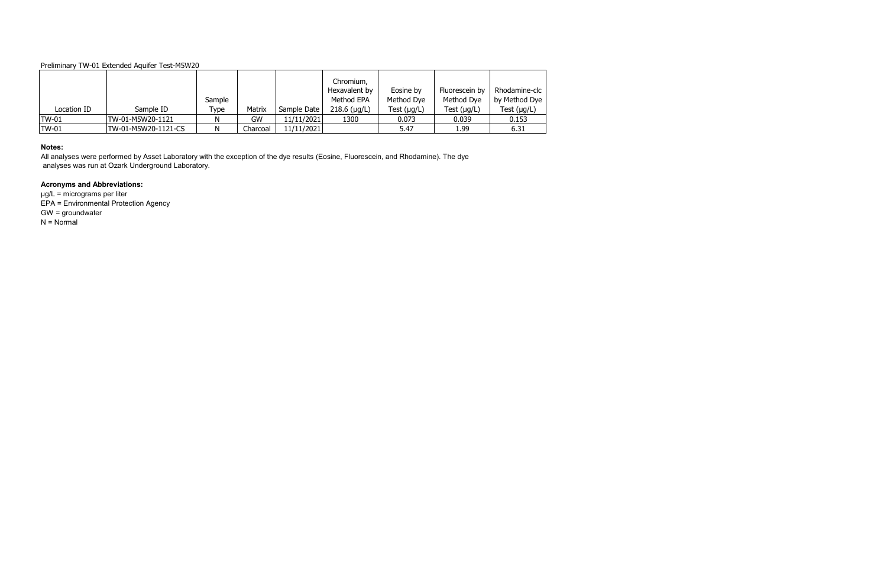| Location ID  | Sample ID           | Sample<br>Type | Matrix   | Sample Date | Chromium,<br>Hexavalent by<br>Method EPA<br>$218.6$ (µg/L) | Eosine by<br>Method Dye<br>Test $(\mu g/L)$ | Fluorescein by<br>Method Dye<br>Test $(\mu g/L)$ | Rhodamine-clc<br>by Method Dye<br>Test $(\mu g/L)$ |
|--------------|---------------------|----------------|----------|-------------|------------------------------------------------------------|---------------------------------------------|--------------------------------------------------|----------------------------------------------------|
| <b>TW-01</b> | TW-01-M5W20-1121    | N              | GW       | 11/11/2021  | 1300                                                       | 0.073                                       | 0.039                                            | 0.153                                              |
| <b>TW-01</b> | TW-01-M5W20-1121-CS | N              | Charcoal | 11/11/2021  |                                                            | 5.47                                        | 1.99                                             | 6.31                                               |

µg/L = micrograms per liter EPA = Environmental Protection Agency GW = groundwater  $N = Normal$ 

#### **Notes:**

All analyses were performed by Asset Laboratory with the exception of the dye results (Eosine, Fluorescein, and Rhodamine). The dye analyses was run at Ozark Underground Laboratory.

# **Acronyms and Abbreviations:**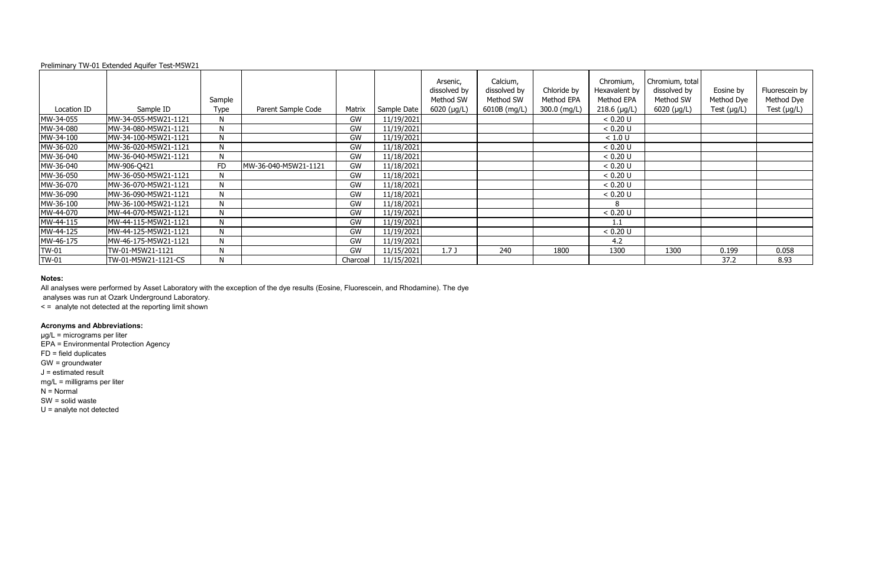|              |                      | Sample       |                      |          |             | Arsenic,<br>dissolved by<br>Method SW | Calcium,<br>dissolved by<br>Method SW | Chloride by<br>Method EPA | Chromium,<br>Hexavalent by<br>Method EPA | Chromium, total<br>dissolved by<br>Method SW | Eosine by<br>Method Dye | Fluorescein by<br>Method Dye |
|--------------|----------------------|--------------|----------------------|----------|-------------|---------------------------------------|---------------------------------------|---------------------------|------------------------------------------|----------------------------------------------|-------------------------|------------------------------|
| Location ID  | Sample ID            | Type         | Parent Sample Code   | Matrix   | Sample Date | $6020$ ( $\mu$ g/L)                   | 6010B (mg/L)                          | 300.0 (mg/L)              | $218.6$ (µg/L)                           | $6020$ ( $\mu$ g/L)                          | Test $(\mu g/L)$        | Test $(\mu g/L)$             |
| MW-34-055    | MW-34-055-M5W21-1121 | N.           |                      | GW       | 11/19/2021  |                                       |                                       |                           | < 0.20 U                                 |                                              |                         |                              |
| MW-34-080    | MW-34-080-M5W21-1121 | $\mathsf{N}$ |                      | GW       | 11/19/2021  |                                       |                                       |                           | < 0.20 U                                 |                                              |                         |                              |
| MW-34-100    | MW-34-100-M5W21-1121 | N            |                      | GW       | 11/19/2021  |                                       |                                       |                           | < 1.0 U                                  |                                              |                         |                              |
| MW-36-020    | MW-36-020-M5W21-1121 | $\mathsf{N}$ |                      | GW       | 11/18/2021  |                                       |                                       |                           | < 0.20 U                                 |                                              |                         |                              |
| MW-36-040    | MW-36-040-M5W21-1121 | N            |                      | GW       | 11/18/2021  |                                       |                                       |                           | < 0.20 U                                 |                                              |                         |                              |
| MW-36-040    | MW-906-Q421          | <b>FD</b>    | MW-36-040-M5W21-1121 | GW       | 11/18/2021  |                                       |                                       |                           | < 0.20 U                                 |                                              |                         |                              |
| MW-36-050    | MW-36-050-M5W21-1121 | N            |                      | GW       | 11/18/2021  |                                       |                                       |                           | < 0.20 U                                 |                                              |                         |                              |
| MW-36-070    | MW-36-070-M5W21-1121 | N            |                      | GW       | 11/18/2021  |                                       |                                       |                           | < 0.20 U                                 |                                              |                         |                              |
| MW-36-090    | MW-36-090-M5W21-1121 | N            |                      | GW       | 11/18/2021  |                                       |                                       |                           | < 0.20 U                                 |                                              |                         |                              |
| MW-36-100    | MW-36-100-M5W21-1121 | N            |                      | GW       | 11/18/2021  |                                       |                                       |                           |                                          |                                              |                         |                              |
| MW-44-070    | MW-44-070-M5W21-1121 | N            |                      | GW       | 11/19/2021  |                                       |                                       |                           | < 0.20 U                                 |                                              |                         |                              |
| MW-44-115    | MW-44-115-M5W21-1121 | N            |                      | GW       | 11/19/2021  |                                       |                                       |                           | 1.1                                      |                                              |                         |                              |
| MW-44-125    | MW-44-125-M5W21-1121 | N            |                      | GW       | 11/19/2021  |                                       |                                       |                           | < 0.20 U                                 |                                              |                         |                              |
| MW-46-175    | MW-46-175-M5W21-1121 | N            |                      | GW       | 11/19/2021  |                                       |                                       |                           | 4.2                                      |                                              |                         |                              |
| <b>TW-01</b> | TW-01-M5W21-1121     | N            |                      | GW       | 11/15/2021  | 1.7J                                  | 240                                   | 1800                      | 1300                                     | 1300                                         | 0.199                   | 0.058                        |
| <b>TW-01</b> | TW-01-M5W21-1121-CS  | N            |                      | Charcoal | 11/15/2021  |                                       |                                       |                           |                                          |                                              | 37.2                    | 8.93                         |

## **Notes:**

All analyses were performed by Asset Laboratory with the exception of the dye results (Eosine, Fluorescein, and Rhodamine). The dye

analyses was run at Ozark Underground Laboratory.

< = analyte not detected at the reporting limit shown

# **Acronyms and Abbreviations:**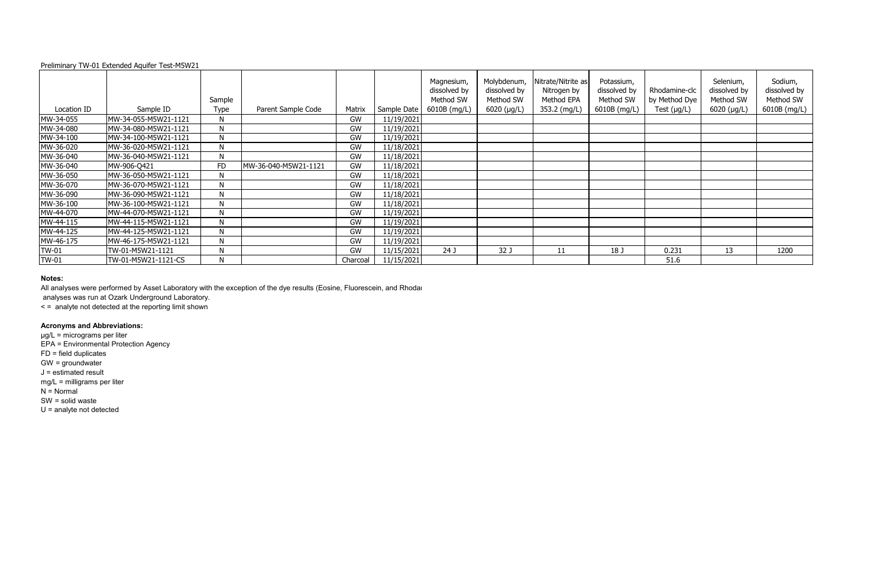## **Notes:**

All analyses were performed by Asset Laboratory with the exception of the dye results (Eosine, Fluorescein, and Rhodar

|              |                      | Sample       |                      |          |             | Magnesium,<br>dissolved by<br>Method SW | Molybdenum,<br>dissolved by<br>Method SW | Nitrate/Nitrite as<br>Nitrogen by<br>Method EPA | Potassium,<br>dissolved by<br>Method SW | Rhodamine-clc<br>by Method Dye | Selenium,<br>dissolved by<br>Method SW | Sodium,<br>dissolved by<br>Method SW |
|--------------|----------------------|--------------|----------------------|----------|-------------|-----------------------------------------|------------------------------------------|-------------------------------------------------|-----------------------------------------|--------------------------------|----------------------------------------|--------------------------------------|
| Location ID  | Sample ID            | Type         | Parent Sample Code   | Matrix   | Sample Date | 6010B (mg/L)                            | 6020 ( $\mu$ g/L)                        | 353.2 (mg/L)                                    | 6010B (mg/L)                            | Test $(\mu g/L)$               | 6020 (µg/L)                            | 6010B (mg/L)                         |
| MW-34-055    | MW-34-055-M5W21-1121 | N            |                      | GW       | 11/19/2021  |                                         |                                          |                                                 |                                         |                                |                                        |                                      |
| MW-34-080    | MW-34-080-M5W21-1121 | N            |                      | GW       | 11/19/2021  |                                         |                                          |                                                 |                                         |                                |                                        |                                      |
| MW-34-100    | MW-34-100-M5W21-1121 | N.           |                      | GW       | 11/19/2021  |                                         |                                          |                                                 |                                         |                                |                                        |                                      |
| MW-36-020    | MW-36-020-M5W21-1121 | N            |                      | GW       | 11/18/2021  |                                         |                                          |                                                 |                                         |                                |                                        |                                      |
| MW-36-040    | MW-36-040-M5W21-1121 | N            |                      | GW       | 11/18/2021  |                                         |                                          |                                                 |                                         |                                |                                        |                                      |
| MW-36-040    | MW-906-Q421          | FD           | MW-36-040-M5W21-1121 | GW       | 11/18/2021  |                                         |                                          |                                                 |                                         |                                |                                        |                                      |
| MW-36-050    | MW-36-050-M5W21-1121 | N            |                      | GW       | 11/18/2021  |                                         |                                          |                                                 |                                         |                                |                                        |                                      |
| MW-36-070    | MW-36-070-M5W21-1121 | N            |                      | GW       | 11/18/2021  |                                         |                                          |                                                 |                                         |                                |                                        |                                      |
| MW-36-090    | MW-36-090-M5W21-1121 | $\mathsf{N}$ |                      | GW       | 11/18/2021  |                                         |                                          |                                                 |                                         |                                |                                        |                                      |
| MW-36-100    | MW-36-100-M5W21-1121 | N.           |                      | GW       | 11/18/2021  |                                         |                                          |                                                 |                                         |                                |                                        |                                      |
| MW-44-070    | MW-44-070-M5W21-1121 | $\mathsf{N}$ |                      | GW       | 11/19/2021  |                                         |                                          |                                                 |                                         |                                |                                        |                                      |
| MW-44-115    | MW-44-115-M5W21-1121 | N            |                      | GW       | 11/19/2021  |                                         |                                          |                                                 |                                         |                                |                                        |                                      |
| MW-44-125    | MW-44-125-M5W21-1121 | N            |                      | GW       | 11/19/2021  |                                         |                                          |                                                 |                                         |                                |                                        |                                      |
| MW-46-175    | MW-46-175-M5W21-1121 | N            |                      | GW       | 11/19/2021  |                                         |                                          |                                                 |                                         |                                |                                        |                                      |
| <b>TW-01</b> | TW-01-M5W21-1121     | N            |                      | GW       | 11/15/2021  | 24 J                                    | 32 J                                     | 11                                              | 18 J                                    | 0.231                          | 13                                     | 1200                                 |
| <b>TW-01</b> | TW-01-M5W21-1121-CS  | N.           |                      | Charcoal | 11/15/2021  |                                         |                                          |                                                 |                                         | 51.6                           |                                        |                                      |

analyses was run at Ozark Underground Laboratory.

< = analyte not detected at the reporting limit shown

# **Acronyms and Abbreviations:**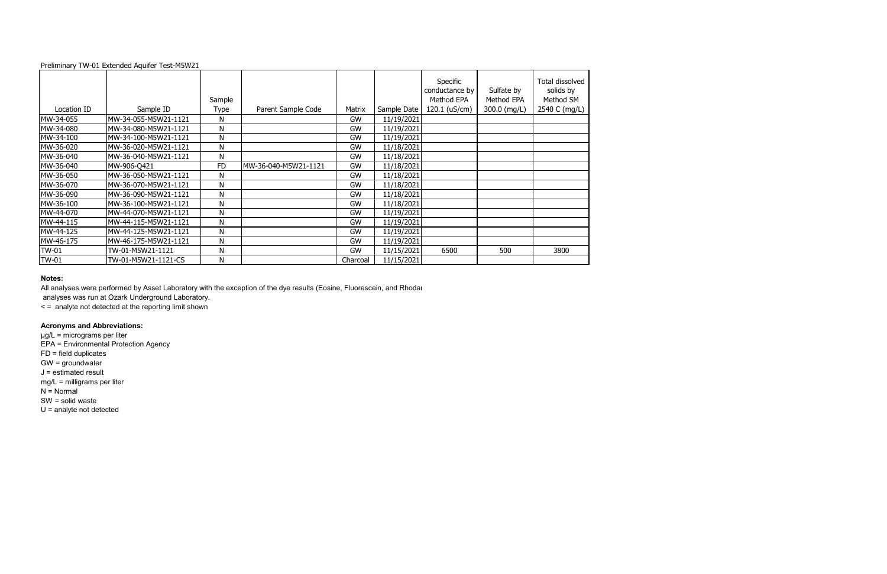|              |                      |                |                      |          |             | Specific<br>conductance by<br>Method EPA | Sulfate by                 | Total dissolved<br>solids by |
|--------------|----------------------|----------------|----------------------|----------|-------------|------------------------------------------|----------------------------|------------------------------|
| Location ID  | Sample ID            | Sample<br>Type | Parent Sample Code   | Matrix   | Sample Date | 120.1 (uS/cm)                            | Method EPA<br>300.0 (mg/L) | Method SM<br>2540 C (mg/L)   |
| MW-34-055    | MW-34-055-M5W21-1121 | N              |                      | GW       | 11/19/2021  |                                          |                            |                              |
| MW-34-080    | MW-34-080-M5W21-1121 | N              |                      | GW       | 11/19/2021  |                                          |                            |                              |
| MW-34-100    | MW-34-100-M5W21-1121 | N              |                      | GW       | 11/19/2021  |                                          |                            |                              |
| MW-36-020    | MW-36-020-M5W21-1121 | N              |                      | GW       | 11/18/2021  |                                          |                            |                              |
| MW-36-040    | MW-36-040-M5W21-1121 | N              |                      | GW       | 11/18/2021  |                                          |                            |                              |
| MW-36-040    | MW-906-Q421          | <b>FD</b>      | MW-36-040-M5W21-1121 | GW       | 11/18/2021  |                                          |                            |                              |
| MW-36-050    | MW-36-050-M5W21-1121 | N              |                      | GW       | 11/18/2021  |                                          |                            |                              |
| MW-36-070    | MW-36-070-M5W21-1121 | N              |                      | GW       | 11/18/2021  |                                          |                            |                              |
| MW-36-090    | MW-36-090-M5W21-1121 | N              |                      | GW       | 11/18/2021  |                                          |                            |                              |
| MW-36-100    | MW-36-100-M5W21-1121 | N              |                      | GW       | 11/18/2021  |                                          |                            |                              |
| MW-44-070    | MW-44-070-M5W21-1121 | N              |                      | GW       | 11/19/2021  |                                          |                            |                              |
| MW-44-115    | MW-44-115-M5W21-1121 | N              |                      | GW       | 11/19/2021  |                                          |                            |                              |
| MW-44-125    | MW-44-125-M5W21-1121 | N              |                      | GW       | 11/19/2021  |                                          |                            |                              |
| MW-46-175    | MW-46-175-M5W21-1121 | N              |                      | GW       | 11/19/2021  |                                          |                            |                              |
| <b>TW-01</b> | TW-01-M5W21-1121     | N              |                      | GW       | 11/15/2021  | 6500                                     | 500                        | 3800                         |
| <b>TW-01</b> | TW-01-M5W21-1121-CS  | N              |                      | Charcoal | 11/15/2021  |                                          |                            |                              |

## **Notes:**

All analyses were performed by Asset Laboratory with the exception of the dye results (Eosine, Fluorescein, and Rhodar

analyses was run at Ozark Underground Laboratory.

< = analyte not detected at the reporting limit shown

# **Acronyms and Abbreviations:**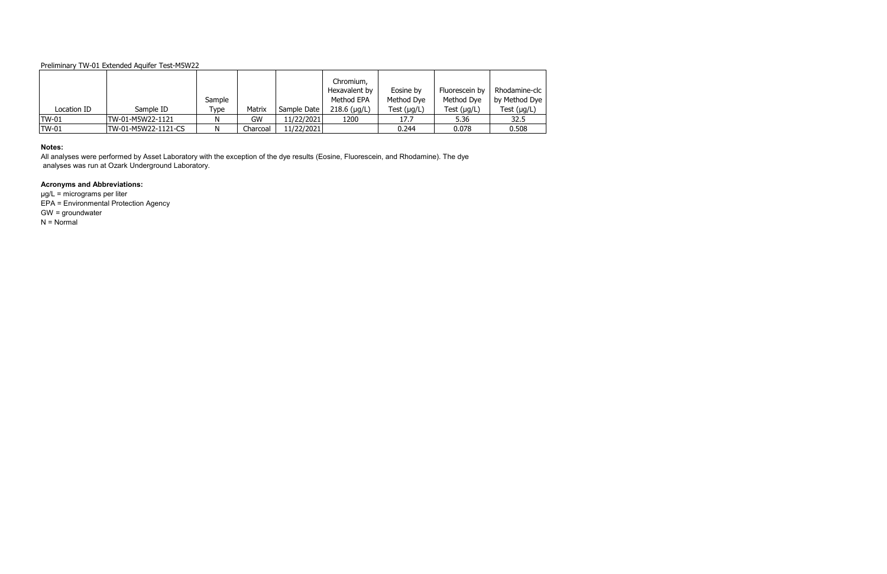| Location ID  | Sample ID           | Sample<br>Type | Matrix   | Sample Date | Chromium,<br>Hexavalent by<br>Method EPA<br>$218.6$ (µg/L) | Eosine by<br>Method Dye<br>Test $(\mu g/L)$ | Fluorescein by<br>Method Dye<br>Test $(\mu g/L)$ | Rhodamine-clc<br>by Method Dye<br>Test $(\mu g/L)$ |
|--------------|---------------------|----------------|----------|-------------|------------------------------------------------------------|---------------------------------------------|--------------------------------------------------|----------------------------------------------------|
| <b>TW-01</b> | ITW-01-M5W22-1121   | N              | GW       | 11/22/2021  | 1200                                                       | 17.7                                        | 5.36                                             | 32.5                                               |
| <b>TW-01</b> | TW-01-M5W22-1121-CS | N              | Charcoal | 11/22/2021  |                                                            | 0.244                                       | 0.078                                            | 0.508                                              |

µg/L = micrograms per liter EPA = Environmental Protection Agency GW = groundwater  $N = Normal$ 

#### **Notes:**

All analyses were performed by Asset Laboratory with the exception of the dye results (Eosine, Fluorescein, and Rhodamine). The dye analyses was run at Ozark Underground Laboratory.

# **Acronyms and Abbreviations:**